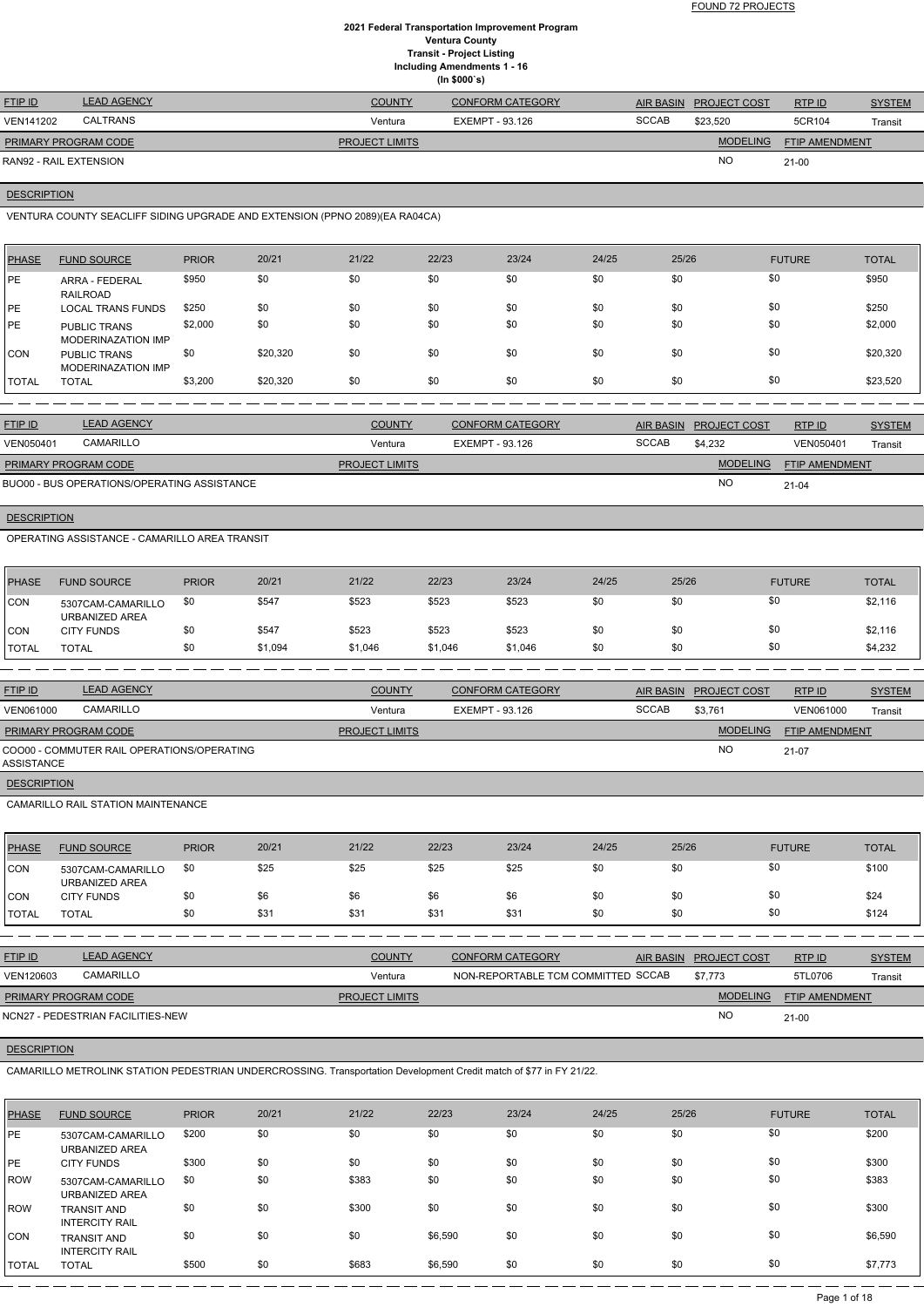FOUND 72 PROJECTS

## **2021 Federal Transportation Improvement Program Ventura County Transit - Project Listing Including Amendments 1 - 16 (In \$000`s)**

| <b>FTIP ID</b>              | <b>LEAD AGENCY</b> | <b>COUNTY</b>         | <b>CONFORM CATEGORY</b> |              | AIR BASIN PROJECT COST | RTP ID                | <b>SYSTEM</b> |
|-----------------------------|--------------------|-----------------------|-------------------------|--------------|------------------------|-----------------------|---------------|
| VEN141202                   | CALTRANS           | Ventura               | EXEMPT - 93.126         | <b>SCCAB</b> | \$23.520               | 5CR104                | Transit       |
| <b>PRIMARY PROGRAM CODE</b> |                    | <b>PROJECT LIMITS</b> |                         |              | <b>MODELING</b>        | <b>FTIP AMENDMENT</b> |               |
| RAN92 - RAIL EXTENSION      |                    |                       |                         |              | <b>NO</b>              | $21-00$               |               |

## **DESCRIPTION**

VENTURA COUNTY SEACLIFF SIDING UPGRADE AND EXTENSION (PPNO 2089)(EA RA04CA)

| <b>PHASE</b> | <b>FUND SOURCE</b>                        | <b>PRIOR</b> | 20/21    | 21/22 | 22/23 | 23/24 | 24/25 | 25/26 | <b>FUTURE</b> | <b>TOTAL</b> |
|--------------|-------------------------------------------|--------------|----------|-------|-------|-------|-------|-------|---------------|--------------|
| <b>IPE</b>   | ARRA - FEDERAL<br>RAILROAD                | \$950        | \$0      | \$0   | \$0   | \$0   | \$0   | \$0   | \$0           | \$950        |
| <b>IPE</b>   | <b>LOCAL TRANS FUNDS</b>                  | \$250        | \$0      | \$0   | \$0   | \$0   | \$0   | \$0   | \$0           | \$250        |
| <b>PE</b>    | <b>PUBLIC TRANS</b><br>MODERINAZATION IMP | \$2,000      | \$0      | \$0   | \$0   | \$0   | \$0   | \$0   | \$0           | \$2,000      |
| <b>ICON</b>  | <b>PUBLIC TRANS</b><br>MODERINAZATION IMP | \$0          | \$20,320 | \$0   | \$0   | \$0   | \$0   | \$0   | \$0           | \$20,320     |
| <b>TOTAL</b> | <b>TOTAL</b>                              | \$3,200      | \$20,320 | \$0   | \$0   | \$0   | \$0   | \$0   | \$0           | \$23,520     |

| <b>FTIP ID</b>              | <b>LEAD AGENCY</b>                          | <b>COUNTY</b>         | <b>CONFORM CATEGORY</b> |              | AIR BASIN PROJECT COST | <b>RTPID</b>          | <b>SYSTEM</b> |
|-----------------------------|---------------------------------------------|-----------------------|-------------------------|--------------|------------------------|-----------------------|---------------|
| <b>VEN050401</b>            | CAMARILLO                                   | Ventura               | EXEMPT - 93.126         | <b>SCCAB</b> | \$4.232                | VEN050401             | Transit       |
| <b>PRIMARY PROGRAM CODE</b> |                                             | <b>PROJECT LIMITS</b> |                         |              | <b>MODELING</b>        | <b>FTIP AMENDMENT</b> |               |
|                             | BUO00 - BUS OPERATIONS/OPERATING ASSISTANCE |                       |                         |              | <b>NO</b>              | $21 - 04$             |               |

## **DESCRIPTION**

OPERATING ASSISTANCE - CAMARILLO AREA TRANSIT

| PHASE        | <b>FUND SOURCE</b>                  | <b>PRIOR</b> | 20/21   | 21/22   | 22/23   | 23/24   | 24/25 | 25/26 | <b>FUTURE</b> | <b>TOTAL</b> |
|--------------|-------------------------------------|--------------|---------|---------|---------|---------|-------|-------|---------------|--------------|
| <b>CON</b>   | 5307CAM-CAMARILLO<br>URBANIZED AREA | \$0          | \$547   | \$523   | \$523   | \$523   | \$0   | \$0   | \$0           | \$2,116      |
| <b>CON</b>   | <b>CITY FUNDS</b>                   | \$0          | \$547   | \$523   | \$523   | \$523   | \$0   | \$0   | \$0           | \$2,116      |
| <b>TOTAL</b> | TOTAL                               | \$0          | \$1,094 | \$1,046 | \$1,046 | \$1,046 | \$0   | \$0   | \$0           | \$4,232      |

| <b>FTIP ID</b>       | <b>LEAD AGENCY</b>                         | <b>COUNTY</b>         | <b>CONFORM CATEGORY</b> | AIR BASIN    | <b>PROJECT COST</b> | RTP ID                | <b>SYSTEM</b> |
|----------------------|--------------------------------------------|-----------------------|-------------------------|--------------|---------------------|-----------------------|---------------|
| VEN061000            | CAMARILLO                                  | Ventura               | EXEMPT - 93.126         | <b>SCCAB</b> | \$3,761             | VEN061000             | Transit       |
| PRIMARY PROGRAM CODE |                                            | <b>PROJECT LIMITS</b> |                         |              | <b>MODELING</b>     | <b>FTIP AMENDMENT</b> |               |
| ASSISTANCE           | COO00 - COMMUTER RAIL OPERATIONS/OPERATING |                       |                         |              | NO                  | 21-07                 |               |
| <b>DESCRIPTION</b>   |                                            |                       |                         |              |                     |                       |               |

CAMARILLO RAIL STATION MAINTENANCE

| <b>PHASE</b>  | <b>FUND SOURCE</b>                  | <b>PRIOR</b> | 20/21 | 21/22 | 22/23 | 23/24 | 24/25 | 25/26 | <b>FUTURE</b> | <b>TOTAL</b> |
|---------------|-------------------------------------|--------------|-------|-------|-------|-------|-------|-------|---------------|--------------|
| <b>CON</b>    | 5307CAM-CAMARILLO<br>URBANIZED AREA | \$0          | \$25  | \$25  | \$25  | \$25  | \$0   | \$0   | \$0           | \$100        |
| ICON          | <b>CITY FUNDS</b>                   | \$0          | \$6   | \$6   | \$6   | \$6   | \$0   | \$0   | \$0           | \$24         |
| <b>ITOTAL</b> | <b>TOTAL</b>                        | \$0          | \$31  | \$31  | \$31  | \$31  | \$0   | \$0   | \$0           | \$124        |

| <b>FTIP ID</b> | <b>LEAD AGENCY</b> | <b>COUNTY</b> | <b>CONFORM CATEGORY</b>      | AIR BASIN | <b>PROJECT COST</b> | <b>RTPID</b> | <b>SYSTEM</b> |
|----------------|--------------------|---------------|------------------------------|-----------|---------------------|--------------|---------------|
| VEN120603      | CAMARILLO          | Ventura       | NON-REPORTABLE TCM COMMITTED | SCCAB     | \$7,773             | 5TL0706      | Transit       |

NO

**DESCRIPTION** 

21-00

NCN27 - PEDESTRIAN FACILITIES-NEW

CAMARILLO METROLINK STATION PEDESTRIAN UNDERCROSSING. Transportation Development Credit match of \$77 in FY 21/22.

| PHASE | <b>FUND SOURCE</b>                          | <b>PRIOR</b> | 20/21 | 21/22 | 22/23   | 23/24 | 24/25 | 25/26 | <b>FUTURE</b> | <b>TOTAL</b> |
|-------|---------------------------------------------|--------------|-------|-------|---------|-------|-------|-------|---------------|--------------|
| PE    | 5307CAM-CAMARILLO<br>URBANIZED AREA         | \$200        | \$0   | \$0   | \$0     | \$0   | \$0   | \$0   | \$0           | \$200        |
| PE    | <b>CITY FUNDS</b>                           | \$300        | \$0   | \$0   | \$0     | \$0   | \$0   | \$0   | \$0           | \$300        |
| l ROW | 5307CAM-CAMARILLO<br>URBANIZED AREA         | \$0          | \$0   | \$383 | \$0     | \$0   | \$0   | \$0   | \$0           | \$383        |
| ROW   | <b>TRANSIT AND</b><br><b>INTERCITY RAIL</b> | \$0          | \$0   | \$300 | \$0     | \$0   | \$0   | \$0   | \$0           | \$300        |
| ICON. | <b>TRANSIT AND</b><br><b>INTERCITY RAIL</b> | \$0          | \$0   | \$0   | \$6,590 | \$0   | \$0   | \$0   | \$0           | \$6,590      |
| TOTAL | <b>TOTAL</b>                                | \$500        | \$0   | \$683 | \$6,590 | \$0   | \$0   | \$0   | \$0           | \$7,773      |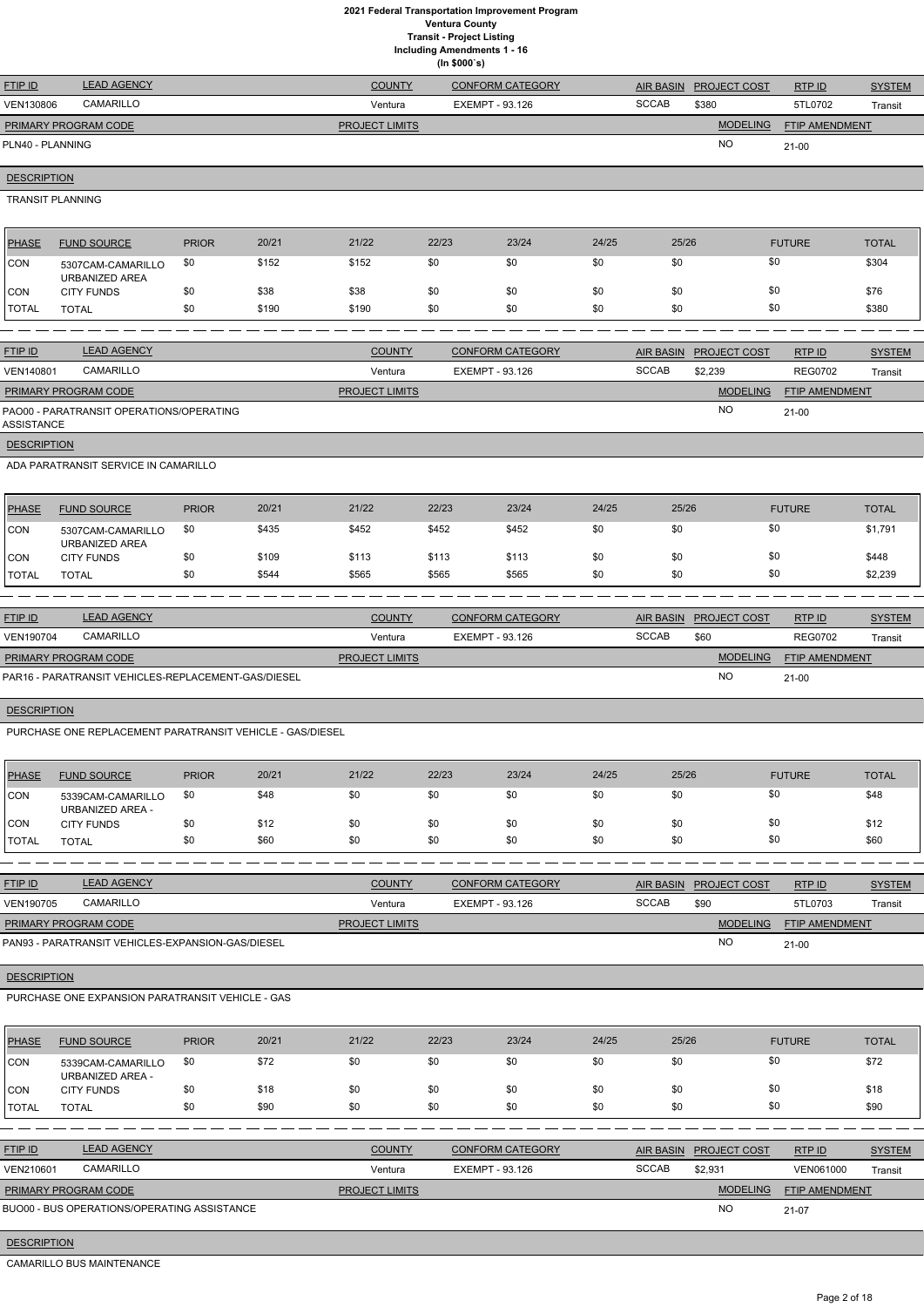|                    | <b>Ventura County</b><br><b>Transit - Project Listing</b><br><b>Including Amendments 1 - 16</b><br>(ln \$000's) |              |       |                       |       |                         |       |                  |                     |                |               |  |  |
|--------------------|-----------------------------------------------------------------------------------------------------------------|--------------|-------|-----------------------|-------|-------------------------|-------|------------------|---------------------|----------------|---------------|--|--|
| FTIP ID            | <b>LEAD AGENCY</b>                                                                                              |              |       | <b>COUNTY</b>         |       | <b>CONFORM CATEGORY</b> |       | <b>AIR BASIN</b> | PROJECT COST        | RTP ID         | <b>SYSTEM</b> |  |  |
| VEN130806          | CAMARILLO                                                                                                       |              |       | Ventura               |       | <b>EXEMPT - 93.126</b>  |       | <b>SCCAB</b>     | \$380               | 5TL0702        | Transit       |  |  |
|                    | PRIMARY PROGRAM CODE                                                                                            |              |       | <b>PROJECT LIMITS</b> |       |                         |       |                  | <b>MODELING</b>     | FTIP AMENDMENT |               |  |  |
| PLN40 - PLANNING   |                                                                                                                 |              |       |                       |       |                         |       |                  | <b>NO</b>           | $21-00$        |               |  |  |
| <b>DESCRIPTION</b> |                                                                                                                 |              |       |                       |       |                         |       |                  |                     |                |               |  |  |
|                    | <b>TRANSIT PLANNING</b>                                                                                         |              |       |                       |       |                         |       |                  |                     |                |               |  |  |
| <b>PHASE</b>       | <b>FUND SOURCE</b>                                                                                              | <b>PRIOR</b> | 20/21 | 21/22                 | 22/23 | 23/24                   | 24/25 | 25/26            |                     | <b>FUTURE</b>  | <b>TOTAL</b>  |  |  |
| CON                | 5307CAM-CAMARILLO<br>URBANIZED AREA                                                                             | \$0          | \$152 | \$152                 | \$0   | \$0                     | \$0   | \$0              |                     | \$0            | \$304         |  |  |
| <b>CON</b>         | <b>CITY FUNDS</b>                                                                                               | \$0          | \$38  | \$38                  | \$0   | \$0                     | \$0   | \$0              |                     | \$0            | \$76          |  |  |
| <b>TOTAL</b>       | <b>TOTAL</b>                                                                                                    | \$0          | \$190 | \$190                 | \$0   | \$0                     | \$0   | \$0              |                     | \$0            | \$380         |  |  |
|                    |                                                                                                                 |              |       |                       |       |                         |       |                  |                     |                |               |  |  |
| FTIP ID            | <b>LEAD AGENCY</b>                                                                                              |              |       | <b>COUNTY</b>         |       | <b>CONFORM CATEGORY</b> |       | <b>AIR BASIN</b> | <b>PROJECT COST</b> | RTP ID         | <b>SYSTEM</b> |  |  |
| VEN140801          | CAMARILLO                                                                                                       |              |       | Ventura               |       | <b>EXEMPT - 93.126</b>  |       | <b>SCCAB</b>     | \$2,239             | <b>REG0702</b> | Transit       |  |  |
|                    | PRIMARY PROGRAM CODE                                                                                            |              |       | <b>PROJECT LIMITS</b> |       |                         |       |                  | <b>MODELING</b>     | FTIP AMENDMENT |               |  |  |
| <b>ASSISTANCE</b>  | PAO00 - PARATRANSIT OPERATIONS/OPERATING                                                                        |              |       |                       |       |                         |       |                  | <b>NO</b>           | $21-00$        |               |  |  |
| <b>DESCRIPTION</b> |                                                                                                                 |              |       |                       |       |                         |       |                  |                     |                |               |  |  |
|                    | ADA PARATRANSIT SERVICE IN CAMARILLO                                                                            |              |       |                       |       |                         |       |                  |                     |                |               |  |  |
| PHASE              | <b>FUND SOURCE</b>                                                                                              | <b>PRIOR</b> | 20/21 | 21/22                 | 22/23 | 23/24                   | 24/25 | 25/26            |                     | <b>FUTURE</b>  | <b>TOTAL</b>  |  |  |
| <b>CON</b>         | 5307CAM-CAMARILLO<br>URBANIZED AREA                                                                             | \$0          | \$435 | \$452                 | \$452 | \$452                   | \$0   | \$0              |                     | \$0            | \$1,791       |  |  |
| <b>CON</b>         | <b>CITY FUNDS</b>                                                                                               | \$0          | \$109 | \$113                 | \$113 | \$113                   | \$0   | \$0              |                     | \$0            | \$448         |  |  |
| <b>TOTAL</b>       | <b>TOTAL</b>                                                                                                    | \$0          | \$544 | \$565                 | \$565 | \$565                   | \$0   | \$0              |                     | \$0            | \$2,239       |  |  |
|                    |                                                                                                                 |              |       |                       |       |                         |       |                  |                     |                |               |  |  |

| <b>FTIP ID</b>       | <b>LEAD AGENCY</b>                                  | <b>COUNTY</b>         | <b>CONFORM CATEGORY</b> |       | AIR BASIN PROJECT COST | RTPID                 | <b>SYSTEM</b> |
|----------------------|-----------------------------------------------------|-----------------------|-------------------------|-------|------------------------|-----------------------|---------------|
| <b>VEN190704</b>     | CAMARILLO                                           | Ventura               | EXEMPT - 93.126         | SCCAB | \$60                   | <b>REG0702</b>        | Transit       |
| PRIMARY PROGRAM CODE |                                                     | <b>PROJECT LIMITS</b> |                         |       | <b>MODELING</b>        | <b>FTIP AMENDMENT</b> |               |
|                      | PAR16 - PARATRANSIT VEHICLES-REPLACEMENT-GAS/DIESEL |                       |                         |       | <b>NC</b>              | $21 - 00$             |               |

# **DESCRIPTION**

PURCHASE ONE REPLACEMENT PARATRANSIT VEHICLE - GAS/DIESEL

| PHASE        | <b>FUND SOURCE</b>                    | <b>PRIOR</b> | 20/21 | 21/22 | 22/23 | 23/24 | 24/25 | 25/26 | <b>FUTURE</b> | <b>TOTAL</b> |
|--------------|---------------------------------------|--------------|-------|-------|-------|-------|-------|-------|---------------|--------------|
| <b>ICON</b>  | 5339CAM-CAMARILLO<br>URBANIZED AREA - | \$0          | \$48  | \$0   | \$0   | \$0   | \$0   | \$0   | \$0           | \$48         |
| CON          | <b>CITY FUNDS</b>                     | \$0          | \$12  | \$0   | \$0   | \$0   | \$0   | \$0   | \$0           | \$12         |
| <b>TOTAL</b> | <b>TOTAL</b>                          | \$0          | \$60  | \$0   | \$0   | \$0   | \$0   | \$0   | \$0           | \$60         |

| <b>FTIP ID</b>       | <b>LEAD AGENCY</b>                                | <b>COUNTY</b>         | <b>CONFORM CATEGORY</b> | <b>AIR BASIN</b> | <b>PROJECT COST</b> | RTP ID                | <b>SYSTEM</b> |
|----------------------|---------------------------------------------------|-----------------------|-------------------------|------------------|---------------------|-----------------------|---------------|
| <b>VEN190705</b>     | <b>CAMARILLO</b>                                  | Ventura               | EXEMPT - 93.126         | <b>SCCAB</b>     | \$90                | 5TL0703               | Transit       |
| PRIMARY PROGRAM CODE |                                                   | <b>PROJECT LIMITS</b> |                         |                  | <b>MODELING</b>     | <b>FTIP AMENDMENT</b> |               |
|                      | PAN93 - PARATRANSIT VEHICLES-EXPANSION-GAS/DIESEL |                       |                         |                  | <b>NO</b>           | $21 - 00$             |               |

| PHASE                | <b>FUND SOURCE</b>                    | <b>PRIOR</b> | 20/21 | 21/22 | 22/23 | 23/24 | 24/25 | 25/26 | <b>FUTURE</b> | <b>TOTAL</b> |
|----------------------|---------------------------------------|--------------|-------|-------|-------|-------|-------|-------|---------------|--------------|
| CON                  | 5339CAM-CAMARILLO<br>URBANIZED AREA - | \$0          | \$72  | \$0   | \$0   | \$0   | \$0   | \$0   | \$0           | \$72         |
| CON                  | <b>CITY FUNDS</b>                     | \$0          | \$18  | \$0   | \$0   | \$0   | \$0   | \$0   | \$0           | \$18         |
| <b><i>ITOTAL</i></b> | <b>TOTAL</b>                          | \$0          | \$90  | \$0   | \$0   | \$0   | \$0   | \$0   | \$0           | \$90         |

| <b>FTIP ID</b>              | <b>LEAD AGENCY</b>                          | <b>COUNTY</b>         | <b>CONFORM CATEGORY</b> |              | AIR BASIN PROJECT COST | RTP ID                | <b>SYSTEM</b> |
|-----------------------------|---------------------------------------------|-----------------------|-------------------------|--------------|------------------------|-----------------------|---------------|
| VEN210601                   | CAMARILLO                                   | Ventura               | EXEMPT - 93.126         | <b>SCCAB</b> | \$2.931                | VEN061000             | Transit       |
| <b>PRIMARY PROGRAM CODE</b> |                                             | <b>PROJECT LIMITS</b> |                         |              | <b>MODELING</b>        | <b>FTIP AMENDMENT</b> |               |
|                             | BUO00 - BUS OPERATIONS/OPERATING ASSISTANCE |                       |                         |              | <b>NO</b>              | 21-07                 |               |

**DESCRIPTION** 

CAMARILLO BUS MAINTENANCE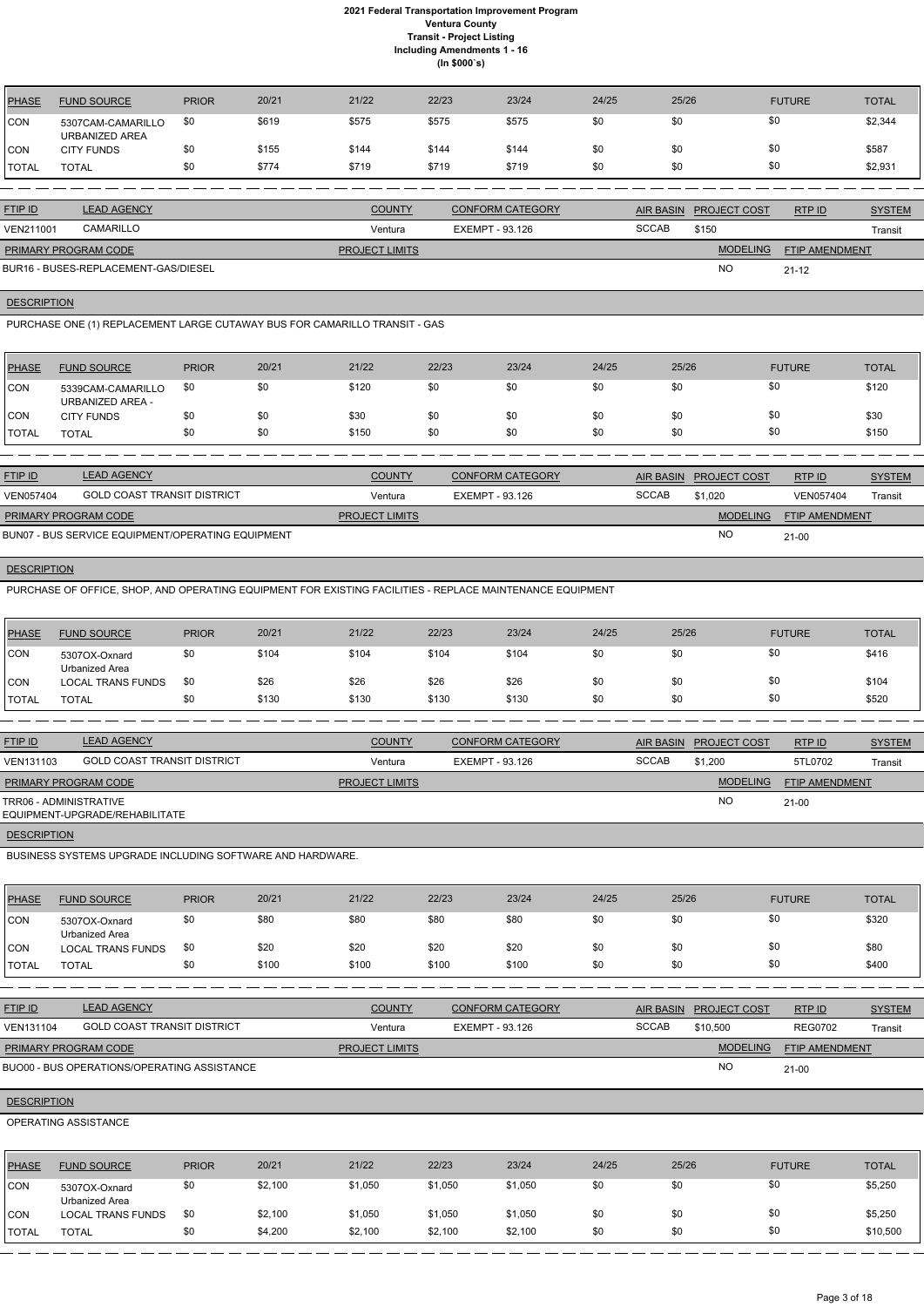| <b>PHASE</b> | <b>FUND SOURCE</b>                  | <b>PRIOR</b> | 20/21 | 21/22 | 22/23 | 23/24 | 24/25 | 25/26 | <b>FUTURE</b> | <b>TOTAL</b> |
|--------------|-------------------------------------|--------------|-------|-------|-------|-------|-------|-------|---------------|--------------|
| <b>CON</b>   | 5307CAM-CAMARILLO<br>URBANIZED AREA | \$0          | \$619 | \$575 | \$575 | \$575 | \$0   | \$0   | \$0           | \$2,344      |
| <b>CON</b>   | <b>CITY FUNDS</b>                   | \$0          | \$155 | \$144 | \$144 | \$144 | \$0   | \$0   | \$0           | \$587        |
| <b>TOTAL</b> | <b>TOTAL</b>                        | \$0          | \$774 | \$719 | \$719 | \$719 | \$0   | \$0   | \$0           | \$2,931      |

| <b>FTIP ID</b>              | <b>LEAD AGENCY</b>                   | <b>COUNTY</b>         | <b>CONFORM CATEGORY</b> |              | AIR BASIN PROJECT COST | RTPID                 | <b>SYSTEM</b> |
|-----------------------------|--------------------------------------|-----------------------|-------------------------|--------------|------------------------|-----------------------|---------------|
| <b>VEN211001</b>            | CAMARILLO                            | Ventura               | EXEMPT - 93.126         | <b>SCCAB</b> | \$150                  |                       | Transit       |
| <b>PRIMARY PROGRAM CODE</b> |                                      | <b>PROJECT LIMITS</b> |                         |              | <b>MODELING</b>        | <b>FTIP AMENDMENT</b> |               |
|                             | BUR16 - BUSES-REPLACEMENT-GAS/DIESEL |                       |                         |              | <b>NC</b>              | $21 - 12$             |               |

**DESCRIPTION** 

PURCHASE ONE (1) REPLACEMENT LARGE CUTAWAY BUS FOR CAMARILLO TRANSIT - GAS

| PHASE         | <b>FUND SOURCE</b>                           | <b>PRIOR</b> | 20/21 | 21/22 | 22/23 | 23/24 | 24/25 | 25/26 | <b>FUTURE</b> | <b>TOTAL</b> |
|---------------|----------------------------------------------|--------------|-------|-------|-------|-------|-------|-------|---------------|--------------|
| <b>CON</b>    | 5339CAM-CAMARILLO<br><b>URBANIZED AREA -</b> | \$0          | \$0   | \$120 | \$0   | \$0   | \$0   | \$0   | \$0           | \$120        |
| <b>CON</b>    | <b>CITY FUNDS</b>                            | \$0          | \$0   | \$30  | \$0   | \$0   | \$0   | \$0   | \$0           | \$30         |
| <b>ITOTAL</b> | TOTAL                                        | \$0          | \$0   | \$150 | \$0   | \$0   | \$0   | \$0   | \$0           | \$150        |

| <b>FTIP ID</b>       | <b>LEAD AGENCY</b>                                | <b>COUNTY</b>         | <b>CONFORM CATEGORY</b> |              | AIR BASIN PROJECT COST | RTPID                 | <b>SYSTEM</b> |
|----------------------|---------------------------------------------------|-----------------------|-------------------------|--------------|------------------------|-----------------------|---------------|
| <b>VEN057404</b>     | <b>GOLD COAST TRANSIT DISTRICT</b>                | Ventura               | EXEMPT - 93.126         | <b>SCCAB</b> | \$1.020                | VEN057404             | Transit       |
| PRIMARY PROGRAM CODE |                                                   | <b>PROJECT LIMITS</b> |                         |              | <b>MODELING</b>        | <b>FTIP AMENDMENT</b> |               |
|                      | BUN07 - BUS SERVICE EQUIPMENT/OPERATING EQUIPMENT |                       |                         |              | <b>NC</b>              | $21 - 00$             |               |

**DESCRIPTION** 

PURCHASE OF OFFICE, SHOP, AND OPERATING EQUIPMENT FOR EXISTING FACILITIES - REPLACE MAINTENANCE EQUIPMENT

| <b>PHASE</b> | <b>FUND SOURCE</b>              | <b>PRIOR</b> | 20/21 | 21/22 | 22/23 | 23/24 | 24/25 | 25/26 | <b>FUTURE</b> | <b>TOTAL</b> |
|--------------|---------------------------------|--------------|-------|-------|-------|-------|-------|-------|---------------|--------------|
| <b>CON</b>   | 5307OX-Oxnard<br>Urbanized Area | \$0          | \$104 | \$104 | \$104 | \$104 | \$0   | \$0   | \$0           | \$416        |
| <b>CON</b>   | <b>LOCAL TRANS FUNDS</b>        | \$0          | \$26  | \$26  | \$26  | \$26  | \$0   | \$0   | \$0           | \$104        |
| <b>TOTAL</b> | <b>TOTAL</b>                    | \$0          | \$130 | \$130 | \$130 | \$130 | \$0   | \$0   | \$0           | \$520        |

| <b>FTIP ID</b>              | <b>LEAD AGENCY</b>                 | <b>COUNTY</b>         | <b>CONFORM CATEGORY</b> |              | <b>AIR BASIN PROJECT COST</b> | RTP ID                | <b>SYSTEM</b> |
|-----------------------------|------------------------------------|-----------------------|-------------------------|--------------|-------------------------------|-----------------------|---------------|
| VEN131103                   | <b>GOLD COAST TRANSIT DISTRICT</b> | Ventura               | EXEMPT - 93.126         | <b>SCCAB</b> | \$1,200                       | 5TL0702               | Transit       |
| <b>PRIMARY PROGRAM CODE</b> |                                    | <b>PROJECT LIMITS</b> |                         |              | <b>MODELING</b>               | <b>FTIP AMENDMENT</b> |               |
| TRR06 - ADMINISTRATIVE      | EQUIPMENT-UPGRADE/REHABILITATE     |                       |                         |              | NO                            | $21-00$               |               |
| <b>DESCRIPTION</b>          |                                    |                       |                         |              |                               |                       |               |

BUSINESS SYSTEMS UPGRADE INCLUDING SOFTWARE AND HARDWARE.

| PHASE        | <b>FUND SOURCE</b>              | <b>PRIOR</b> | 20/21 | 21/22 | 22/23 | 23/24 | 24/25 | 25/26 | <b>FUTURE</b> | <b>TOTAL</b> |
|--------------|---------------------------------|--------------|-------|-------|-------|-------|-------|-------|---------------|--------------|
| <b>ICON</b>  | 5307OX-Oxnard<br>Urbanized Area | \$0          | \$80  | \$80  | \$80  | \$80  | \$0   | \$0   | \$0           | \$320        |
| <b>CON</b>   | <b>LOCAL TRANS FUNDS</b>        | \$0          | \$20  | \$20  | \$20  | \$20  | \$0   | \$0   | \$0           | \$80         |
| <b>TOTAL</b> | <b>TOTAL</b>                    |              | \$100 | \$100 | \$100 | \$100 | \$0   | \$0   | \$0           | \$400        |

| <b>FTIP ID</b>              | <b>LEAD AGENCY</b>                          | <b>COUNTY</b>         | CONFORM CATEGORY | <b>AIR BASIN</b> | <b>PROJECT COST</b> | RTPID                 | <b>SYSTEM</b> |
|-----------------------------|---------------------------------------------|-----------------------|------------------|------------------|---------------------|-----------------------|---------------|
| VEN131104                   | <b>GOLD COAST TRANSIT DISTRICT</b>          | Ventura               | EXEMPT - 93.126  | <b>SCCAB</b>     | \$10,500            | <b>REG0702</b>        | Transit       |
| <b>PRIMARY PROGRAM CODE</b> |                                             | <b>PROJECT LIMITS</b> |                  |                  | <b>MODELING</b>     | <b>FTIP AMENDMENT</b> |               |
|                             | BUO00 - BUS OPERATIONS/OPERATING ASSISTANCE |                       |                  |                  | <b>NO</b>           | $21 - 00$             |               |

# **DESCRIPTION**

## OPERATING ASSISTANCE

| <b>PHASE</b> | <b>FUND SOURCE</b>              | <b>PRIOR</b> | 20/21   | 21/22   | 22/23   | 23/24   | 24/25 | 25/26 | <b>FUTURE</b> | <b>TOTAL</b> |
|--------------|---------------------------------|--------------|---------|---------|---------|---------|-------|-------|---------------|--------------|
| <b>CON</b>   | 5307OX-Oxnard<br>Urbanized Area | \$0          | \$2,100 | \$1,050 | \$1,050 | \$1,050 | \$0   | \$0   | \$0           | \$5,250      |
| <b>CON</b>   | <b>LOCAL TRANS FUNDS</b>        | \$0          | \$2,100 | \$1,050 | \$1,050 | \$1,050 | \$0   | \$0   | \$0           | \$5,250      |
| <b>TOTAL</b> | <b>TOTAL</b>                    |              | \$4,200 | \$2,100 | \$2,100 | \$2,100 | \$0   | \$0   | \$0           | \$10,500     |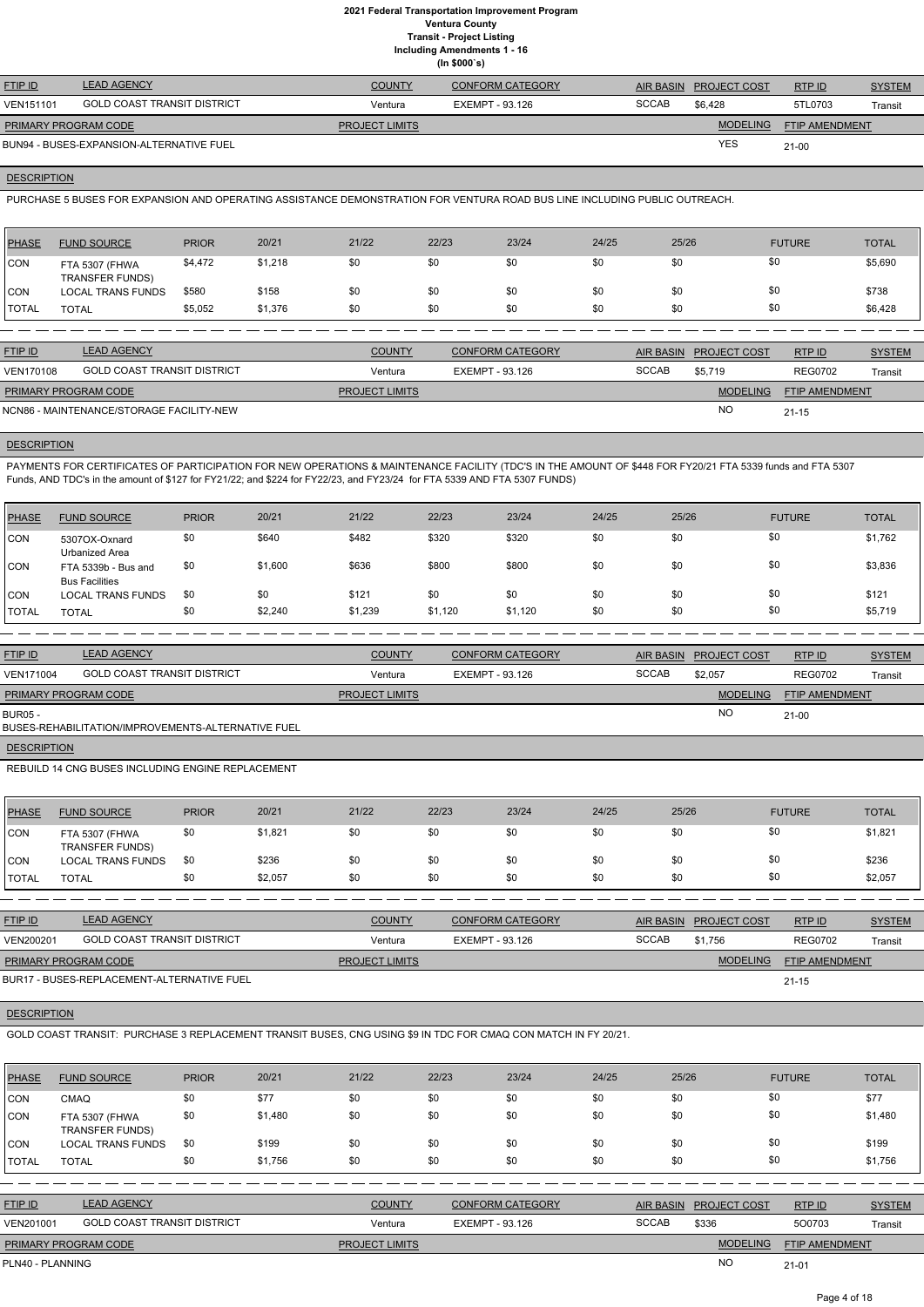**Including Amendments 1 - 16**

|  | ng Amenuments |  |
|--|---------------|--|
|  | (ln \$000's)  |  |

| <b>FTIP ID</b>              | <b>LEAD AGENCY</b>                       | <b>COUNTY</b>         | CONFORM CATEGORY | AIR BASIN    | <b>PROJECT COST</b> | RTPID                 | <b>SYSTEM</b> |
|-----------------------------|------------------------------------------|-----------------------|------------------|--------------|---------------------|-----------------------|---------------|
| <b>VEN151101</b>            | <b>GOLD COAST TRANSIT DISTRICT</b>       | Ventura               | EXEMPT - 93.126  | <b>SCCAB</b> | \$6.428             | 5TL0703               | Transit       |
| <b>PRIMARY PROGRAM CODE</b> |                                          | <b>PROJECT LIMITS</b> |                  |              | <b>MODELING</b>     | <b>FTIP AMENDMENT</b> |               |
|                             | BUN94 - BUSES-EXPANSION-ALTERNATIVE FUEL |                       |                  |              | YES                 | 21-00                 |               |

## **DESCRIPTION**

PURCHASE 5 BUSES FOR EXPANSION AND OPERATING ASSISTANCE DEMONSTRATION FOR VENTURA ROAD BUS LINE INCLUDING PUBLIC OUTREACH.

| <b>PHASE</b> | <b>FUND SOURCE</b>                       | <b>PRIOR</b> | 20/21   | 21/22 | 22/23 | 23/24 | 24/25 | 25/26 | <b>FUTURE</b> | <b>TOTAL</b> |
|--------------|------------------------------------------|--------------|---------|-------|-------|-------|-------|-------|---------------|--------------|
| <b>CON</b>   | FTA 5307 (FHWA<br><b>TRANSFER FUNDS)</b> | \$4,472      | \$1,218 | \$0   | \$0   | \$0   | \$0   | \$0   | \$0           | \$5,690      |
| <b>CON</b>   | <b>LOCAL TRANS FUNDS</b>                 | \$580        | \$158   | \$0   | \$0   | \$0   | \$0   | \$0   | \$0           | \$738        |
| <b>TOTAL</b> | TOTAL                                    | \$5,052      | \$1,376 | \$0   | \$0   | \$0   | \$0   | \$0   | \$0           | \$6,428      |

PAYMENTS FOR CERTIFICATES OF PARTICIPATION FOR NEW OPERATIONS & MAINTENANCE FACILITY (TDC'S IN THE AMOUNT OF \$448 FOR FY20/21 FTA 5339 funds and FTA 5307 Funds, AND TDC's in the amount of \$127 for FY21/22; and \$224 for FY22/23, and FY23/24 for FTA 5339 AND FTA 5307 FUNDS)

| <b>FTIP ID</b>              | <b>LEAD AGENCY</b>                       | <b>COUNTY</b>         | <b>CONFORM CATEGORY</b> |              | AIR BASIN PROJECT COST | RTPID                 | <b>SYSTEM</b> |
|-----------------------------|------------------------------------------|-----------------------|-------------------------|--------------|------------------------|-----------------------|---------------|
| <b>VEN170108</b>            | <b>GOLD COAST TRANSIT DISTRICT</b>       | Ventura               | EXEMPT - 93.126         | <b>SCCAB</b> | \$5.719                | <b>REG0702</b>        | Transit       |
| <b>PRIMARY PROGRAM CODE</b> |                                          | <b>PROJECT LIMITS</b> |                         |              | <b>MODELING</b>        | <b>FTIP AMENDMENT</b> |               |
|                             | NCN86 - MAINTENANCE/STORAGE FACILITY-NEW |                       |                         |              | <b>NO</b>              | $21 - 15$             |               |

## **DESCRIPTION**

| PHASE      | <b>FUND SOURCE</b>                           | <b>PRIOR</b> | 20/21   | 21/22   | 22/23   | 23/24   | 24/25 | 25/26 | <b>FUTURE</b> | <b>TOTAL</b> |
|------------|----------------------------------------------|--------------|---------|---------|---------|---------|-------|-------|---------------|--------------|
| CON        | 5307OX-Oxnard<br>Urbanized Area              | \$0          | \$640   | \$482   | \$320   | \$320   | \$0   | \$0   | \$0           | \$1,762      |
| CON        | FTA 5339b - Bus and<br><b>Bus Facilities</b> | \$0          | \$1,600 | \$636   | \$800   | \$800   | \$0   | \$0   | \$0           | \$3,836      |
| <b>CON</b> | <b>LOCAL TRANS FUNDS</b>                     | \$0          | \$0     | \$121   | \$0     | \$0     | \$0   | \$0   | \$0           | \$121        |
| 'TOTAL     | <b>TOTAL</b>                                 | \$0          | \$2,240 | \$1,239 | \$1,120 | \$1,120 | \$0   | \$0   | \$0           | \$5,719      |

| <b>LEAD AGENCY</b><br><b>FTIP ID</b> |                                                    | <b>COUNTY</b>         | <b>CONFORM CATEGORY</b> | AIR BASIN    | <b>PROJECT COST</b> | RTP ID                | <b>SYSTEM</b> |
|--------------------------------------|----------------------------------------------------|-----------------------|-------------------------|--------------|---------------------|-----------------------|---------------|
| <b>VEN171004</b>                     | <b>GOLD COAST TRANSIT DISTRICT</b>                 | Ventura               | EXEMPT - 93.126         | <b>SCCAB</b> | \$2,057             | <b>REG0702</b>        | Transit       |
| PRIMARY PROGRAM CODE                 |                                                    | <b>PROJECT LIMITS</b> |                         |              | <b>MODELING</b>     | <b>FTIP AMENDMENT</b> |               |
| <b>BUR05 -</b>                       | BUSES-REHABILITATION/IMPROVEMENTS-ALTERNATIVE FUEL |                       |                         |              | NO                  | $21-00$               |               |
|                                      |                                                    |                       |                         |              |                     |                       |               |

**DESCRIPTION** 

REBUILD 14 CNG BUSES INCLUDING ENGINE REPLACEMENT

| <b>PHASE</b> | <b>FUND SOURCE</b>                       | <b>PRIOR</b> | 20/21   | 21/22 | 22/23 | 23/24 | 24/25 | 25/26 | <b>FUTURE</b> | <b>TOTAL</b> |
|--------------|------------------------------------------|--------------|---------|-------|-------|-------|-------|-------|---------------|--------------|
| CON          | FTA 5307 (FHWA<br><b>TRANSFER FUNDS)</b> | \$0          | \$1,821 | \$0   | \$0   | \$0   | \$0   | \$0   | \$0           | \$1,821      |
| <b>CON</b>   | <b>LOCAL TRANS FUNDS</b>                 | \$0          | \$236   | \$0   | \$0   | \$0   | \$0   | \$0   | \$0           | \$236        |
| <b>TOTAL</b> | <b>TOTAL</b>                             | \$0          | \$2,057 | \$0   | \$0   | \$0   | \$0   | \$0   | \$0           | \$2,057      |

| <b>FTIP ID</b>              | <b>LEAD AGENCY</b>          | <b>COUNTY</b>         | CONFORM CATEGORY |       | <b>AIR BASIN PROJECT COST</b> | RTPID                 | <b>SYSTEM</b> |
|-----------------------------|-----------------------------|-----------------------|------------------|-------|-------------------------------|-----------------------|---------------|
| VEN200201                   | GOLD COAST TRANSIT DISTRICT | Ventura               | EXEMPT - 93.126  | SCCAB | \$1.756                       | <b>REG0702</b>        | Transit       |
| <b>PRIMARY PROGRAM CODE</b> |                             | <b>PROJECT LIMITS</b> |                  |       | <b>MODELING</b>               | <b>FTIP AMENDMENT</b> |               |
|                             |                             |                       |                  |       |                               |                       |               |

## **DESCRIPTION**

BUR17 - BUSES-REPLACEMENT-ALTERNATIVE FUEL

GOLD COAST TRANSIT: PURCHASE 3 REPLACEMENT TRANSIT BUSES, CNG USING \$9 IN TDC FOR CMAQ CON MATCH IN FY 20/21.

| <b>PHASE</b> | <b>FUND SOURCE</b>                       | <b>PRIOR</b> | 20/21   | 21/22 | 22/23 | 23/24 | 24/25 | 25/26 | <b>FUTURE</b> | <b>TOTAL</b> |
|--------------|------------------------------------------|--------------|---------|-------|-------|-------|-------|-------|---------------|--------------|
| <b>ICON</b>  | <b>CMAQ</b>                              | \$0          | \$77    | \$0   | \$0   | \$0   | \$0   | \$0   | \$0           | \$77         |
| <b>CON</b>   | FTA 5307 (FHWA<br><b>TRANSFER FUNDS)</b> | \$0          | \$1,480 | \$0   | \$0   | \$0   | \$0   | \$0   | \$0           | \$1,480      |
| CON          | <b>LOCAL TRANS FUNDS</b>                 | \$0          | \$199   | \$0   | \$0   | \$0   | \$0   | \$0   | \$0           | \$199        |
| <b>TOTAL</b> | <b>TOTAL</b>                             | \$0          | \$1,756 | \$0   | \$0   | \$0   | \$0   | \$0   | \$0           | \$1,756      |

| <b>FTIP ID</b>              | <b>LEAD AGENCY</b>                 | <b>COUNTY</b>         | <b>CONFORM CATEGORY</b> |              | AIR BASIN PROJECT COST | RTPID                 | <b>SYSTEM</b> |
|-----------------------------|------------------------------------|-----------------------|-------------------------|--------------|------------------------|-----------------------|---------------|
| VEN201001                   | <b>GOLD COAST TRANSIT DISTRICT</b> | Ventura               | EXEMPT - 93.126         | <b>SCCAB</b> | \$336                  | 500703                | Transit       |
| <b>PRIMARY PROGRAM CODE</b> |                                    | <b>PROJECT LIMITS</b> |                         |              | <b>MODELING</b>        | <b>FTIP AMENDMENT</b> |               |
| PLN40 - PLANNING            |                                    |                       |                         |              | <b>NO</b>              | $21 - 01$             |               |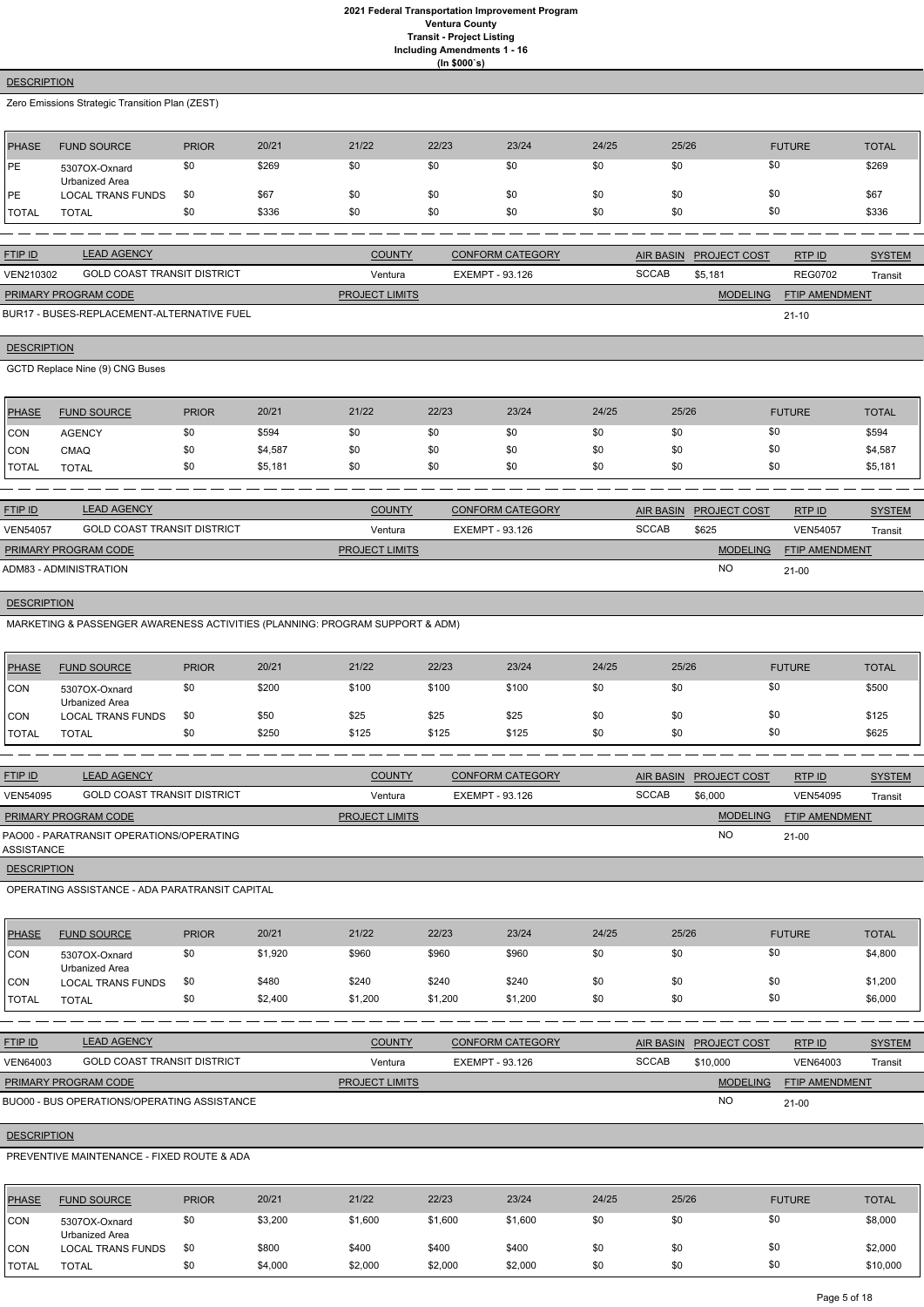## **DESCRIPTION**

Zero Emissions Strategic Transition Plan (ZEST)

| PHASE        | <b>FUND SOURCE</b>              | <b>PRIOR</b> | 20/21 | 21/22 | 22/23 | 23/24 | 24/25 | 25/26 | <b>FUTURE</b> | <b>TOTAL</b> |
|--------------|---------------------------------|--------------|-------|-------|-------|-------|-------|-------|---------------|--------------|
| PE           | 5307OX-Oxnard<br>Urbanized Area | \$0          | \$269 | \$0   | \$0   | \$0   | \$0   | \$0   | \$0           | \$269        |
| PE           | LOCAL TRANS FUNDS               | -\$0         | \$67  | \$0   | \$0   | \$0   | \$0   | \$0   | \$0           | \$67         |
| <b>TOTAL</b> | TOTAL                           | \$0          | \$336 | \$0   | \$0   | \$0   | \$0   | \$0   | \$0           | \$336        |

| <b>FTIP ID</b>              | <b>LEAD AGENCY</b>          | <b>COUNTY</b>         | <b>CONFORM CATEGORY</b> |              | AIR BASIN PROJECT COST | RTP ID                | <b>SYSTEM</b> |
|-----------------------------|-----------------------------|-----------------------|-------------------------|--------------|------------------------|-----------------------|---------------|
| VEN210302                   | GOLD COAST TRANSIT DISTRICT | Ventura               | EXEMPT - 93.126         | <b>SCCAB</b> | \$5.181                | <b>REG0702</b>        | Transit       |
| <b>PRIMARY PROGRAM CODE</b> |                             | <b>PROJECT LIMITS</b> |                         |              | <b>MODELING</b>        | <b>FTIP AMENDMENT</b> |               |

21-10

BUR17 - BUSES-REPLACEMENT-ALTERNATIVE FUEL

## **DESCRIPTION**

GCTD Replace Nine (9) CNG Buses

| PHASE         | <b>FUND SOURCE</b> | <b>PRIOR</b> | 20/21   | 21/22 | 22/23 | 23/24 | 24/25 | 25/26 | <b>FUTURE</b> | <b>TOTAL</b> |
|---------------|--------------------|--------------|---------|-------|-------|-------|-------|-------|---------------|--------------|
| <b>CON</b>    | <b>AGENCY</b>      | \$0          | \$594   | \$0   | \$0   | \$0   | \$0   | \$0   |               | \$594        |
| <b>CON</b>    | <b>CMAQ</b>        | \$0          | \$4,587 | \$0   | \$0   | \$0   | \$0   | \$0   |               | \$4,587      |
| <b>'TOTAL</b> | <b>TOTAL</b>       | \$0          | \$5,181 | \$0   | \$0   | \$0   | \$0   | \$0   |               | \$5,181      |

| <b>FTIP ID</b>         | <b>LEAD AGENCY</b>                 | <b>COUNTY</b>         | <b>CONFORM CATEGORY</b> | <b>AIR BASIN</b> | <b>PROJECT COST</b> | RTP ID                | <b>SYSTEM</b> |
|------------------------|------------------------------------|-----------------------|-------------------------|------------------|---------------------|-----------------------|---------------|
| <b>VEN54057</b>        | <b>GOLD COAST TRANSIT DISTRICT</b> | Ventura               | EXEMPT - 93.126         | <b>SCCAB</b>     | \$625               | <b>VEN54057</b>       | Transit       |
| PRIMARY PROGRAM CODE   |                                    | <b>PROJECT LIMITS</b> |                         |                  | <b>MODELING</b>     | <b>FTIP AMENDMENT</b> |               |
| ADM83 - ADMINISTRATION |                                    |                       |                         |                  | NO                  | $21-00$               |               |

# **DESCRIPTION**

MARKETING & PASSENGER AWARENESS ACTIVITIES (PLANNING: PROGRAM SUPPORT & ADM)

| <b>PHASE</b>  | <b>FUND SOURCE</b>              | <b>PRIOR</b> | 20/21 | 21/22 | 22/23 | 23/24 | 24/25 | 25/26 | <b>FUTURE</b> | <b>TOTAL</b> |
|---------------|---------------------------------|--------------|-------|-------|-------|-------|-------|-------|---------------|--------------|
| CON           | 5307OX-Oxnard<br>Urbanized Area | \$0          | \$200 | \$100 | \$100 | \$100 | \$0   | \$0   | \$0           | \$500        |
| <b>ICON</b>   | <b>LOCAL TRANS FUNDS</b>        | \$0          | \$50  | \$25  | \$25  | \$25  | \$0   | \$0   | \$0           | \$125        |
| <b>ITOTAL</b> | TOTAL                           | \$0          | \$250 | \$125 | \$125 | \$125 | \$0   | \$0   | \$0           | \$625        |

| <b>FTIP ID</b>       | <b>LEAD AGENCY</b>                       | <b>COUNTY</b>         | <b>CONFORM CATEGORY</b> |              | AIR BASIN PROJECT COST | RTP ID                | <b>SYSTEM</b> |
|----------------------|------------------------------------------|-----------------------|-------------------------|--------------|------------------------|-----------------------|---------------|
| <b>VEN54095</b>      | <b>GOLD COAST TRANSIT DISTRICT</b>       | Ventura               | EXEMPT - 93.126         | <b>SCCAB</b> | \$6,000                | <b>VEN54095</b>       | Transit       |
| PRIMARY PROGRAM CODE |                                          | <b>PROJECT LIMITS</b> |                         |              | <b>MODELING</b>        | <b>FTIP AMENDMENT</b> |               |
| ASSISTANCE           | PAO00 - PARATRANSIT OPERATIONS/OPERATING |                       |                         |              | <b>NO</b>              | $21-00$               |               |
| <b>DESCRIPTION</b>   |                                          |                       |                         |              |                        |                       |               |

OPERATING ASSISTANCE - ADA PARATRANSIT CAPITAL

| <b>PHASE</b> | <b>FUND SOURCE</b>              | <b>PRIOR</b> | 20/21 | 21/22 | 22/23 | 23/24 | 24/25 | 25/26 | <b>FUTURE</b> | <b>TOTAL</b> |
|--------------|---------------------------------|--------------|-------|-------|-------|-------|-------|-------|---------------|--------------|
| <b>CON</b>   | 5307OX-Oxnard<br>Urbanized Area | \$0          | 1,920 | \$960 | \$960 | \$960 |       | \$0   | \$0           | \$4,800      |
| CON          | <b>LOCAL TRANS FUNDS</b>        | \$0          | \$480 | \$240 | \$240 | \$240 | \$0   | \$0   | \$0           | \$1,200      |

| <b>TOTAL</b>       | <b>TOTAL</b>                                | \$0          | \$2,400 | \$1,200               | \$1,200         | \$1,200                 | \$0   | \$0              |                 | \$0                   | \$6,000       |
|--------------------|---------------------------------------------|--------------|---------|-----------------------|-----------------|-------------------------|-------|------------------|-----------------|-----------------------|---------------|
|                    |                                             |              |         |                       |                 |                         |       |                  |                 |                       |               |
| FTIP ID            | <b>LEAD AGENCY</b>                          |              |         | <b>COUNTY</b>         |                 | <b>CONFORM CATEGORY</b> |       | <b>AIR BASIN</b> | PROJECT COST    | RTP ID                | <b>SYSTEM</b> |
| <b>VEN64003</b>    | <b>GOLD COAST TRANSIT DISTRICT</b>          |              |         | Ventura               | EXEMPT - 93.126 |                         |       | <b>SCCAB</b>     | \$10,000        | <b>VEN64003</b>       | Transit       |
|                    | PRIMARY PROGRAM CODE                        |              |         | <b>PROJECT LIMITS</b> |                 |                         |       |                  | <b>MODELING</b> | <b>FTIP AMENDMENT</b> |               |
|                    | BUO00 - BUS OPERATIONS/OPERATING ASSISTANCE |              |         |                       |                 |                         |       |                  | <b>NO</b>       | $21 - 00$             |               |
| <b>DESCRIPTION</b> |                                             |              |         |                       |                 |                         |       |                  |                 |                       |               |
|                    | PREVENTIVE MAINTENANCE - FIXED ROUTE & ADA  |              |         |                       |                 |                         |       |                  |                 |                       |               |
| <b>PHASE</b>       | <b>FUND SOURCE</b>                          | <b>PRIOR</b> | 20/21   | 21/22                 | 22/23           | 23/24                   | 24/25 | 25/26            |                 | <b>FUTURE</b>         | <b>TOTAL</b>  |
| CON                | 5307OX-Oxnard<br>Urbanized Area             | \$0          | \$3,200 | \$1,600               | \$1,600         | \$1,600                 | \$0   | \$0              |                 | \$0                   | \$8,000       |
| <b>CON</b>         | LOCAL TRANS FUNDS                           | \$0          | \$800   | \$400                 | \$400           | \$400                   | \$0   | \$0              |                 | \$0                   | \$2,000       |
| <b>TOTAL</b>       | <b>TOTAL</b>                                | \$0          | \$4,000 | \$2,000               | \$2,000         | \$2,000                 | \$0   | \$0              |                 | \$0                   | \$10,000      |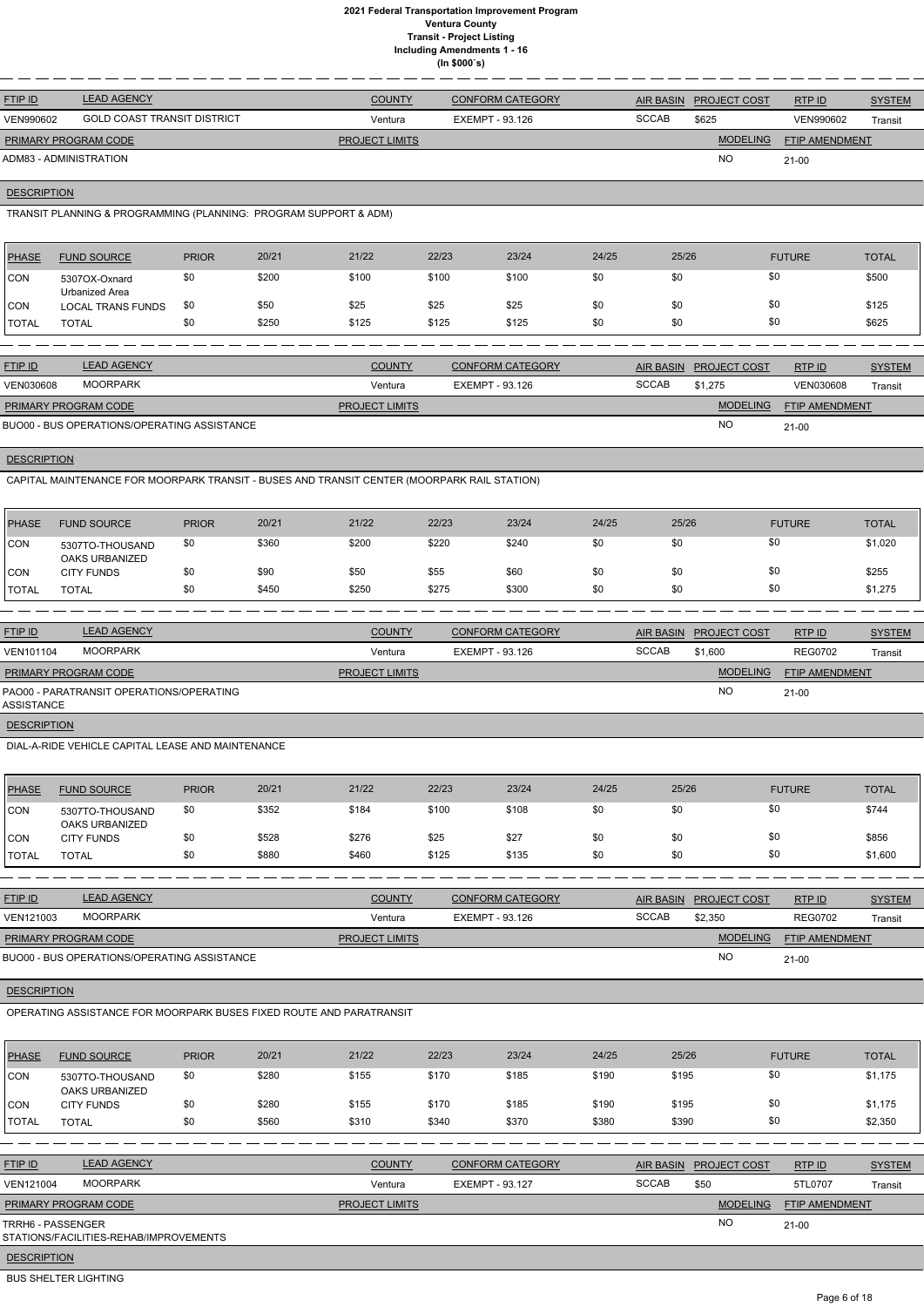| <b>FTIP ID</b>              | <b>LEAD AGENCY</b>                 | <b>COUNTY</b>         | <b>CONFORM CATEGORY</b> | AIR BASIN    | <b>PROJECT COST</b> | RTP ID                | <b>SYSTEM</b> |
|-----------------------------|------------------------------------|-----------------------|-------------------------|--------------|---------------------|-----------------------|---------------|
| VEN990602                   | <b>GOLD COAST TRANSIT DISTRICT</b> | Ventura               | EXEMPT - 93.126         | <b>SCCAB</b> | \$625               | VEN990602             | Transit       |
| <b>PRIMARY PROGRAM CODE</b> |                                    | <b>PROJECT LIMITS</b> |                         |              | <b>MODELING</b>     | <b>FTIP AMENDMENT</b> |               |
| ADM83 - ADMINISTRATION      |                                    |                       |                         |              | <b>NO</b>           | $21 - 00$             |               |

# **DESCRIPTION**

TRANSIT PLANNING & PROGRAMMING (PLANNING: PROGRAM SUPPORT & ADM)

| <b>PHASE</b> | <b>FUND SOURCE</b>              | <b>PRIOR</b> | 20/21 | 21/22 | 22/23 | 23/24 | 24/25 | 25/26 | <b>FUTURE</b> | <b>TOTAL</b> |
|--------------|---------------------------------|--------------|-------|-------|-------|-------|-------|-------|---------------|--------------|
| <b>CON</b>   | 5307OX-Oxnard<br>Urbanized Area | \$0          | \$200 | \$100 | \$100 | \$100 | \$0   | \$0   | \$0           | \$500        |
| ICON         | <b>LOCAL TRANS FUNDS</b>        | \$0          | \$50  | \$25  | \$25  | \$25  | \$0   | \$0   | \$0           | \$125        |
| <b>TOTAL</b> | <b>TOTAL</b>                    | \$0          | \$250 | \$125 | \$125 | \$125 | \$0   | \$0   | \$0           | \$625        |
|              |                                 |              |       |       |       |       |       |       |               |              |

| <b>FTIP ID</b>              | <b>LEAD AGENCY</b>                          | <b>COUNTY</b>         | <b>CONFORM CATEGORY</b> | <b>AIR BASIN</b> | <b>PROJECT COST</b> | RTP ID                | <b>SYSTEM</b> |
|-----------------------------|---------------------------------------------|-----------------------|-------------------------|------------------|---------------------|-----------------------|---------------|
| <b>VEN030608</b>            | MOORPARK                                    | Ventura               | EXEMPT - 93.126         | <b>SCCAB</b>     | \$1.275             | <b>VEN030608</b>      | Transit       |
| <b>PRIMARY PROGRAM CODE</b> |                                             | <b>PROJECT LIMITS</b> |                         |                  | <b>MODELING</b>     | <b>FTIP AMENDMENT</b> |               |
|                             | BUO00 - BUS OPERATIONS/OPERATING ASSISTANCE |                       |                         |                  | <b>NO</b>           | $21 - 00$             |               |

# **DESCRIPTION**

CAPITAL MAINTENANCE FOR MOORPARK TRANSIT - BUSES AND TRANSIT CENTER (MOORPARK RAIL STATION)

| <b>PHASE</b> | <b>FUND SOURCE</b>                | <b>PRIOR</b> | 20/21 | 21/22 | 22/23 | 23/24 | 24/25 | 25/26 | <b>FUTURE</b> | <b>TOTAL</b> |
|--------------|-----------------------------------|--------------|-------|-------|-------|-------|-------|-------|---------------|--------------|
| <b>ICON</b>  | 5307TO-THOUSAND<br>OAKS URBANIZED | \$0          | \$360 | \$200 | \$220 | \$240 | \$0   | \$0   | \$0           | \$1,020      |
| <b>ICON</b>  | <b>CITY FUNDS</b>                 | \$0          | \$90  | \$50  | \$55  | \$60  | \$0   | \$0   | \$0           | \$255        |
| 'TOTAL       | <b>TOTAL</b>                      | \$0          | \$450 | \$250 | \$275 | \$300 | \$0   | \$0   | \$0           | \$1,275      |

| <b>FTIP ID</b>       | <b>LEAD AGENCY</b>                       | <b>COUNTY</b>         | <b>CONFORM CATEGORY</b> | <b>AIR BASIN</b> | <b>PROJECT COST</b> | RTPID                 | <b>SYSTEM</b> |
|----------------------|------------------------------------------|-----------------------|-------------------------|------------------|---------------------|-----------------------|---------------|
| VEN101104            | <b>MOORPARK</b>                          | Ventura               | EXEMPT - 93.126         | <b>SCCAB</b>     | \$1,600             | <b>REG0702</b>        | Transit       |
| PRIMARY PROGRAM CODE |                                          | <b>PROJECT LIMITS</b> |                         |                  | <b>MODELING</b>     | <b>FTIP AMENDMENT</b> |               |
| ASSISTANCE           | PAO00 - PARATRANSIT OPERATIONS/OPERATING |                       |                         |                  | <b>NO</b>           | $21 - 00$             |               |
| <b>DESCRIPTION</b>   |                                          |                       |                         |                  |                     |                       |               |

DIAL-A-RIDE VEHICLE CAPITAL LEASE AND MAINTENANCE

| <b>PHASE</b> | <b>FUND SOURCE</b>                       | <b>PRIOR</b> | 20/21 | 21/22 | 22/23 | 23/24 | 24/25 | 25/26 | <b>FUTURE</b> | <b>TOTAL</b> |
|--------------|------------------------------------------|--------------|-------|-------|-------|-------|-------|-------|---------------|--------------|
| <b>CON</b>   | 5307TO-THOUSAND<br><b>OAKS URBANIZED</b> | \$0          | \$352 | \$184 | \$100 | \$108 | \$0   | \$0   | \$0           | \$744        |
| <b>CON</b>   | <b>CITY FUNDS</b>                        | \$0          | \$528 | \$276 | \$25  | \$27  | \$0   | \$0   | \$0           | \$856        |
| <b>TOTAL</b> | <b>TOTAL</b>                             | \$0          | \$880 | \$460 | \$125 | \$135 | \$0   | \$0   | \$0           | \$1,600      |

| <b>FTIP ID</b>              | <b>LEAD AGENCY</b>                          | <b>COUNTY</b>         | <b>CONFORM CATEGORY</b> | AIR BASIN    | <b>PROJECT COST</b> | RTP ID                | <b>SYSTEM</b> |
|-----------------------------|---------------------------------------------|-----------------------|-------------------------|--------------|---------------------|-----------------------|---------------|
| VEN121003                   | <b>MOORPARK</b>                             | Ventura               | EXEMPT - 93.126         | <b>SCCAB</b> | \$2.350             | <b>REG0702</b>        | Transit       |
| <b>PRIMARY PROGRAM CODE</b> |                                             | <b>PROJECT LIMITS</b> |                         |              | <b>MODELING</b>     | <b>FTIP AMENDMENT</b> |               |
|                             | BUO00 - BUS OPERATIONS/OPERATING ASSISTANCE |                       |                         |              | NO                  | $21 - 00$             |               |

## **DESCRIPTION**

# OPERATING ASSISTANCE FOR MOORPARK BUSES FIXED ROUTE AND PARATRANSIT

| <b>PHASE</b>        | <b>FUND SOURCE</b>                                                 | <b>PRIOR</b> | 20/21 | 21/22                 | 22/23 | 23/24                   | 24/25 | 25/26            |                     | <b>FUTURE</b>         | <b>TOTAL</b>  |
|---------------------|--------------------------------------------------------------------|--------------|-------|-----------------------|-------|-------------------------|-------|------------------|---------------------|-----------------------|---------------|
| CON                 | 5307TO-THOUSAND<br><b>OAKS URBANIZED</b>                           | \$0          | \$280 | \$155                 | \$170 | \$185                   | \$190 | \$195            | \$0                 |                       | \$1,175       |
| ICON.               | <b>CITY FUNDS</b>                                                  | \$0          | \$280 | \$155                 | \$170 | \$185                   | \$190 | \$195            | \$0                 |                       | \$1,175       |
| TOTAL               | <b>TOTAL</b>                                                       | \$0          | \$560 | \$310                 | \$340 | \$370                   | \$380 | \$390            | \$0                 |                       | \$2,350       |
|                     |                                                                    |              |       |                       |       |                         |       |                  |                     |                       |               |
| <b>FTIP ID</b>      | <b>LEAD AGENCY</b>                                                 |              |       | <b>COUNTY</b>         |       | <b>CONFORM CATEGORY</b> |       | <b>AIR BASIN</b> | <b>PROJECT COST</b> | RTP ID                | <b>SYSTEM</b> |
| VEN121004           | <b>MOORPARK</b>                                                    |              |       | Ventura               |       | <b>EXEMPT - 93.127</b>  |       | <b>SCCAB</b>     | \$50                | 5TL0707               | Transit       |
|                     | PRIMARY PROGRAM CODE                                               |              |       | <b>PROJECT LIMITS</b> |       |                         |       |                  | <b>MODELING</b>     | <b>FTIP AMENDMENT</b> |               |
|                     | <b>TRRH6 - PASSENGER</b><br>STATIONS/FACILITIES-REHAB/IMPROVEMENTS |              |       |                       |       |                         |       |                  | <b>NO</b>           | $21 - 00$             |               |
| <b>DECODIDITION</b> |                                                                    |              |       |                       |       |                         |       |                  |                     |                       |               |

**DESCRIPTION** 

BUS SHELTER LIGHTING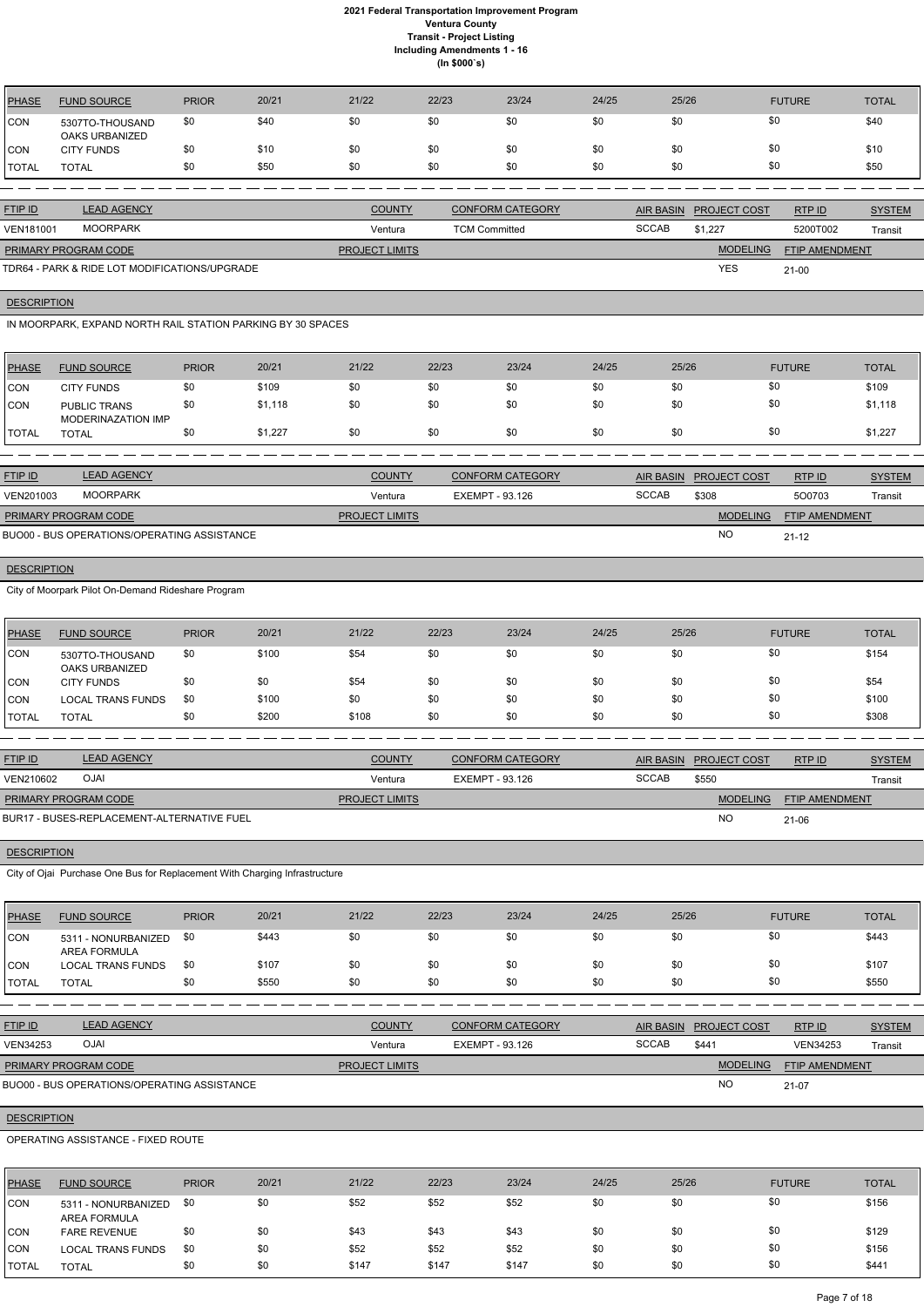| PHASE        | <b>FUND SOURCE</b>                | <b>PRIOR</b> | 20/21 | 21/22 | 22/23 | 23/24 | 24/25 | 25/26 | <b>FUTURE</b> | <b>TOTAL</b> |
|--------------|-----------------------------------|--------------|-------|-------|-------|-------|-------|-------|---------------|--------------|
| <b>ICON</b>  | 5307TO-THOUSAND<br>OAKS URBANIZED | \$0          | \$40  | \$0   | \$0   | \$0   | \$0   |       | \$0           | \$40         |
| CON          | <b>CITY FUNDS</b>                 | \$0          | \$10  | \$0   | \$0   | \$0   | \$0   |       | \$0           | \$10         |
| <b>TOTAL</b> | TOTAL                             | \$0          | \$50  | \$0   | \$0   | \$0   | \$0   | \$0   | \$0           | \$50         |

| <b>FTIP ID</b>              | <b>LEAD AGENCY</b>                            | <b>COUNTY</b>         | <b>CONFORM CATEGORY</b> |              | AIR BASIN PROJECT COST | RTPID                 | <b>SYSTEM</b> |
|-----------------------------|-----------------------------------------------|-----------------------|-------------------------|--------------|------------------------|-----------------------|---------------|
| <b>VEN181001</b>            | MOORPARK                                      | Ventura               | <b>TCM Committed</b>    | <b>SCCAB</b> | \$1.227                | 5200T002              | Transit       |
| <b>PRIMARY PROGRAM CODE</b> |                                               | <b>PROJECT LIMITS</b> |                         |              | <b>MODELING</b>        | <b>FTIP AMENDMENT</b> |               |
|                             | TDR64 - PARK & RIDE LOT MODIFICATIONS/UPGRADE |                       |                         |              | <b>YES</b>             | $21 - 00$             |               |

**DESCRIPTION** 

IN MOORPARK, EXPAND NORTH RAIL STATION PARKING BY 30 SPACES

| <b>PHASE</b>  | <b>FUND SOURCE</b>                        | <b>PRIOR</b> | 20/21   | 21/22 | 22/23 | 23/24 | 24/25 | 25/26 | <b>FUTURE</b> | <b>TOTAL</b> |
|---------------|-------------------------------------------|--------------|---------|-------|-------|-------|-------|-------|---------------|--------------|
| CON           | <b>CITY FUNDS</b>                         | \$0          | \$109   | \$0   | \$0   | \$0   | \$0   | \$0   | \$0           | \$109        |
| <b>CON</b>    | <b>PUBLIC TRANS</b><br>MODERINAZATION IMP | \$0          | \$1,118 | \$0   | \$0   | \$0   | \$0   | \$0   | \$0           | \$1,118      |
| <b>ITOTAL</b> | TOTAL                                     | \$0          | \$1,227 | \$0   | \$0   | \$0   | \$0   | \$0   | \$0           | \$1,227      |

| <b>FTIP ID</b>       | <b>LEAD AGENCY</b>                          | <b>COUNTY</b>         | <b>CONFORM CATEGORY</b> |              | AIR BASIN PROJECT COST | RTP ID                | <b>SYSTEM</b> |
|----------------------|---------------------------------------------|-----------------------|-------------------------|--------------|------------------------|-----------------------|---------------|
| VEN201003            | MOORPARK                                    | Ventura               | EXEMPT - 93.126         | <b>SCCAB</b> | \$308                  | 500703                | Transit       |
| PRIMARY PROGRAM CODE |                                             | <b>PROJECT LIMITS</b> |                         |              | <b>MODELING</b>        | <b>FTIP AMENDMENT</b> |               |
|                      | BUO00 - BUS OPERATIONS/OPERATING ASSISTANCE |                       |                         |              | NO                     | $21 - 12$             |               |

# **DESCRIPTION**

City of Moorpark Pilot On-Demand Rideshare Program

| PHASE        | <b>FUND SOURCE</b>                       | <b>PRIOR</b> | 20/21 | 21/22 | 22/23 | 23/24 | 24/25 | 25/26 | <b>FUTURE</b> | <b>TOTAL</b> |
|--------------|------------------------------------------|--------------|-------|-------|-------|-------|-------|-------|---------------|--------------|
| <b>ICON</b>  | 5307TO-THOUSAND<br><b>OAKS URBANIZED</b> | \$0          | \$100 | \$54  | \$0   | \$0   | \$0   | \$0   | \$0           | \$154        |
| ICON         | <b>CITY FUNDS</b>                        | \$0          | \$0   | \$54  | \$0   | \$0   | \$0   | \$0   | \$0           | \$54         |
| <b>CON</b>   | <b>LOCAL TRANS FUNDS</b>                 | \$0          | \$100 | \$0   | \$0   | \$0   | \$0   | \$0   | \$0           | \$100        |
| <b>TOTAL</b> | TOTAL                                    | \$0          | \$200 | \$108 | \$0   | \$0   | \$0   | \$0   | \$0           | \$308        |

| <b>FTIP ID</b>              | <b>LEAD AGENCY</b>                         | <b>COUNTY</b>         | <b>CONFORM CATEGORY</b> |              | <b>AIR BASIN PROJECT COST</b> | RTP ID                | <b>SYSTEM</b> |
|-----------------------------|--------------------------------------------|-----------------------|-------------------------|--------------|-------------------------------|-----------------------|---------------|
| VEN210602                   | <b>OJAI</b>                                | Ventura               | EXEMPT - 93.126         | <b>SCCAB</b> | \$550                         |                       | Transit       |
| <b>PRIMARY PROGRAM CODE</b> |                                            | <b>PROJECT LIMITS</b> |                         |              | <b>MODELING</b>               | <b>FTIP AMENDMENT</b> |               |
|                             | BUR17 - BUSES-REPLACEMENT-ALTERNATIVE FUEL |                       |                         |              | NC                            | $21 - 06$             |               |

# **DESCRIPTION**

City of Ojai Purchase One Bus for Replacement With Charging Infrastructure

| PHASE        | <b>FUND SOURCE</b>                         | <b>PRIOR</b> | 20/21 | 21/22 | 22/23 | 23/24 | 24/25 | 25/26 | <b>FUTURE</b> | <b>TOTAL</b> |
|--------------|--------------------------------------------|--------------|-------|-------|-------|-------|-------|-------|---------------|--------------|
| <b>CON</b>   | 5311 - NONURBANIZED<br><b>AREA FORMULA</b> | \$0          | \$443 | \$0   | \$0   | \$0   | \$0   | \$0   | \$0           | \$443        |
| ICON         | <b>LOCAL TRANS FUNDS</b>                   | \$0          | \$107 | \$0   | \$0   | \$0   | \$0   | \$0   | \$0           | \$107        |
| <b>TOTAL</b> | <b>TOTAL</b>                               | \$0          | \$550 | \$0   | \$0   | \$0   | \$0   | \$0   | \$0           | \$550        |

| <b>LEAD AGENCY</b>                          | <b>COUNTY</b>         | <b>CONFORM CATEGORY</b> | <b>AIR BASIN</b> |                 | RTPID               | <b>SYSTEM</b>  |
|---------------------------------------------|-----------------------|-------------------------|------------------|-----------------|---------------------|----------------|
| <b>OJAI</b>                                 | Ventura               | EXEMPT - 93.126         | <b>SCCAB</b>     | \$441           | <b>VEN34253</b>     | <b>Transit</b> |
| <b>PRIMARY PROGRAM CODE</b>                 | <b>PROJECT LIMITS</b> |                         |                  | <b>MODELING</b> |                     |                |
| BUO00 - BUS OPERATIONS/OPERATING ASSISTANCE |                       |                         |                  | <b>NO</b>       | 21-07               |                |
|                                             |                       |                         |                  |                 | <b>PROJECT COST</b> | FTIP AMENDMENT |

## **DESCRIPTION**

## OPERATING ASSISTANCE - FIXED ROUTE

| PHASE        | <b>FUND SOURCE</b>                         | <b>PRIOR</b> | 20/21 | 21/22 | 22/23 | 23/24 | 24/25 | 25/26 | <b>FUTURE</b> | <b>TOTAL</b> |
|--------------|--------------------------------------------|--------------|-------|-------|-------|-------|-------|-------|---------------|--------------|
| CON          | 5311 - NONURBANIZED<br><b>AREA FORMULA</b> | \$0          | \$0   | \$52  | \$52  | \$52  | \$0   | \$0   | \$0           | \$156        |
| CON          | <b>FARE REVENUE</b>                        | \$0          | \$0   | \$43  | \$43  | \$43  | \$0   | \$0   | \$0           | \$129        |
| <b>CON</b>   | <b>LOCAL TRANS FUNDS</b>                   | \$0          | \$0   | \$52  | \$52  | \$52  | \$0   | \$0   | \$0           | \$156        |
| <b>TOTAL</b> | <b>TOTAL</b>                               | \$0          | \$0   | \$147 | \$147 | \$147 | \$0   | \$0   | \$0           | \$441        |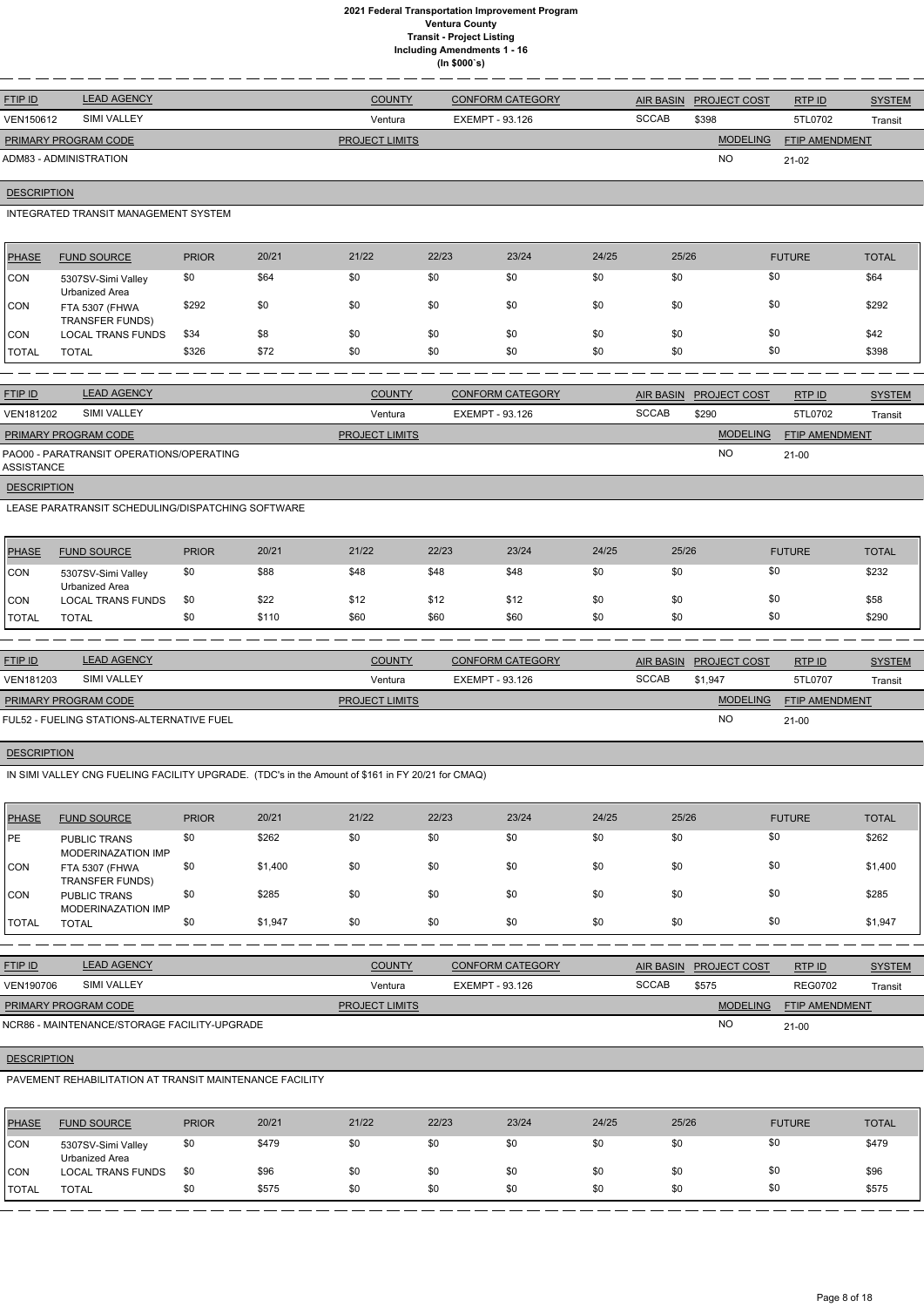| <b>FTIP ID</b>              | <b>LEAD AGENCY</b> | <b>COUNTY</b>         | <b>CONFORM CATEGORY</b> | AIR BASIN    | <b>PROJECT COST</b> | RTPID          | <b>SYSTEM</b> |
|-----------------------------|--------------------|-----------------------|-------------------------|--------------|---------------------|----------------|---------------|
| VEN150612                   | SIMI VALLEY        | Ventura               | EXEMPT - 93.126         | <b>SCCAB</b> | \$398               | 5TL0702        | Transit       |
| <b>PRIMARY PROGRAM CODE</b> |                    | <b>PROJECT LIMITS</b> |                         |              | <b>MODELING</b>     | FTIP AMENDMENT |               |
| ADM83 - ADMINISTRATION      |                    |                       |                         |              | <b>NO</b>           | $21-02$        |               |

# **DESCRIPTION**

## INTEGRATED TRANSIT MANAGEMENT SYSTEM

| PHASE        | <b>FUND SOURCE</b>                       | <b>PRIOR</b> | 20/21 | 21/22 | 22/23 | 23/24 | 24/25 | 25/26 | <b>FUTURE</b> | <b>TOTAL</b> |
|--------------|------------------------------------------|--------------|-------|-------|-------|-------|-------|-------|---------------|--------------|
| CON          | 5307SV-Simi Valley<br>Urbanized Area     | \$0          | \$64  | \$0   | \$0   | \$0   | \$0   | \$0   | \$0           | \$64         |
| ICON.        | FTA 5307 (FHWA<br><b>TRANSFER FUNDS)</b> | \$292        | \$0   | \$0   | \$0   | \$0   | \$0   | \$0   | \$0           | \$292        |
| <b>CON</b>   | <b>LOCAL TRANS FUNDS</b>                 | \$34         | \$8   | \$0   | \$0   | \$0   | \$0   | \$0   | \$0           | \$42         |
| <b>TOTAL</b> | <b>TOTAL</b>                             | \$326        | \$72  | \$0   | \$0   | \$0   | \$0   | \$0   | \$0           | \$398        |

| <b>FTIP ID</b>                                         | <b>LEAD AGENCY</b> | <b>COUNTY</b>         | <b>CONFORM CATEGORY</b> | <b>AIR BASIN</b> | <b>PROJECT COST</b> | RTP ID         | <b>SYSTEM</b> |
|--------------------------------------------------------|--------------------|-----------------------|-------------------------|------------------|---------------------|----------------|---------------|
| <b>VEN181202</b>                                       | <b>SIMI VALLEY</b> | Ventura               | EXEMPT - 93.126         | <b>SCCAB</b>     | \$290               | 5TL0702        | Transit       |
| <b>PRIMARY PROGRAM CODE</b>                            |                    | <b>PROJECT LIMITS</b> |                         |                  | <b>MODELING</b>     | FTIP AMENDMENT |               |
| PAO00 - PARATRANSIT OPERATIONS/OPERATING<br>ASSISTANCE |                    |                       |                         |                  | <b>NO</b>           | $21 - 00$      |               |

**DESCRIPTION** 

LEASE PARATRANSIT SCHEDULING/DISPATCHING SOFTWARE

| <b>PHASE</b>  | <b>FUND SOURCE</b>                   | <b>PRIOR</b> | 20/21 | 21/22 | 22/23 | 23/24 | 24/25 | 25/26 | <b>FUTURE</b> | <b>TOTAL</b> |
|---------------|--------------------------------------|--------------|-------|-------|-------|-------|-------|-------|---------------|--------------|
| CON           | 5307SV-Simi Valley<br>Urbanized Area | \$0          | \$88  | \$48  | \$48  | \$48  | \$0   |       | \$0           | \$232        |
| CON           | <b>LOCAL TRANS FUNDS</b>             | \$0          | \$22  | \$12  | \$12  | \$12  | \$0   |       | \$0           | \$58         |
| <b>ITOTAL</b> | TOTAL                                | \$0          | \$110 | \$60  | \$60  | \$60  | \$0   | \$0   | \$0           | \$290        |

| <b>FTIP ID</b>              | <b>LEAD AGENCY</b>                        | <b>COUNTY</b>         | <b>CONFORM CATEGORY</b> | <b>AIR BASIN</b> | <b>PROJECT COST</b> | RTP ID                | <b>SYSTEM</b> |
|-----------------------------|-------------------------------------------|-----------------------|-------------------------|------------------|---------------------|-----------------------|---------------|
| VEN181203                   | SIMI VALLEY                               | Ventura               | EXEMPT - 93.126         | <b>SCCAB</b>     | \$1,947             | 5TL0707               | Transit       |
| <b>PRIMARY PROGRAM CODE</b> |                                           | <b>PROJECT LIMITS</b> |                         |                  | <b>MODELING</b>     | <b>FTIP AMENDMENT</b> |               |
|                             | FUL52 - FUELING STATIONS-ALTERNATIVE FUEL |                       |                         |                  | <b>NO</b>           | $21 - 00$             |               |

# **DESCRIPTION**

IN SIMI VALLEY CNG FUELING FACILITY UPGRADE. (TDC's in the Amount of \$161 in FY 20/21 for CMAQ)

| <b>PHASE</b> | <b>FUND SOURCE</b>                               | <b>PRIOR</b> | 20/21   | 21/22 | 22/23 | 23/24 | 24/25 | 25/26 | <b>FUTURE</b> | <b>TOTAL</b> |
|--------------|--------------------------------------------------|--------------|---------|-------|-------|-------|-------|-------|---------------|--------------|
| PE           | <b>PUBLIC TRANS</b><br><b>MODERINAZATION IMP</b> | \$0          | \$262   | \$0   | \$0   | \$0   | \$0   | \$0   | \$0           | \$262        |
| <b>CON</b>   | FTA 5307 (FHWA<br><b>TRANSFER FUNDS)</b>         | \$0          | \$1,400 | \$0   | \$0   | \$0   | \$0   | \$0   | \$0           | \$1,400      |
| <b>CON</b>   | <b>PUBLIC TRANS</b><br><b>MODERINAZATION IMP</b> | \$0          | \$285   | \$0   | \$0   | \$0   | \$0   | \$0   | \$0           | \$285        |
| <b>TOTAL</b> | <b>TOTAL</b>                                     | \$0          | \$1,947 | \$0   | \$0   | \$0   | \$0   | \$0   | \$0           | \$1,947      |

| <b>FTIP ID</b>              | <b>LEAD AGENCY</b>                           | COUNTY                | <b>CONFORM CATEGORY</b> | AIR BASIN    | <b>PROJECT COST</b> | RTPID                 | <b>SYSTEM</b> |
|-----------------------------|----------------------------------------------|-----------------------|-------------------------|--------------|---------------------|-----------------------|---------------|
| VEN190706                   | <b>SIMI VALLEY</b>                           | Ventura               | EXEMPT - 93.126         | <b>SCCAB</b> | \$575               | <b>REG0702</b>        | Transit       |
| <b>PRIMARY PROGRAM CODE</b> |                                              | <b>PROJECT LIMITS</b> |                         |              | <b>MODELING</b>     | <b>FTIP AMENDMENT</b> |               |
|                             | NCR86 - MAINTENANCE/STORAGE FACILITY-UPGRADE |                       |                         |              | <b>NC</b>           | $21 - 00$             |               |

# **DESCRIPTION**

PAVEMENT REHABILITATION AT TRANSIT MAINTENANCE FACILITY

| <b>PHASE</b> | <b>FUND SOURCE</b>                   | <b>PRIOR</b> | 20/21 | 21/22 | 22/23 | 23/24 | 24/25 | 25/26 | <b>FUTURE</b> | <b>TOTAL</b> |
|--------------|--------------------------------------|--------------|-------|-------|-------|-------|-------|-------|---------------|--------------|
| <b>CON</b>   | 5307SV-Simi Valley<br>Urbanized Area | \$0          | \$479 | \$0   | \$0   | \$0   | \$0   | \$0   |               | \$479        |
| ICON         | <b>LOCAL TRANS FUNDS</b>             | \$0          | \$96  | \$0   | \$0   | \$0   | \$0   | \$0   |               | \$96         |
| 'TOTAL       | <b>TOTAL</b>                         | \$0          | \$575 | \$0   | \$0   | \$0   | \$0   | \$0   | \$0           | \$575        |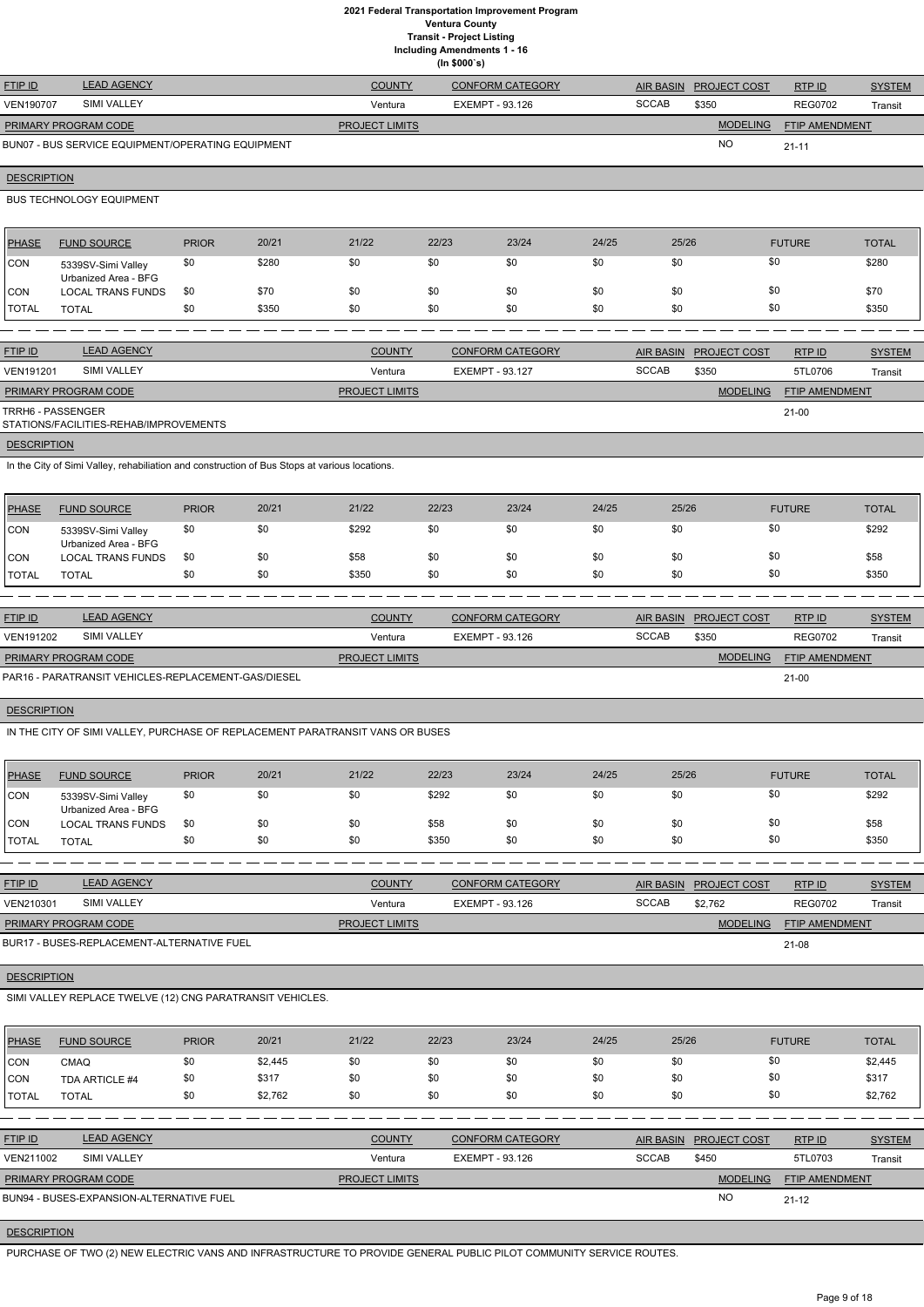**Including Amendments 1 - 16**

|                    |                                                                                               |              |       |                       | (ln \$000's) | Including Amendments 1 - 16 |       |                  |                        |                       |               |
|--------------------|-----------------------------------------------------------------------------------------------|--------------|-------|-----------------------|--------------|-----------------------------|-------|------------------|------------------------|-----------------------|---------------|
| <b>FTIP ID</b>     | <b>LEAD AGENCY</b>                                                                            |              |       | <b>COUNTY</b>         |              | <b>CONFORM CATEGORY</b>     |       | <b>AIR BASIN</b> | PROJECT COST           | RTP ID                | <b>SYSTEM</b> |
| <b>VEN190707</b>   | SIMI VALLEY                                                                                   |              |       | Ventura               |              | <b>EXEMPT - 93.126</b>      |       | <b>SCCAB</b>     | \$350                  | <b>REG0702</b>        | Transit       |
|                    | PRIMARY PROGRAM CODE                                                                          |              |       | <b>PROJECT LIMITS</b> |              |                             |       |                  | <b>MODELING</b>        | FTIP AMENDMENT        |               |
|                    | BUN07 - BUS SERVICE EQUIPMENT/OPERATING EQUIPMENT                                             |              |       |                       |              |                             |       |                  | <b>NO</b>              | $21 - 11$             |               |
| <b>DESCRIPTION</b> |                                                                                               |              |       |                       |              |                             |       |                  |                        |                       |               |
|                    | <b>BUS TECHNOLOGY EQUIPMENT</b>                                                               |              |       |                       |              |                             |       |                  |                        |                       |               |
| <b>PHASE</b>       | <b>FUND SOURCE</b>                                                                            | <b>PRIOR</b> | 20/21 | 21/22                 | 22/23        | 23/24                       | 24/25 | 25/26            |                        | <b>FUTURE</b>         | <b>TOTAL</b>  |
| CON                | 5339SV-Simi Valley<br>Urbanized Area - BFG                                                    | \$0          | \$280 | \$0                   | \$0          | \$0                         | \$0   | \$0              | \$0                    |                       | \$280         |
| <b>CON</b>         | <b>LOCAL TRANS FUNDS</b>                                                                      | \$0          | \$70  | \$0                   | \$0          | \$0                         | \$0   | \$0              | \$0                    |                       | \$70          |
| <b>TOTAL</b>       | <b>TOTAL</b>                                                                                  | \$0          | \$350 | \$0                   | \$0          | \$0                         | \$0   | \$0              | \$0                    |                       | \$350         |
|                    |                                                                                               |              |       |                       |              |                             |       |                  |                        |                       |               |
| <b>FTIP ID</b>     | <b>LEAD AGENCY</b>                                                                            |              |       | <b>COUNTY</b>         |              | <b>CONFORM CATEGORY</b>     |       | <b>AIR BASIN</b> | <b>PROJECT COST</b>    | RTP ID                | <b>SYSTEM</b> |
| <b>VEN191201</b>   | SIMI VALLEY                                                                                   |              |       | Ventura               |              | <b>EXEMPT - 93.127</b>      |       | <b>SCCAB</b>     | \$350                  | 5TL0706               | Transit       |
|                    | PRIMARY PROGRAM CODE                                                                          |              |       | PROJECT LIMITS        |              |                             |       |                  | <b>MODELING</b>        | FTIP AMENDMENT        |               |
|                    | TRRH6 - PASSENGER<br>STATIONS/FACILITIES-REHAB/IMPROVEMENTS                                   |              |       |                       |              |                             |       |                  |                        | $21-00$               |               |
| <b>DESCRIPTION</b> |                                                                                               |              |       |                       |              |                             |       |                  |                        |                       |               |
|                    | In the City of Simi Valley, rehabiliation and construction of Bus Stops at various locations. |              |       |                       |              |                             |       |                  |                        |                       |               |
| <b>PHASE</b>       | <b>FUND SOURCE</b>                                                                            | <b>PRIOR</b> | 20/21 | 21/22                 | 22/23        | 23/24                       | 24/25 | 25/26            |                        | <b>FUTURE</b>         | <b>TOTAL</b>  |
| <b>CON</b>         | 5339SV-Simi Valley<br>Urbanized Area - BFG                                                    | \$0          | \$0   | \$292                 | \$0          | \$0                         | \$0   | \$0              | \$0                    |                       | \$292         |
| CON                | <b>LOCAL TRANS FUNDS</b>                                                                      | \$0          | \$0   | \$58                  | \$0          | \$0                         | \$0   | \$0              | \$0                    |                       | \$58          |
| <b>TOTAL</b>       | <b>TOTAL</b>                                                                                  | \$0          | \$0   | \$350                 | \$0          | \$0                         | \$0   | \$0              | \$0                    |                       | \$350         |
|                    |                                                                                               |              |       |                       |              |                             |       |                  |                        |                       |               |
| FTIP ID            | <b>LEAD AGENCY</b>                                                                            |              |       | <b>COUNTY</b>         |              | <b>CONFORM CATEGORY</b>     |       | <b>AIR BASIN</b> | <b>PROJECT COST</b>    | RTP ID                | <b>SYSTEM</b> |
| VEN191202          | <b>SIMI VALLEY</b>                                                                            |              |       | Ventura               |              | <b>EXEMPT - 93.126</b>      |       | <b>SCCAB</b>     | \$350                  | <b>REG0702</b>        | Transit       |
|                    | PRIMARY PROGRAM CODE                                                                          |              |       | <b>PROJECT LIMITS</b> |              |                             |       |                  | <b>MODELING</b>        | <b>FTIP AMENDMENT</b> |               |
|                    | PAR16 - PARATRANSIT VEHICLES-REPLACEMENT-GAS/DIESEL                                           |              |       |                       |              |                             |       |                  |                        | $21-00$               |               |
| <b>DESCRIPTION</b> |                                                                                               |              |       |                       |              |                             |       |                  |                        |                       |               |
|                    | IN THE CITY OF SIMI VALLEY, PURCHASE OF REPLACEMENT PARATRANSIT VANS OR BUSES                 |              |       |                       |              |                             |       |                  |                        |                       |               |
| <b>PHASE</b>       | <b>FUND SOURCE</b>                                                                            | <b>PRIOR</b> | 20/21 | 21/22                 | 22/23        | 23/24                       | 24/25 | 25/26            |                        | <b>FUTURE</b>         | <b>TOTAL</b>  |
| CON                | 5339SV-Simi Valley<br>Urbanized Area - BFG                                                    | \$0          | \$0   | \$0                   | \$292        | \$0                         | \$0   | \$0              | \$0                    |                       | \$292         |
| CON                | <b>LOCAL TRANS FUNDS</b>                                                                      | \$0          | \$0   | \$0                   | \$58         | \$0                         | \$0   | \$0              | \$0                    |                       | \$58          |
| <b>TOTAL</b>       | <b>TOTAL</b>                                                                                  | \$0          | \$0   | \$0                   | \$350        | \$0                         | \$0   | \$0              | \$0                    |                       | \$350         |
|                    |                                                                                               |              |       |                       |              |                             |       |                  |                        |                       |               |
| FTIP ID            | <b>LEAD AGENCY</b>                                                                            |              |       | <b>COUNTY</b>         |              | <b>CONFORM CATEGORY</b>     |       |                  | AIR BASIN PROJECT COST | RTP ID                | <b>SYSTEM</b> |
| VEN210301          | SIMI VALLEY                                                                                   |              |       | Ventura               |              | <b>EXEMPT - 93.126</b>      |       | <b>SCCAB</b>     | \$2,762                | <b>REG0702</b>        | Transit       |
|                    | PRIMARY PROGRAM CODE                                                                          |              |       | <b>PROJECT LIMITS</b> |              |                             |       |                  | <b>MODELING</b>        | <b>FTIP AMENDMENT</b> |               |
|                    | BUR17 - BUSES-REPLACEMENT-ALTERNATIVE FUEL                                                    |              |       |                       |              |                             |       |                  |                        | $21-08$               |               |

**DESCRIPTION** 

# SIMI VALLEY REPLACE TWELVE (12) CNG PARATRANSIT VEHICLES.

| <b>PHASE</b>   | <b>FUND SOURCE</b>                       | <b>PRIOR</b> | 20/21   | 21/22                 | 22/23           | 23/24                   | 24/25 | 25/26            |                     | <b>FUTURE</b>         | <b>TOTAL</b>  |
|----------------|------------------------------------------|--------------|---------|-----------------------|-----------------|-------------------------|-------|------------------|---------------------|-----------------------|---------------|
| <b>CON</b>     | CMAQ                                     | \$0          | \$2,445 | \$0                   | \$0             | \$0                     | \$0   | \$0              |                     | \$0                   | \$2,445       |
| <b>CON</b>     | TDA ARTICLE #4                           | \$0          | \$317   | \$0                   | \$0             | \$0                     | \$0   | \$0              |                     | \$0                   | \$317         |
| <b>I</b> TOTAL | <b>TOTAL</b>                             | \$0          | \$2,762 | \$0                   | \$0             | \$0                     | \$0   | \$0              |                     | \$0                   | \$2,762       |
|                |                                          |              |         |                       |                 |                         |       |                  |                     |                       |               |
| <b>FTIP ID</b> | <b>LEAD AGENCY</b>                       |              |         | <b>COUNTY</b>         |                 | <b>CONFORM CATEGORY</b> |       | <b>AIR BASIN</b> | <b>PROJECT COST</b> | RTPID                 | <b>SYSTEM</b> |
| VEN211002      | <b>SIMI VALLEY</b>                       |              |         | Ventura               | EXEMPT - 93.126 |                         |       | <b>SCCAB</b>     | \$450               | 5TL0703               | Transit       |
|                | <b>PRIMARY PROGRAM CODE</b>              |              |         | <b>PROJECT LIMITS</b> |                 |                         |       |                  | <b>MODELING</b>     | <b>FTIP AMENDMENT</b> |               |
|                | BUN94 - BUSES-EXPANSION-ALTERNATIVE FUEL |              |         |                       |                 |                         |       |                  | NO                  | $21 - 12$             |               |

# **DESCRIPTION**

PURCHASE OF TWO (2) NEW ELECTRIC VANS AND INFRASTRUCTURE TO PROVIDE GENERAL PUBLIC PILOT COMMUNITY SERVICE ROUTES.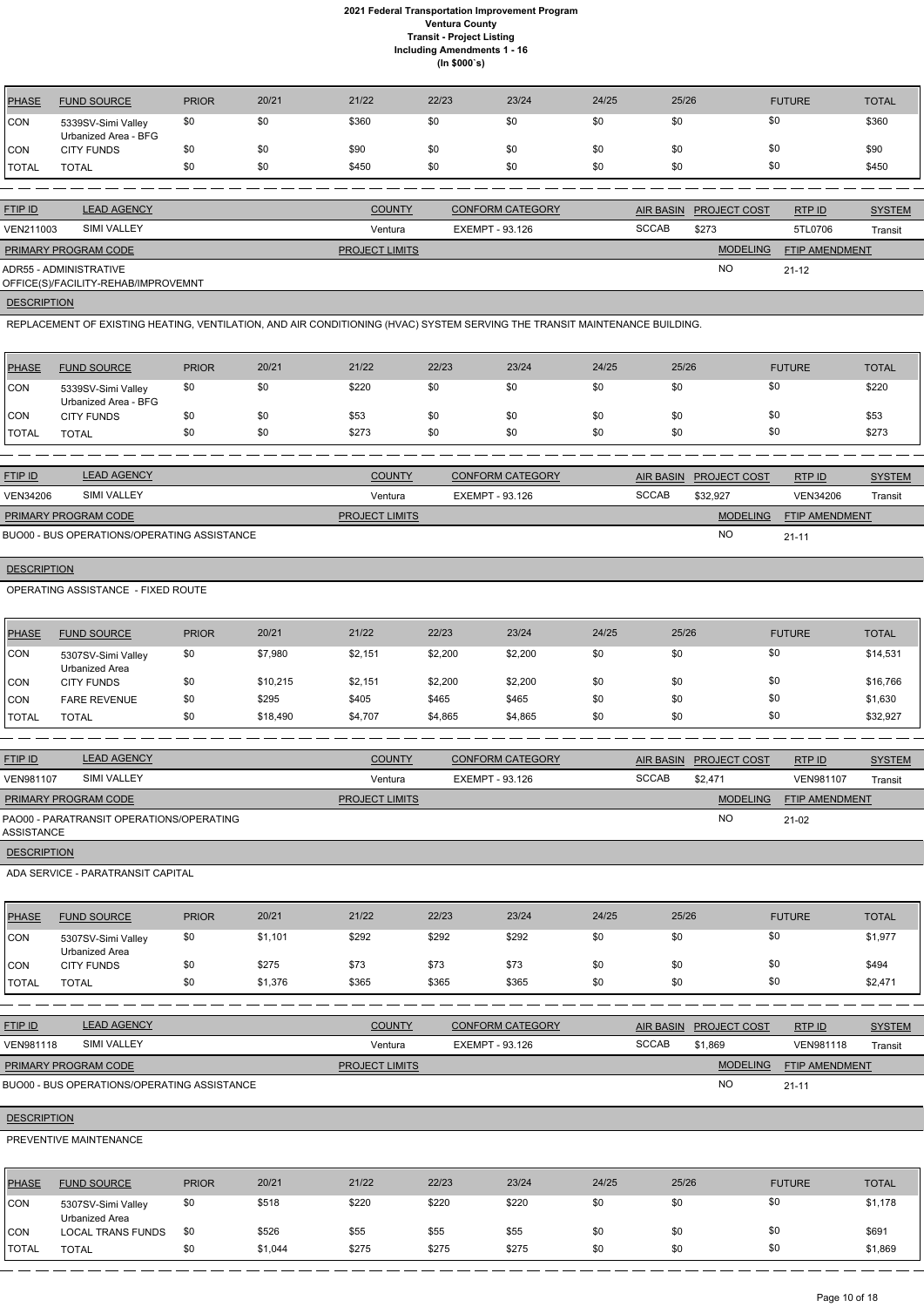| <b>FTIP ID</b>                                                | <b>LEAD AGENCY</b> | <b>COUNTY</b>         | <b>CONFORM CATEGORY</b> |              | AIR BASIN PROJECT COST | RTP ID                | <b>SYSTEM</b> |
|---------------------------------------------------------------|--------------------|-----------------------|-------------------------|--------------|------------------------|-----------------------|---------------|
| VEN211003                                                     | SIMI VALLEY        | Ventura               | EXEMPT - 93.126         | <b>SCCAB</b> | \$273                  | 5TL0706               | Transit       |
| <b>PRIMARY PROGRAM CODE</b>                                   |                    | <b>PROJECT LIMITS</b> |                         |              | <b>MODELING</b>        | <b>FTIP AMENDMENT</b> |               |
| ADR55 - ADMINISTRATIVE<br>OFFICE(S)/FACILITY-REHAB/IMPROVEMNT |                    |                       |                         |              | <b>NO</b>              | $21 - 12$             |               |

**DESCRIPTION** 

| PHASE       | <b>FUND SOURCE</b>                         | <b>PRIOR</b> | 20/21 | 21/22 | 22/23 | 23/24 | 24/25 | 25/26 | <b>FUTURE</b> | <b>TOTAL</b> |
|-------------|--------------------------------------------|--------------|-------|-------|-------|-------|-------|-------|---------------|--------------|
| <b>ICON</b> | 5339SV-Simi Valley<br>Urbanized Area - BFG | \$0          | \$0   | \$360 | \$0   | \$0   | \$0   | \$0   | \$0           | \$360        |
| ICON        | <b>CITY FUNDS</b>                          |              | \$0   | \$90  |       | \$0   | \$0   | \$0   | \$0           | \$90         |
| I TOTAL     | TOTAL                                      | \$0          | \$0   | \$450 | \$0   | \$0   | \$0   | \$0   | \$0           | \$450        |

REPLACEMENT OF EXISTING HEATING, VENTILATION, AND AIR CONDITIONING (HVAC) SYSTEM SERVING THE TRANSIT MAINTENANCE BUILDING.

| <b>PHASE</b> | <b>FUND SOURCE</b>                         | <b>PRIOR</b> | 20/21 | 21/22 | 22/23 | 23/24 | 24/25 | 25/26 | <b>FUTURE</b> | <b>TOTAL</b> |
|--------------|--------------------------------------------|--------------|-------|-------|-------|-------|-------|-------|---------------|--------------|
| <b>CON</b>   | 5339SV-Simi Valley<br>Urbanized Area - BFG | \$0          | \$0   | \$220 | \$0   | \$0   | \$0   | \$0   | \$0           | \$220        |
| <b>CON</b>   | <b>CITY FUNDS</b>                          |              | \$0   | \$53  | \$0   | \$0   | \$0   | \$0   | \$0           | \$53         |
| <b>TOTAL</b> | <b>TOTAL</b>                               | \$0          | \$0   | \$273 | \$0   | \$0   | \$0   | \$0   | \$0           | \$273        |

| <b>FTIP ID</b>       | <b>LEAD AGENCY</b>                          | <b>COUNTY</b>         | CONFORM CATEGORY | <b>AIR BASIN</b> | <b>PROJECT COST</b> | RTP ID                | <b>SYSTEM</b> |
|----------------------|---------------------------------------------|-----------------------|------------------|------------------|---------------------|-----------------------|---------------|
| <b>VEN34206</b>      | SIMI VALLEY                                 | Ventura               | EXEMPT - 93.126  | <b>SCCAB</b>     | \$32.927            | <b>VEN34206</b>       | Transit       |
| PRIMARY PROGRAM CODE |                                             | <b>PROJECT LIMITS</b> |                  |                  | <b>MODELING</b>     | <b>FTIP AMENDMENT</b> |               |
|                      | BUO00 - BUS OPERATIONS/OPERATING ASSISTANCE |                       |                  |                  | <b>NO</b>           | $21 - 11$             |               |

# **DESCRIPTION**

OPERATING ASSISTANCE - FIXED ROUTE

| PHASE        | <b>FUND SOURCE</b>                   | <b>PRIOR</b> | 20/21    | 21/22   | 22/23   | 23/24   | 24/25 | 25/26 | <b>FUTURE</b> | <b>TOTAL</b> |
|--------------|--------------------------------------|--------------|----------|---------|---------|---------|-------|-------|---------------|--------------|
| <b>CON</b>   | 5307SV-Simi Valley<br>Urbanized Area | \$0          | \$7,980  | \$2,151 | \$2,200 | \$2,200 | \$0   | \$0   | \$0           | \$14,531     |
| ICON         | <b>CITY FUNDS</b>                    | \$0          | \$10,215 | \$2,151 | \$2,200 | \$2,200 | \$0   | \$0   | \$0           | \$16,766     |
| CON          | <b>FARE REVENUE</b>                  | \$0          | \$295    | \$405   | \$465   | \$465   | \$0   | \$0   | \$0           | \$1,630      |
| <b>TOTAL</b> | TOTAL                                | \$0          | \$18,490 | \$4,707 | \$4,865 | \$4,865 | \$0   | \$0   | \$0           | \$32,927     |

| <b>FTIP ID</b>              | <b>LEAD AGENCY</b>                       | <b>COUNTY</b>         | <b>CONFORM CATEGORY</b> | AIR BASIN    | <b>PROJECT COST</b> | RTPID                 | <b>SYSTEM</b> |
|-----------------------------|------------------------------------------|-----------------------|-------------------------|--------------|---------------------|-----------------------|---------------|
| VEN981107                   | <b>SIMI VALLEY</b>                       | Ventura               | EXEMPT - 93.126         | <b>SCCAB</b> | \$2.471             | VEN981107             | Transit       |
| <b>PRIMARY PROGRAM CODE</b> |                                          | <b>PROJECT LIMITS</b> |                         |              | <b>MODELING</b>     | <b>FTIP AMENDMENT</b> |               |
| <b>ASSISTANCE</b>           | PAO00 - PARATRANSIT OPERATIONS/OPERATING |                       |                         |              | <b>NO</b>           | 21-02                 |               |
| <b>DESCRIPTION</b>          |                                          |                       |                         |              |                     |                       |               |

ADA SERVICE - PARATRANSIT CAPITAL

| PHASE        | <b>FUND SOURCE</b>                   | <b>PRIOR</b> | 20/21   | 21/22 | 22/23 | 23/24 | 24/25 | 25/26 | <b>FUTURE</b> | <b>TOTAL</b> |
|--------------|--------------------------------------|--------------|---------|-------|-------|-------|-------|-------|---------------|--------------|
| <b>CON</b>   | 5307SV-Simi Valley<br>Urbanized Area | \$0          | \$1,101 | \$292 | \$292 | \$292 | \$0   | \$0   | \$0           | \$1,977      |
| <b>CON</b>   | <b>CITY FUNDS</b>                    | \$0          | \$275   | \$73  | \$73  | \$73  | \$0   | \$0   | \$0           | \$494        |
| <b>TOTAL</b> | <b>TOTAL</b>                         | \$0          | \$1,376 | \$365 | \$365 | \$365 | \$0   | \$0   | \$0           | \$2,471      |

| <b>FTIP ID</b>              | <b>LEAD AGENCY</b>                          | <b>COUNTY</b>         | <b>CONFORM CATEGORY</b> |              | AIR BASIN PROJECT COST | RTPID            | <b>SYSTEM</b> |
|-----------------------------|---------------------------------------------|-----------------------|-------------------------|--------------|------------------------|------------------|---------------|
| <b>VEN981118</b>            | SIMI VALLEY                                 | Ventura               | EXEMPT - 93.126         | <b>SCCAB</b> | \$1.869                | <b>VEN981118</b> | Transit       |
| <b>PRIMARY PROGRAM CODE</b> |                                             | <b>PROJECT LIMITS</b> |                         |              | <b>MODELING</b>        | FTIP AMENDMENT   |               |
|                             | BUO00 - BUS OPERATIONS/OPERATING ASSISTANCE |                       |                         |              | <b>NO</b>              | $21 - 11$        |               |
|                             |                                             |                       |                         |              |                        |                  |               |

## **DESCRIPTION**

## PREVENTIVE MAINTENANCE

| <b>PHASE</b> | <b>FUND SOURCE</b>                   | <b>PRIOR</b> | 20/21   | 21/22 | 22/23 | 23/24 | 24/25 | 25/26 | <b>FUTURE</b> | <b>TOTAL</b> |
|--------------|--------------------------------------|--------------|---------|-------|-------|-------|-------|-------|---------------|--------------|
| <b>CON</b>   | 5307SV-Simi Valley<br>Urbanized Area | \$0          | \$518   | \$220 | \$220 | \$220 | \$0   | \$0   | \$0           | \$1,178      |
| <b>CON</b>   | <b>LOCAL TRANS FUNDS</b>             | \$0          | \$526   | \$55  | \$55  | \$55  | \$0   | \$0   | \$0           | \$691        |
| <b>TOTAL</b> | <b>TOTAL</b>                         | \$0          | \$1,044 | \$275 | \$275 | \$275 | \$0   | \$0   | \$0           | \$1,869      |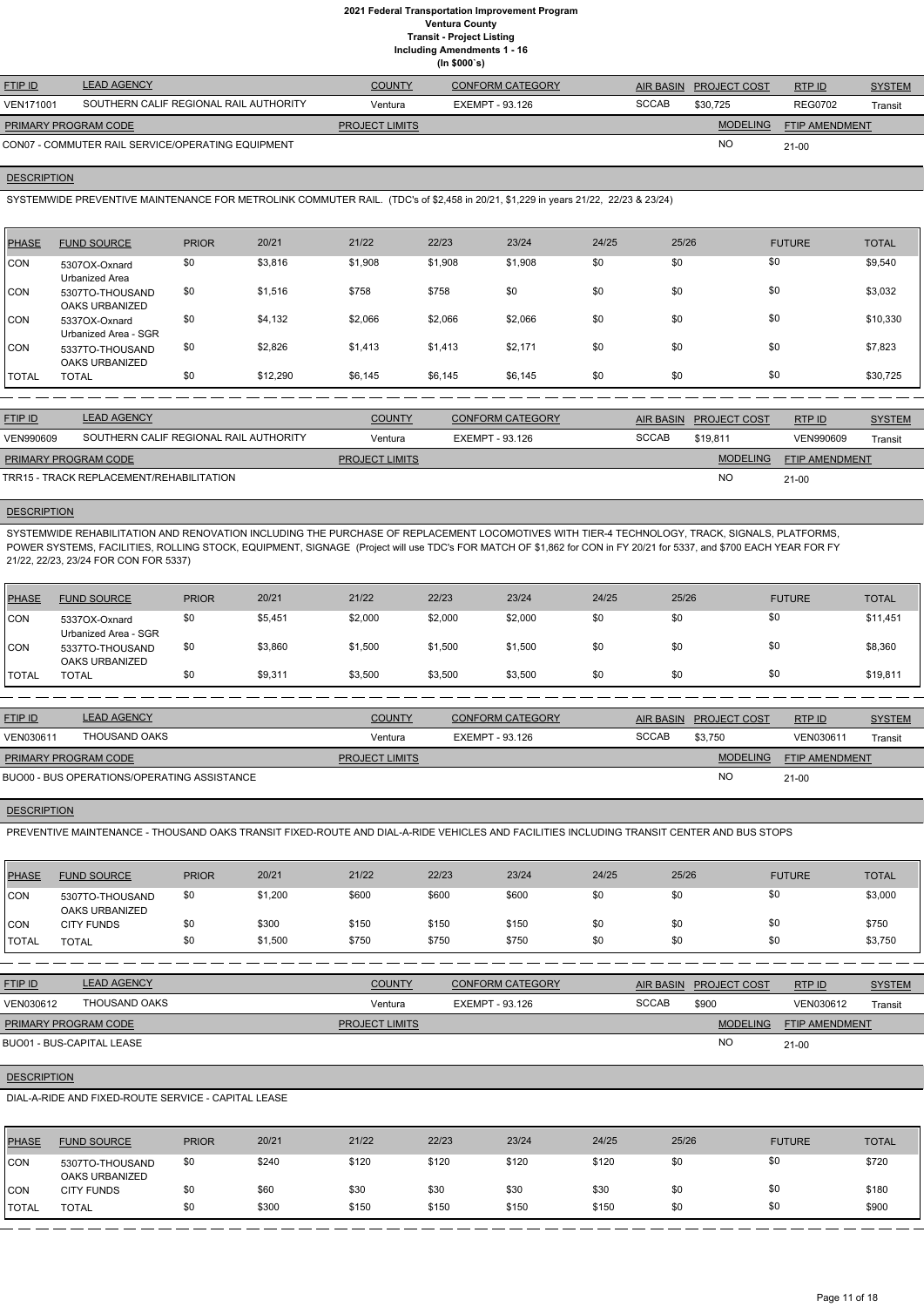**Including Amendments 1 - 16**

**(In \$000`s)**

| <b>FTIP ID</b>       | <b>LEAD AGENCY</b>                                | <b>COUNTY</b>         | <b>CONFORM CATEGORY</b> |              | AIR BASIN PROJECT COST | RTPID                 | <b>SYSTEM</b> |
|----------------------|---------------------------------------------------|-----------------------|-------------------------|--------------|------------------------|-----------------------|---------------|
| <b>VEN171001</b>     | SOUTHERN CALIF REGIONAL RAIL AUTHORITY            | Ventura               | EXEMPT - 93.126         | <b>SCCAB</b> | \$30.725               | <b>REG0702</b>        | Transit       |
| PRIMARY PROGRAM CODE |                                                   | <b>PROJECT LIMITS</b> |                         |              | <b>MODELING</b>        | <b>FTIP AMENDMENT</b> |               |
|                      | CON07 - COMMUTER RAIL SERVICE/OPERATING EQUIPMENT |                       |                         |              | NC                     | $21 - 00$             |               |

## **DESCRIPTION**

SYSTEMWIDE PREVENTIVE MAINTENANCE FOR METROLINK COMMUTER RAIL. (TDC's of \$2,458 in 20/21, \$1,229 in years 21/22, 22/23 & 23/24)

| PHASE      | <b>FUND SOURCE</b>                       | <b>PRIOR</b> | 20/21    | 21/22   | 22/23   | 23/24   | 24/25 | 25/26 | <b>FUTURE</b> | <b>TOTAL</b> |
|------------|------------------------------------------|--------------|----------|---------|---------|---------|-------|-------|---------------|--------------|
| <b>CON</b> | 5307OX-Oxnard<br>Urbanized Area          | \$0          | \$3,816  | \$1,908 | \$1,908 | \$1,908 | \$0   | \$0   | \$0           | \$9,540      |
| CON        | 5307TO-THOUSAND<br><b>OAKS URBANIZED</b> | \$0          | \$1,516  | \$758   | \$758   | \$0     | \$0   | \$0   | \$0           | \$3,032      |
| ICON.      | 5337OX-Oxnard<br>Urbanized Area - SGR    | \$0          | \$4,132  | \$2,066 | \$2,066 | \$2,066 | \$0   | \$0   | \$0           | \$10,330     |
| CON        | 5337TO-THOUSAND<br>OAKS URBANIZED        | \$0          | \$2,826  | \$1,413 | \$1,413 | \$2,171 | \$0   | \$0   | \$0           | \$7,823      |
| I TOTAL    | <b>TOTAL</b>                             | \$0          | \$12,290 | \$6,145 | \$6,145 | \$6,145 | \$0   | \$0   | \$0           | \$30,725     |

| <b>FTIP ID</b>       | <b>LEAD AGENCY</b>                       | <b>COUNTY</b>         | <b>CONFORM CATEGORY</b> | <b>AIR BASIN</b> | <b>PROJECT COST</b> | RTPID                 | <b>SYSTEM</b> |
|----------------------|------------------------------------------|-----------------------|-------------------------|------------------|---------------------|-----------------------|---------------|
| <b>VEN990609</b>     | SOUTHERN CALIF REGIONAL RAIL AUTHORITY   | Ventura               | EXEMPT - 93.126         | <b>SCCAB</b>     | \$19.811            | VEN990609             | Transit       |
| PRIMARY PROGRAM CODE |                                          | <b>PROJECT LIMITS</b> |                         |                  | <b>MODELING</b>     | <b>FTIP AMENDMENT</b> |               |
|                      | TRR15 - TRACK REPLACEMENT/REHABILITATION |                       |                         |                  | <b>NO</b>           | $21 - 00$             |               |

## **DESCRIPTION**

SYSTEMWIDE REHABILITATION AND RENOVATION INCLUDING THE PURCHASE OF REPLACEMENT LOCOMOTIVES WITH TIER-4 TECHNOLOGY, TRACK, SIGNALS, PLATFORMS, POWER SYSTEMS, FACILITIES, ROLLING STOCK, EQUIPMENT, SIGNAGE (Project will use TDC's FOR MATCH OF \$1,862 for CON in FY 20/21 for 5337, and \$700 EACH YEAR FOR FY 21/22, 22/23, 23/24 FOR CON FOR 5337)

| PHASE        | <b>FUND SOURCE</b>                    | <b>PRIOR</b> | 20/21   | 21/22   | 22/23   | 23/24   | 24/25 | 25/26 | <b>FUTURE</b> | <b>TOTAL</b> |
|--------------|---------------------------------------|--------------|---------|---------|---------|---------|-------|-------|---------------|--------------|
| <b>CON</b>   | 5337OX-Oxnard<br>Urbanized Area - SGR | \$0          | \$5,451 | \$2,000 | \$2,000 | \$2,000 | \$0   | \$0   | \$0           | \$11,451     |
| <b>CON</b>   | 5337TO-THOUSAND<br>OAKS URBANIZED     | \$0          | \$3,860 | \$1,500 | \$1,500 | \$1,500 | \$0   | \$0   | \$0           | \$8,360      |
| <b>TOTAL</b> | TOTAL                                 | \$0          | \$9,311 | \$3,500 | \$3,500 | \$3,500 | \$0   | \$0   | \$0           | \$19,811     |

| <b>FTIP ID</b>              | <b>LEAD AGENCY</b>                          | <b>COUNTY</b>         | CONFORM CATEGORY | <b>AIR BASIN</b> | <b>PROJECT COST</b> | RTP ID                | <b>SYSTEM</b> |
|-----------------------------|---------------------------------------------|-----------------------|------------------|------------------|---------------------|-----------------------|---------------|
| VEN030611                   | THOUSAND OAKS                               | Ventura               | EXEMPT - 93.126  | <b>SCCAB</b>     | \$3.750             | VEN030611             | Transit       |
| <b>PRIMARY PROGRAM CODE</b> |                                             | <b>PROJECT LIMITS</b> |                  |                  | <b>MODELING</b>     | <b>FTIP AMENDMENT</b> |               |
|                             | BUO00 - BUS OPERATIONS/OPERATING ASSISTANCE |                       |                  |                  | NO                  | $21 - 00$             |               |

# **DESCRIPTION**

PREVENTIVE MAINTENANCE - THOUSAND OAKS TRANSIT FIXED-ROUTE AND DIAL-A-RIDE VEHICLES AND FACILITIES INCLUDING TRANSIT CENTER AND BUS STOPS

| <b>PHASE</b> | <b>FUND SOURCE</b>                | <b>PRIOR</b> | 20/21   | 21/22 | 22/23 | 23/24 | 24/25 | 25/26 | <b>FUTURE</b> | <b>TOTAL</b> |
|--------------|-----------------------------------|--------------|---------|-------|-------|-------|-------|-------|---------------|--------------|
| CON          | 5307TO-THOUSAND<br>OAKS URBANIZED | \$0          | \$1,200 | \$600 | \$600 | \$600 | \$0   | \$0   | \$0           | \$3,000      |
| CON          | <b>CITY FUNDS</b>                 | \$0          | \$300   | \$150 | \$150 | \$150 | \$0   | \$0   | \$0           | \$750        |
| <b>TOTAL</b> | <b>TOTAL</b>                      | \$0          | \$1,500 | \$750 | \$750 | \$750 | \$0   | \$0   | \$0           | \$3,750      |

| THOUSAND OAKS<br>VEN030612       | Ventura               | EXEMPT - 93.126 | <b>SCCAB</b> | \$900           | VEN030612      | Transit |
|----------------------------------|-----------------------|-----------------|--------------|-----------------|----------------|---------|
| <b>PRIMARY PROGRAM CODE</b>      | <b>PROJECT LIMITS</b> |                 |              | <b>MODELING</b> | FTIP AMENDMENT |         |
| <b>BUO01 - BUS-CAPITAL LEASE</b> |                       |                 |              | <b>NO</b>       | 21-00          |         |
| <b>DESCRIPTION</b>               |                       |                 |              |                 |                |         |

DIAL-A-RIDE AND FIXED-ROUTE SERVICE - CAPITAL LEASE

| <b>PHASE</b> | <b>FUND SOURCE</b>                | <b>PRIOR</b> | 20/21 | 21/22 | 22/23 | 23/24 | 24/25 | 25/26 | <b>FUTURE</b> | <b>TOTAL</b> |
|--------------|-----------------------------------|--------------|-------|-------|-------|-------|-------|-------|---------------|--------------|
| CON          | 5307TO-THOUSAND<br>OAKS URBANIZED | \$0          | \$240 | \$120 | \$120 | \$120 | \$120 | \$0   |               | \$720        |
| ICON         | <b>CITY FUNDS</b>                 | \$0          | \$60  | \$30  | \$30  | \$30  | \$30  | \$0   |               | \$180        |
| <b>TOTAL</b> | TOTAL                             | \$0          | \$300 | \$150 | \$150 | \$150 | \$150 | \$0   | \$0           | \$900        |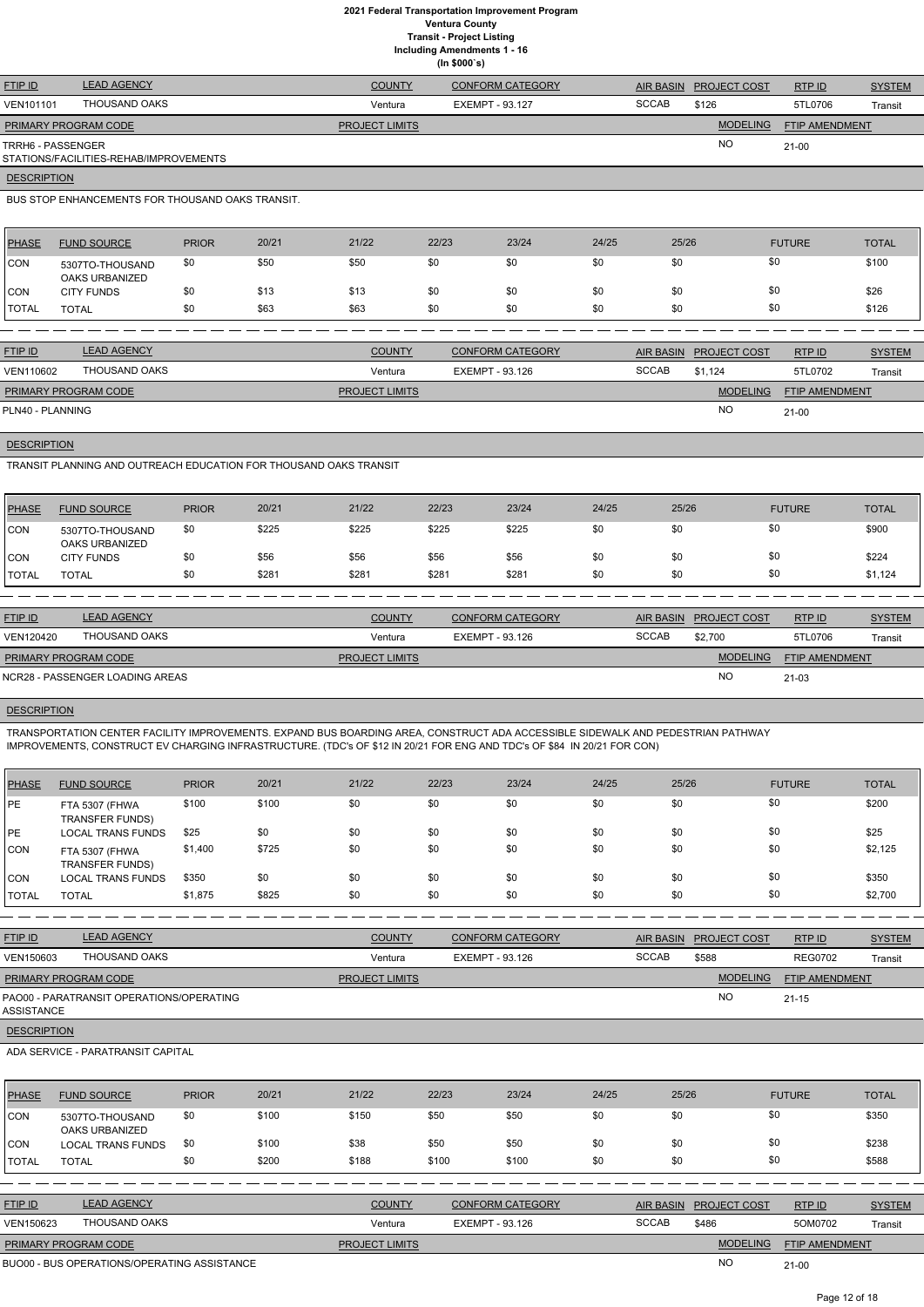**Including Amendments 1 - 16**

**(In \$000`s)**

| <b>FTIP ID</b>              | <b>LEAD AGENCY</b>                     | <b>COUNTY</b>         | <b>CONFORM CATEGORY</b> |       | AIR BASIN PROJECT COST | RTPID                 | <b>SYSTEM</b> |
|-----------------------------|----------------------------------------|-----------------------|-------------------------|-------|------------------------|-----------------------|---------------|
| <b>VEN101101</b>            | THOUSAND OAKS                          | Ventura               | EXEMPT - 93.127         | SCCAB | \$126                  | 5TL0706               | Transit       |
| <b>PRIMARY PROGRAM CODE</b> |                                        | <b>PROJECT LIMITS</b> |                         |       | <b>MODELING</b>        | <b>FTIP AMENDMENT</b> |               |
| TRRH6 - PASSENGER           | STATIONS/FACILITIES-REHAB/IMPROVEMENTS |                       |                         |       | <b>NO</b>              | $21-00$               |               |

# **DESCRIPTION**

BUS STOP ENHANCEMENTS FOR THOUSAND OAKS TRANSIT.

| <b>PHASE</b> | <b>FUND SOURCE</b>                | <b>PRIOR</b> | 20/21 | 21/22 | 22/23 | 23/24 | 24/25 | 25/26 | <b>FUTURE</b> | <b>TOTAL</b> |
|--------------|-----------------------------------|--------------|-------|-------|-------|-------|-------|-------|---------------|--------------|
| <b>CON</b>   | 5307TO-THOUSAND<br>OAKS URBANIZED | \$0          | \$50  | \$50  | \$0   | \$0   | \$0   | \$0   | \$0           | \$100        |
| <b>CON</b>   | <b>CITY FUNDS</b>                 | \$0          | \$13  | \$13  | \$0   | \$0   | \$0   | \$0   | \$0           | \$26         |
| <b>TOTAL</b> | <b>TOTAL</b>                      | \$0          | \$63  | \$63  | \$0   | \$0   | \$0   | \$0   | \$0           | \$126        |

| <b>FTIP ID</b>              | <b>LEAD AGENCY</b> | <b>COUNTY</b>         | <b>CONFORM CATEGORY</b> |              | AIR BASIN PROJECT COST | RTP ID                | <b>SYSTEM</b> |
|-----------------------------|--------------------|-----------------------|-------------------------|--------------|------------------------|-----------------------|---------------|
| VEN110602                   | THOUSAND OAKS      | Ventura               | EXEMPT - 93.126         | <b>SCCAB</b> | \$1.124                | 5TL0702               | Transit       |
| <b>PRIMARY PROGRAM CODE</b> |                    | <b>PROJECT LIMITS</b> |                         |              | <b>MODELING</b>        | <b>FTIP AMENDMENT</b> |               |
| PLN40 - PLANNING            |                    |                       |                         |              | <b>NO</b>              | $21-00$               |               |

**DESCRIPTION** 

TRANSIT PLANNING AND OUTREACH EDUCATION FOR THOUSAND OAKS TRANSIT

| <b>PHASE</b>  | <b>FUND SOURCE</b>                | <b>PRIOR</b> | 20/21 | 21/22 | 22/23 | 23/24 | 24/25 | 25/26 | <b>FUTURE</b> | <b>TOTAL</b> |
|---------------|-----------------------------------|--------------|-------|-------|-------|-------|-------|-------|---------------|--------------|
| CON           | 5307TO-THOUSAND<br>OAKS URBANIZED | \$0          | \$225 | \$225 | \$225 | \$225 | \$0   |       | \$0           | \$900        |
| CON           | <b>CITY FUNDS</b>                 | \$0          | \$56  | \$56  | \$56  | \$56  | \$0   |       | \$0           | \$224        |
| <b>ITOTAL</b> | <b>TOTAL</b>                      | \$0          | \$281 | \$281 | \$281 | \$281 | \$0   |       | \$0           | \$1,124      |

| <b>FTIP ID</b>       | <b>LEAD AGENCY</b>              | <b>COUNTY</b>         | <b>CONFORM CATEGORY</b> | <b>AIR BASIN</b> | <b>PROJECT COST</b> | <b>RTPID</b>          | <b>SYSTEM</b> |
|----------------------|---------------------------------|-----------------------|-------------------------|------------------|---------------------|-----------------------|---------------|
| VEN120420            | THOUSAND OAKS                   | Ventura               | EXEMPT - 93.126         | <b>SCCAB</b>     | \$2.700             | 5TL0706               | Transit       |
| PRIMARY PROGRAM CODE |                                 | <b>PROJECT LIMITS</b> |                         |                  | <b>MODELING</b>     | <b>FTIP AMENDMENT</b> |               |
|                      | NCR28 - PASSENGER LOADING AREAS |                       |                         |                  | <b>NO</b>           | $21 - 03$             |               |

# **DESCRIPTION**

TRANSPORTATION CENTER FACILITY IMPROVEMENTS. EXPAND BUS BOARDING AREA, CONSTRUCT ADA ACCESSIBLE SIDEWALK AND PEDESTRIAN PATHWAY IMPROVEMENTS, CONSTRUCT EV CHARGING INFRASTRUCTURE. (TDC's OF \$12 IN 20/21 FOR ENG AND TDC's OF \$84 IN 20/21 FOR CON)

| <b>PHASE</b> | <b>FUND SOURCE</b>                       | <b>PRIOR</b> | 20/21 | 21/22 | 22/23 | 23/24 | 24/25 | 25/26 | <b>FUTURE</b> | <b>TOTAL</b> |
|--------------|------------------------------------------|--------------|-------|-------|-------|-------|-------|-------|---------------|--------------|
| PE           | FTA 5307 (FHWA<br><b>TRANSFER FUNDS)</b> | \$100        | \$100 | \$0   | \$0   | \$0   | \$0   | \$0   | \$0           | \$200        |
| PE           | LOCAL TRANS FUNDS                        | \$25         | \$0   | \$0   | \$0   | \$0   | \$0   | \$0   | \$0           | \$25         |
| <b>CON</b>   | FTA 5307 (FHWA<br><b>TRANSFER FUNDS)</b> | \$1,400      | \$725 | \$0   | \$0   | \$0   | \$0   | \$0   | \$0           | \$2,125      |
| <b>CON</b>   | LOCAL TRANS FUNDS                        | \$350        | \$0   | \$0   | \$0   | \$0   | \$0   | \$0   | \$0           | \$350        |
| <b>TOTAL</b> | <b>TOTAL</b>                             | \$1,875      | \$825 | \$0   | \$0   | \$0   | \$0   | \$0   | \$0           | \$2,700      |

| <u>FTIP ID</u>              | <b>LEAD AGENCY</b> | <b>COUNTY</b>         | <b>CONFORM CATEGORY</b> |              | AIR BASIN PROJECT COST | RTPID                 | <b>SYSTEM</b> |
|-----------------------------|--------------------|-----------------------|-------------------------|--------------|------------------------|-----------------------|---------------|
| VEN150603                   | THOUSAND OAKS      | Ventura               | EXEMPT - 93.126         | <b>SCCAB</b> | \$588                  | <b>REG0702</b>        | Transit       |
| <b>PRIMARY PROGRAM CODE</b> |                    | <b>PROJECT LIMITS</b> |                         |              | <b>MODELING</b>        | <b>FTIP AMENDMENT</b> |               |

NO

21-15

## **DESCRIPTION**

ADA SERVICE - PARATRANSIT CAPITAL

| <b>PHASE</b> | <b>FUND SOURCE</b>                | <b>PRIOR</b> | 20/21 | 21/22 | 22/23 | 23/24 | 24/25 | 25/26 | <b>FUTURE</b> | <b>TOTAL</b> |
|--------------|-----------------------------------|--------------|-------|-------|-------|-------|-------|-------|---------------|--------------|
| <b>CON</b>   | 5307TO-THOUSAND<br>OAKS URBANIZED | \$0          | \$100 | \$150 | \$50  | \$50  | \$0   | \$0   | \$0           | \$350        |
| <b>CON</b>   | <b>LOCAL TRANS FUNDS</b>          | \$0          | \$100 | \$38  | \$50  | \$50  | \$0   | \$0   | \$0           | \$238        |
| <b>TOTAL</b> | <b>TOTAL</b>                      | \$0          | \$200 | \$188 | \$100 | \$100 | \$0   | \$0   | \$0           | \$588        |

| <b>FTIP ID</b>              | <b>LEAD AGENCY</b>                          | <b>COUNTY</b>         | <b>CONFORM CATEGORY</b> |              | AIR BASIN PROJECT COST | RTPID                 | <b>SYSTEM</b> |
|-----------------------------|---------------------------------------------|-----------------------|-------------------------|--------------|------------------------|-----------------------|---------------|
| VEN150623                   | THOUSAND OAKS                               | Ventura               | EXEMPT - 93.126         | <b>SCCAB</b> | \$486                  | 5OM0702               | Transit       |
| <b>PRIMARY PROGRAM CODE</b> |                                             | <b>PROJECT LIMITS</b> |                         |              | <b>MODELING</b>        | <b>FTIP AMENDMENT</b> |               |
|                             | BUO00 - BUS OPERATIONS/OPERATING ASSISTANCE |                       |                         |              | <b>NO</b>              | $21-00$               |               |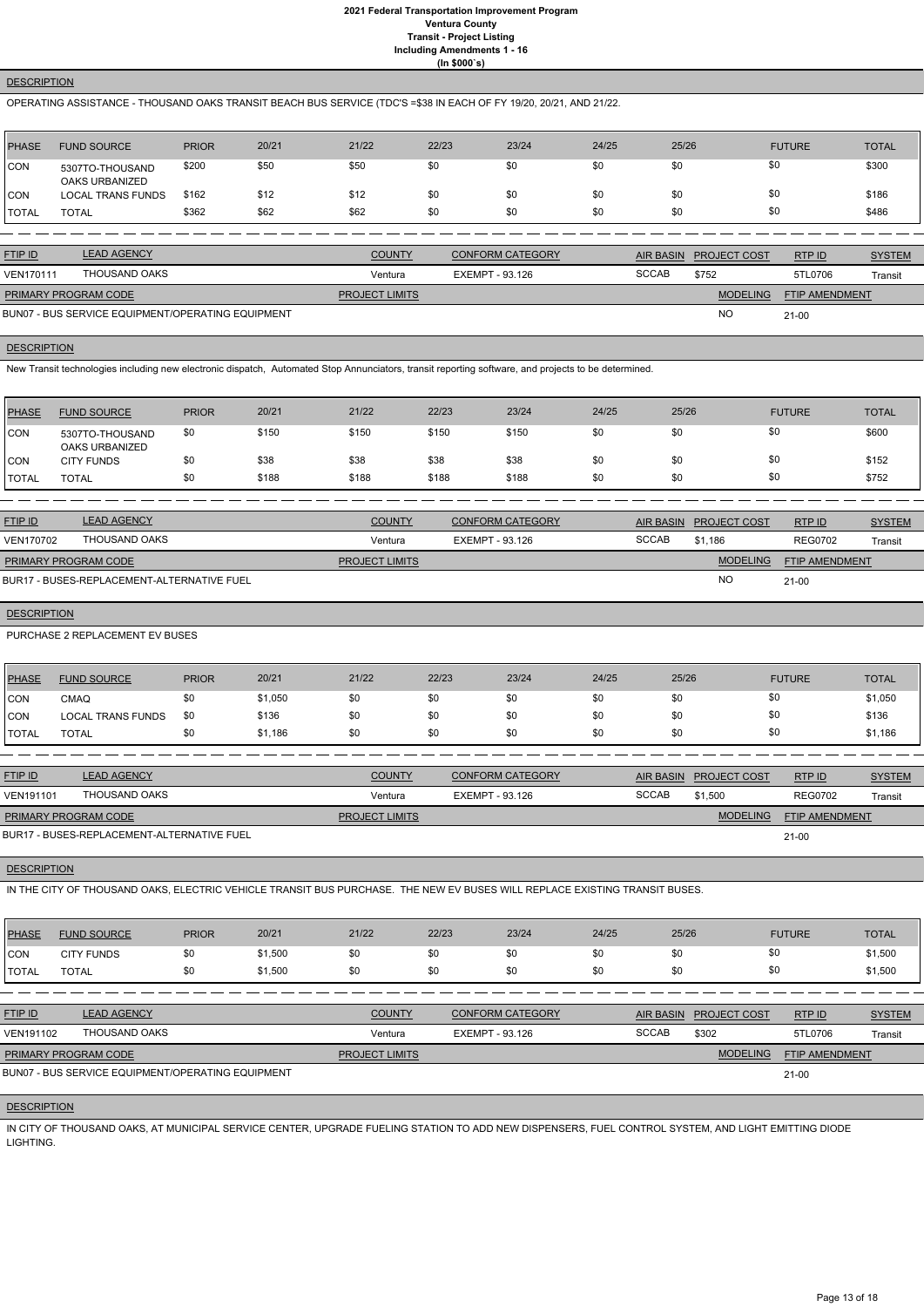## **DESCRIPTION**

## OPERATING ASSISTANCE - THOUSAND OAKS TRANSIT BEACH BUS SERVICE (TDC'S =\$38 IN EACH OF FY 19/20, 20/21, AND 21/22.

| <b>PHASE</b> | <b>FUND SOURCE</b>                | <b>PRIOR</b> | 20/21 | 21/22 | 22/23 | 23/24 | 24/25 | 25/26 | <b>FUTURE</b> | <b>TOTAL</b> |
|--------------|-----------------------------------|--------------|-------|-------|-------|-------|-------|-------|---------------|--------------|
| CON          | 5307TO-THOUSAND<br>OAKS URBANIZED | \$200        | \$50  | \$50  | \$0   | \$0   | \$0   | \$0   | \$0           | \$300        |
| 'CON         | <b>LOCAL TRANS FUNDS</b>          | \$162        | \$12  | \$12  | \$0   | \$0   | \$0   | \$0   | \$0           | \$186        |
| <b>TOTAL</b> | <b>TOTAL</b>                      | \$362        | \$62  | \$62  | \$0   | \$0   | \$0   | \$0   | \$0           | \$486        |

| <b>FTIP ID</b>              | <b>LEAD AGENCY</b>                                | <b>COUNTY</b>         | <b>CONFORM CATEGORY</b> |              | AIR BASIN PROJECT COST | RTPID                 | <b>SYSTEM</b> |
|-----------------------------|---------------------------------------------------|-----------------------|-------------------------|--------------|------------------------|-----------------------|---------------|
| <b>VEN170111</b>            | THOUSAND OAKS                                     | Ventura               | EXEMPT - 93.126         | <b>SCCAB</b> | \$752                  | 5TL0706               | Transit       |
| <b>PRIMARY PROGRAM CODE</b> |                                                   | <b>PROJECT LIMITS</b> |                         |              | <b>MODELING</b>        | <b>FTIP AMENDMENT</b> |               |
|                             | BUN07 - BUS SERVICE EQUIPMENT/OPERATING EQUIPMENT |                       |                         |              | <b>NC</b>              | 21-00                 |               |

21-00

## BUN07 - BUS SERVICE EQUIPMENT/OPERATING EQUIPMENT

#### **DESCRIPTION**

New Transit technologies including new electronic dispatch, Automated Stop Annunciators, transit reporting software, and projects to be determined.

| <b>PHASE</b> | <b>FUND SOURCE</b>                | <b>PRIOR</b> | 20/21 | 21/22 | 22/23 | 23/24 | 24/25 | 25/26 | <b>FUTURE</b> | <b>TOTAL</b> |
|--------------|-----------------------------------|--------------|-------|-------|-------|-------|-------|-------|---------------|--------------|
| CON          | 5307TO-THOUSAND<br>OAKS URBANIZED | \$0          | \$150 | \$150 | \$150 | \$150 | \$0   | \$0   | \$0           | \$600        |
| ICON         | <b>CITY FUNDS</b>                 | \$0          | \$38  | \$38  | \$38  | \$38  | \$0   | \$0   | \$0           | \$152        |
| 'TOTAL       | <b>TOTAL</b>                      | \$0          | \$188 | \$188 | \$188 | \$188 | \$0   | \$0   | \$0           | \$752        |

| <b>FTIP ID</b>              | <b>LEAD AGENCY</b>                         | <b>COUNTY</b>         | <b>CONFORM CATEGORY</b> |              | AIR BASIN PROJECT COST | RTPID                 | <b>SYSTEM</b> |
|-----------------------------|--------------------------------------------|-----------------------|-------------------------|--------------|------------------------|-----------------------|---------------|
| VEN170702                   | THOUSAND OAKS                              | Ventura               | EXEMPT - 93.126         | <b>SCCAB</b> | \$1.186                | <b>REG0702</b>        | Transit       |
| <b>PRIMARY PROGRAM CODE</b> |                                            | <b>PROJECT LIMITS</b> |                         |              | <b>MODELING</b>        | <b>FTIP AMENDMENT</b> |               |
|                             | BUR17 - BUSES-REPLACEMENT-ALTERNATIVE FUEL |                       |                         |              | <b>NC</b>              | $21 - 00$             |               |

BUR17 - BUSES-REPLACEMENT-ALTERNATIVE FUEL

# **DESCRIPTION**

PURCHASE 2 REPLACEMENT EV BUSES

| <b>PHASE</b> | <b>FUND SOURCE</b>       | <b>PRIOR</b> | 20/21   | 21/22 | 22/23 | 23/24 | 24/25 | 25/26 | <b>FUTURE</b> | <b>TOTAL</b> |
|--------------|--------------------------|--------------|---------|-------|-------|-------|-------|-------|---------------|--------------|
| <b>CON</b>   | CMAQ                     |              | \$1,050 | \$0   |       | \$0   | \$0   | \$0   |               | \$1,050      |
| <b>CON</b>   | <b>LOCAL TRANS FUNDS</b> | \$0          | \$136   | \$0   |       | \$0   | \$0   | \$0   |               | \$136        |
| <b>TOTAL</b> | TOTAL                    |              | \$1,186 | \$0   |       | \$0   | \$0   | \$0   |               | \$1,186      |

| <b>FTIP ID</b>              | <b>LEAD AGENCY</b>                         | <b>COUNTY</b>         | <b>CONFORM CATEGORY</b> | <b>AIR BASIN</b> | <b>PROJECT COST</b> | RTP ID                | <b>SYSTEM</b> |
|-----------------------------|--------------------------------------------|-----------------------|-------------------------|------------------|---------------------|-----------------------|---------------|
| <b>VEN191101</b>            | THOUSAND OAKS                              | Ventura               | EXEMPT - 93.126         | <b>SCCAB</b>     | \$1.500             | <b>REG0702</b>        | Transit       |
| <b>PRIMARY PROGRAM CODE</b> |                                            | <b>PROJECT LIMITS</b> |                         |                  | <b>MODELING</b>     | <b>FTIP AMENDMENT</b> |               |
|                             | BUR17 - BUSES-REPLACEMENT-ALTERNATIVE FUEL |                       |                         |                  |                     | 21-00                 |               |

## **DESCRIPTION**

IN THE CITY OF THOUSAND OAKS, ELECTRIC VEHICLE TRANSIT BUS PURCHASE. THE NEW EV BUSES WILL REPLACE EXISTING TRANSIT BUSES.

| <b>PHASE</b> | <b>FUND SOURCE</b> | <b>PRIOR</b> | 20/21   | 21/22 | 22/23 | 23/24 | 24/25 | 25/26 | <b>FUTURE</b> | <b>TOTAL</b> |
|--------------|--------------------|--------------|---------|-------|-------|-------|-------|-------|---------------|--------------|
| <b>CON</b>   | <b>CITY FUNDS</b>  | \$0          | \$1,500 | \$0   | \$0   | ას    | \$0   | \$0   |               | \$1,500      |
| <b>TOTAL</b> | <b>TOTAL</b>       | \$0          | \$1,500 | \$0   | \$0   | ას    | \$0   | \$0   |               | \$1,500      |

| <b>FTIP ID</b>              | <b>LEAD AGENCY</b>                                | <b>COUNTY</b>         | CONFORM CATEGORY | <b>AIR BASIN</b> | <b>PROJECT COST</b> | RTPID                 | <b>SYSTEM</b> |
|-----------------------------|---------------------------------------------------|-----------------------|------------------|------------------|---------------------|-----------------------|---------------|
| VEN191102                   | THOUSAND OAKS                                     | Ventura               | EXEMPT - 93.126  | <b>SCCAB</b>     | \$302               | 5TL0706               | Transit       |
| <b>PRIMARY PROGRAM CODE</b> |                                                   | <b>PROJECT LIMITS</b> |                  |                  | <b>MODELING</b>     | <b>FTIP AMENDMENT</b> |               |
|                             | BUN07 - BUS SERVICE EQUIPMENT/OPERATING EQUIPMENT |                       |                  |                  |                     | 21-00                 |               |
|                             |                                                   |                       |                  |                  |                     |                       |               |

## **DESCRIPTION**

IN CITY OF THOUSAND OAKS, AT MUNICIPAL SERVICE CENTER, UPGRADE FUELING STATION TO ADD NEW DISPENSERS, FUEL CONTROL SYSTEM, AND LIGHT EMITTING DIODE LIGHTING.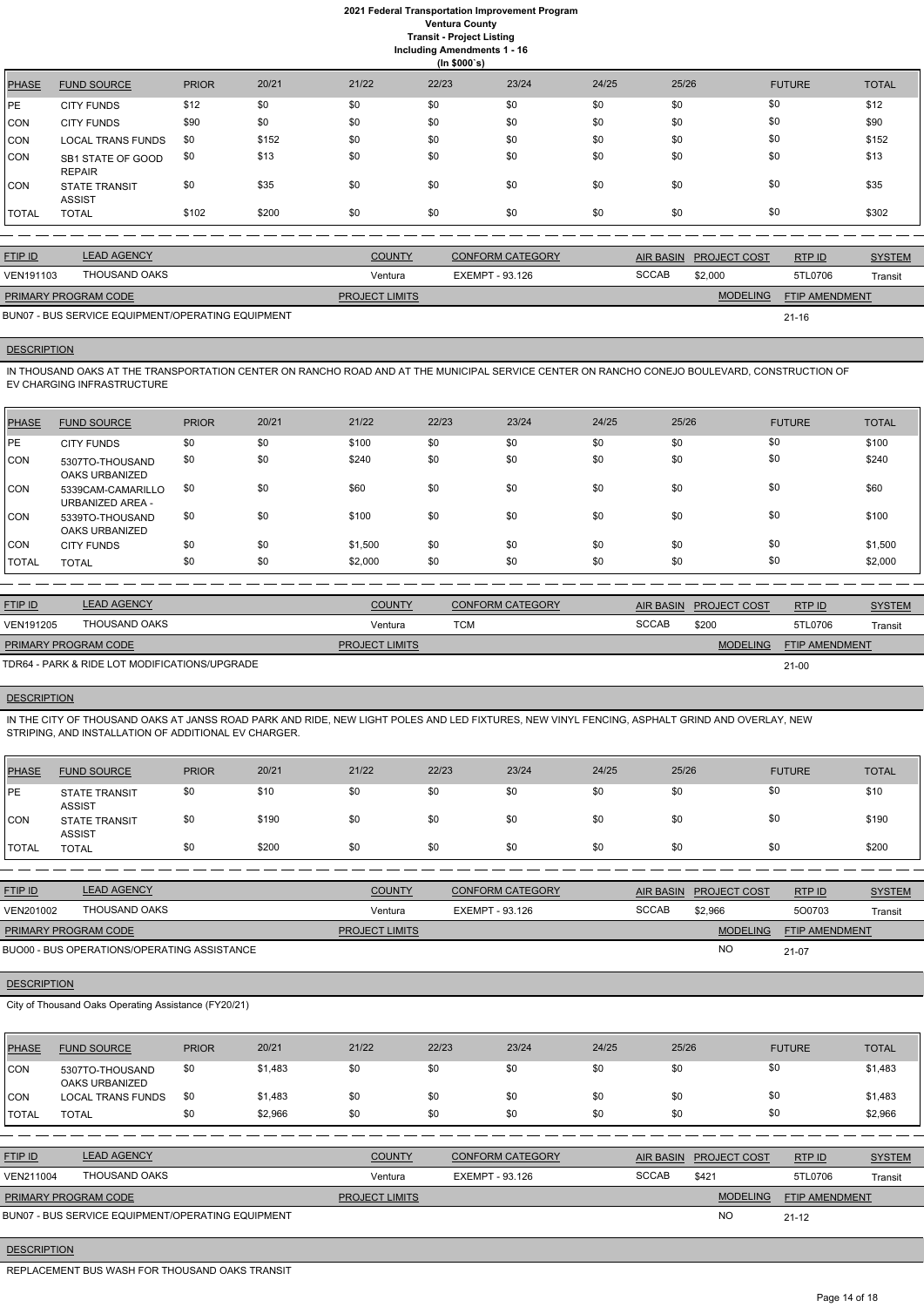**(In \$000`s)** PHASE FUND SOURCE PRIOR 20/21 21/22 22/23 23/24 24/25 25/26 FUTURE TOTAL PE CITY FUNDS \$12 \$0 \$0 \$0 \$0 \$0 \$0 \$0 \$12 CON CITY FUNDS \$90 \$0 \$0 \$0 \$0 \$0 \$0 \$0 \$0 \$0 \$0 \$0 \$90 CON LOCAL TRANS FUNDS \$0 \$152 \$0 \$0 \$0 \$0 \$0 \$0 \$0 \$0 \$152 CON SB1 STATE OF GOOD REPAIR \$0 \$13 \$0 \$0 \$0 \$0 \$0 \$0 \$0 \$0 \$13 CON STATE TRANSIT ASSIST \$0 \$35 \$0 \$0 \$0 \$0 \$0 \$0 \$0 \$0 \$0 \$35 \$35 TOTAL TOTAL \$102 \$200 \$0 \$0 \$0 \$0 \$0 \$0 \$302

| <b>FTIP ID</b>       | <b>LEAD AGENCY</b>                                | <b>COUNTY</b>         | CONFORM CATEGORY |              | AIR BASIN PROJECT COST | RTPID          | <b>SYSTEM</b> |
|----------------------|---------------------------------------------------|-----------------------|------------------|--------------|------------------------|----------------|---------------|
| VEN191103            | THOUSAND OAKS                                     | Ventura               | EXEMPT - 93.126  | <b>SCCAB</b> | \$2,000                | 5TL0706        | Transit       |
| PRIMARY PROGRAM CODE |                                                   | <b>PROJECT LIMITS</b> |                  |              | <b>MODELING</b>        | FTIP AMENDMENT |               |
|                      | BUN07 - BUS SERVICE EQUIPMENT/OPERATING EQUIPMENT |                       |                  |              |                        | $21 - 16$      |               |

## **DESCRIPTION**

IN THOUSAND OAKS AT THE TRANSPORTATION CENTER ON RANCHO ROAD AND AT THE MUNICIPAL SERVICE CENTER ON RANCHO CONEJO BOULEVARD, CONSTRUCTION OF EV CHARGING INFRASTRUCTURE

| PHASE      | <b>FUND SOURCE</b>                       | <b>PRIOR</b> | 20/21 | 21/22   | 22/23 | 23/24 | 24/25 | 25/26 | <b>FUTURE</b> | <b>TOTAL</b> |
|------------|------------------------------------------|--------------|-------|---------|-------|-------|-------|-------|---------------|--------------|
| PE         | <b>CITY FUNDS</b>                        | \$0          | \$0   | \$100   | \$0   | \$0   | \$0   | \$0   | \$0           | \$100        |
| CON        | 5307TO-THOUSAND<br>OAKS URBANIZED        | \$0          | \$0   | \$240   | \$0   | \$0   | \$0   | \$0   | \$0           | \$240        |
| ICON.      | 5339CAM-CAMARILLO<br>URBANIZED AREA -    | \$0          | \$0   | \$60    | \$0   | \$0   | \$0   | \$0   | \$0           | \$60         |
| ICON       | 5339TO-THOUSAND<br><b>OAKS URBANIZED</b> | \$0          | \$0   | \$100   | \$0   | \$0   | \$0   | \$0   | \$0           | \$100        |
| <b>CON</b> | <b>CITY FUNDS</b>                        | \$0          | \$0   | \$1,500 | \$0   | \$0   | \$0   | \$0   | \$0           | \$1,500      |
| TOTAL      | <b>TOTAL</b>                             | \$0          | \$0   | \$2,000 | \$0   | \$0   | \$0   | \$0   | \$0           | \$2,000      |

| <b>FTIP ID</b>              | <b>LEAD AGENCY</b>                            | <b>COUNTY</b>         | <b>CONFORM CATEGORY</b> | AIR BASIN    | <b>PROJECT COST</b> | RTP ID                | <b>SYSTEM</b> |
|-----------------------------|-----------------------------------------------|-----------------------|-------------------------|--------------|---------------------|-----------------------|---------------|
| VEN191205                   | THOUSAND OAKS                                 | Ventura               | тсм                     | <b>SCCAB</b> | \$200               | 5TL0706               | Transit       |
| <b>PRIMARY PROGRAM CODE</b> |                                               | <b>PROJECT LIMITS</b> |                         |              | <b>MODELING</b>     | <b>FTIP AMENDMENT</b> |               |
|                             | TDR64 - PARK & RIDE LOT MODIFICATIONS/UPGRADE |                       |                         |              |                     | $21 - 00$             |               |

## **DESCRIPTION**

IN THE CITY OF THOUSAND OAKS AT JANSS ROAD PARK AND RIDE, NEW LIGHT POLES AND LED FIXTURES, NEW VINYL FENCING, ASPHALT GRIND AND OVERLAY, NEW STRIPING, AND INSTALLATION OF ADDITIONAL EV CHARGER.

| PHASE          | <b>FUND SOURCE</b>                    | <b>PRIOR</b> | 20/21 | 21/22 | 22/23 | 23/24 | 24/25 | 25/26 | <b>FUTURE</b> | <b>TOTAL</b> |
|----------------|---------------------------------------|--------------|-------|-------|-------|-------|-------|-------|---------------|--------------|
| PE             | <b>STATE TRANSIT</b><br><b>ASSIST</b> | \$0          | \$10  | \$0   | \$0   | \$0   | \$0   | \$0   | \$0           | \$10         |
| CON            | <b>STATE TRANSIT</b><br><b>ASSIST</b> | \$0          | \$190 | \$0   | \$0   | \$0   | \$0   | \$0   | \$0           | \$190        |
| <b>I</b> TOTAL | <b>TOTAL</b>                          | \$0          | \$200 | \$0   | \$0   | \$0   | \$0   | \$0   | \$0           | \$200        |

| <b>FTIP ID</b>       | <b>LEAD AGENCY</b>                          | <b>COUNTY</b>         | <b>CONFORM CATEGORY</b> |              | AIR BASIN PROJECT COST | RTP ID                | <b>SYSTEM</b> |
|----------------------|---------------------------------------------|-----------------------|-------------------------|--------------|------------------------|-----------------------|---------------|
| VEN201002            | THOUSAND OAKS                               | Ventura               | EXEMPT - 93.126         | <b>SCCAB</b> | \$2.966                | 500703                | Transit       |
| PRIMARY PROGRAM CODE |                                             | <b>PROJECT LIMITS</b> |                         |              | <b>MODELING</b>        | <b>FTIP AMENDMENT</b> |               |
|                      | BUO00 - BUS OPERATIONS/OPERATING ASSISTANCE |                       |                         |              | <b>NO</b>              | $21-07$               |               |

BUO00 - BUS OPERATIONS/OPERATING ASSISTANCE

City of Thousand Oaks Operating Assistance (FY20/21)

| <b>PHASE</b>   | <b>FUND SOURCE</b>                                | <b>PRIOR</b> | 20/21   | 21/22                 | 22/23           | 23/24                   | 24/25 | 25/26            |                     | <b>FUTURE</b>         | <b>TOTAL</b>  |
|----------------|---------------------------------------------------|--------------|---------|-----------------------|-----------------|-------------------------|-------|------------------|---------------------|-----------------------|---------------|
| <b>CON</b>     | 5307TO-THOUSAND<br>OAKS URBANIZED                 | \$0          | \$1,483 | \$0                   | \$0             | \$0                     | \$0   | \$0              | \$0                 |                       | \$1,483       |
| ICON           | <b>LOCAL TRANS FUNDS</b>                          | \$0          | \$1,483 | \$0                   | \$0             | \$0                     | \$0   | \$0              | \$0                 |                       | \$1,483       |
| <b>TOTAL</b>   | <b>TOTAL</b>                                      | \$0          | \$2,966 | \$0                   | \$0             | \$0                     | \$0   | \$0              | \$0                 |                       | \$2,966       |
|                |                                                   |              |         |                       |                 |                         |       |                  |                     |                       |               |
| <b>FTIP ID</b> | <b>LEAD AGENCY</b>                                |              |         | <b>COUNTY</b>         |                 | <b>CONFORM CATEGORY</b> |       | <b>AIR BASIN</b> | <b>PROJECT COST</b> | RTP ID                | <b>SYSTEM</b> |
| VEN211004      | THOUSAND OAKS                                     |              |         | Ventura               | EXEMPT - 93.126 |                         |       | <b>SCCAB</b>     | \$421               | 5TL0706               | Transit       |
|                | PRIMARY PROGRAM CODE                              |              |         | <b>PROJECT LIMITS</b> |                 |                         |       |                  | <b>MODELING</b>     | <b>FTIP AMENDMENT</b> |               |
|                | BUN07 - BUS SERVICE EQUIPMENT/OPERATING EQUIPMENT |              |         |                       |                 |                         |       |                  | <b>NO</b>           | $21 - 12$             |               |

**DESCRIPTION** 

REPLACEMENT BUS WASH FOR THOUSAND OAKS TRANSIT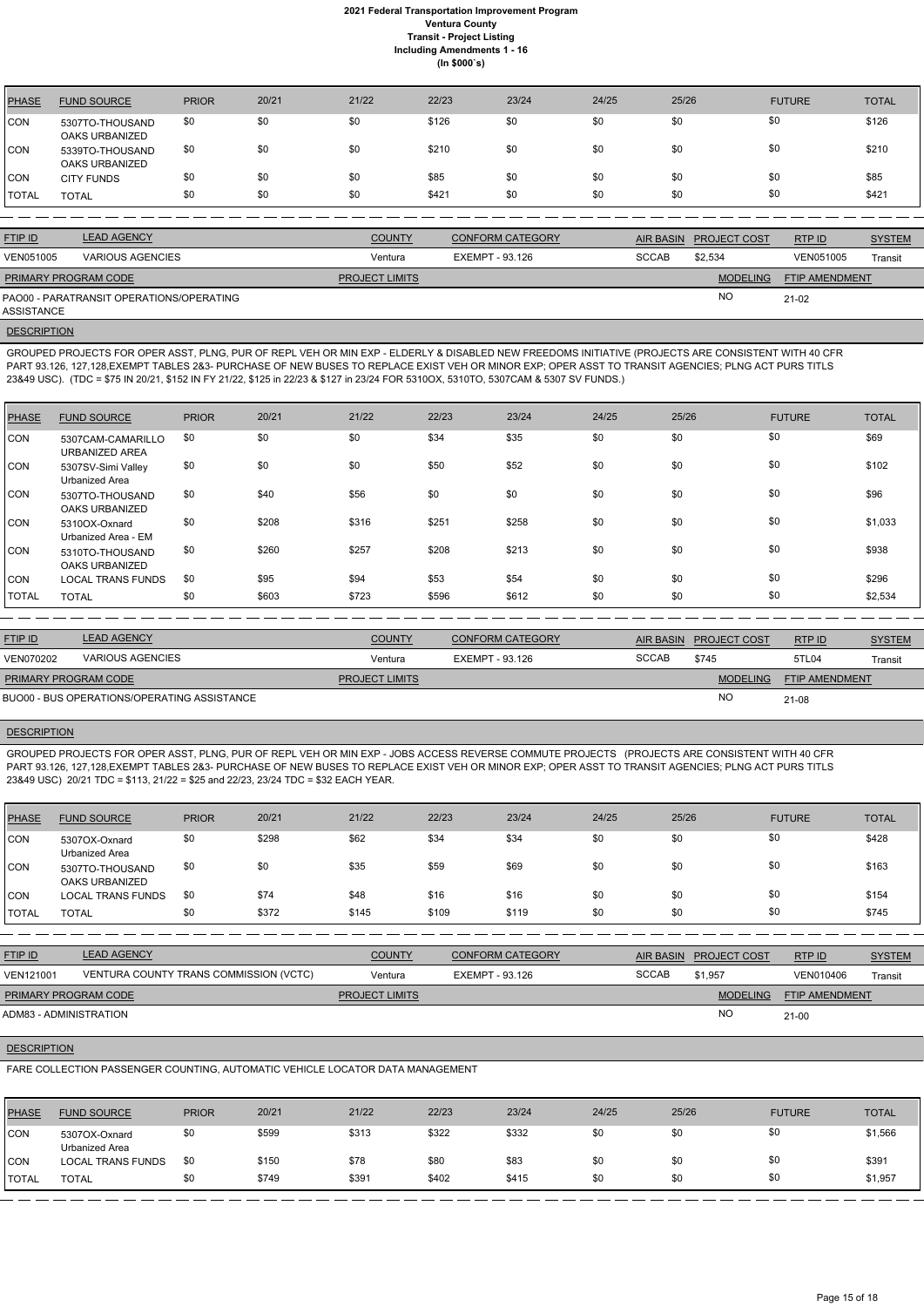| <b>PHASE</b> | <b>FUND SOURCE</b>                       | <b>PRIOR</b> | 20/21 | 21/22 | 22/23 | 23/24 | 24/25 | 25/26 | <b>FUTURE</b> | <b>TOTAL</b> |
|--------------|------------------------------------------|--------------|-------|-------|-------|-------|-------|-------|---------------|--------------|
| <b>CON</b>   | 5307TO-THOUSAND<br><b>OAKS URBANIZED</b> | \$0          | \$0   | \$0   | \$126 | \$0   | \$0   | \$0   | \$0           | \$126        |
| <b>CON</b>   | 5339TO-THOUSAND<br>OAKS URBANIZED        | \$0          | \$0   | \$0   | \$210 | \$0   | \$0   | \$0   | \$0           | \$210        |
| <b>CON</b>   | <b>CITY FUNDS</b>                        | \$0          | \$0   | \$0   | \$85  | \$0   | \$0   | \$0   | \$0           | \$85         |
| <b>TOTAL</b> | <b>TOTAL</b>                             | \$0          | \$0   | \$0   | \$421 | \$0   | \$0   | \$0   | \$0           | \$421        |

| <b>FTIP ID</b>              | <b>LEAD AGENCY</b>                       | <b>COUNTY</b>         | <b>CONFORM CATEGORY</b> |              | <b>AIR BASIN PROJECT COST</b> | RTPID                 | <b>SYSTEM</b> |
|-----------------------------|------------------------------------------|-----------------------|-------------------------|--------------|-------------------------------|-----------------------|---------------|
| <b>VEN051005</b>            | <b>VARIOUS AGENCIES</b>                  | Ventura               | EXEMPT - 93.126         | <b>SCCAB</b> | \$2.534                       | VEN051005             | Transit       |
| <b>PRIMARY PROGRAM CODE</b> |                                          | <b>PROJECT LIMITS</b> |                         |              | <b>MODELING</b>               | <b>FTIP AMENDMENT</b> |               |
| ASSISTANCE                  | PAO00 - PARATRANSIT OPERATIONS/OPERATING |                       |                         |              | <b>NO</b>                     | $21-02$               |               |

**DESCRIPTION** 

GROUPED PROJECTS FOR OPER ASST, PLNG, PUR OF REPL VEH OR MIN EXP - ELDERLY & DISABLED NEW FREEDOMS INITIATIVE (PROJECTS ARE CONSISTENT WITH 40 CFR PART 93.126, 127,128,EXEMPT TABLES 2&3- PURCHASE OF NEW BUSES TO REPLACE EXIST VEH OR MINOR EXP; OPER ASST TO TRANSIT AGENCIES; PLNG ACT PURS TITLS 23&49 USC). (TDC = \$75 IN 20/21, \$152 IN FY 21/22, \$125 in 22/23 & \$127 in 23/24 FOR 5310OX, 5310TO, 5307CAM & 5307 SV FUNDS.)

| PHASE        | <b>FUND SOURCE</b>                   | <b>PRIOR</b> | 20/21 | 21/22 | 22/23 | 23/24 | 24/25 | 25/26 | <b>FUTURE</b> | <b>TOTAL</b> |
|--------------|--------------------------------------|--------------|-------|-------|-------|-------|-------|-------|---------------|--------------|
| CON          | 5307CAM-CAMARILLO<br>URBANIZED AREA  | \$0          | \$0   | \$0   | \$34  | \$35  | \$0   | \$0   | \$0           | \$69         |
| CON          | 5307SV-Simi Valley<br>Urbanized Area | \$0          | \$0   | \$0   | \$50  | \$52  | \$0   | \$0   | \$0           | \$102        |
| <b>CON</b>   | 5307TO-THOUSAND<br>OAKS URBANIZED    | \$0          | \$40  | \$56  | \$0   | \$0   | \$0   | \$0   | \$0           | \$96         |
| CON          | 5310OX-Oxnard<br>Urbanized Area - EM | \$0          | \$208 | \$316 | \$251 | \$258 | \$0   | \$0   | \$0           | \$1,033      |
| <b>CON</b>   | 5310TO-THOUSAND<br>OAKS URBANIZED    | \$0          | \$260 | \$257 | \$208 | \$213 | \$0   | \$0   | \$0           | \$938        |
| CON          | <b>LOCAL TRANS FUNDS</b>             | \$0          | \$95  | \$94  | \$53  | \$54  | \$0   | \$0   | \$0           | \$296        |
| <b>TOTAL</b> | <b>TOTAL</b>                         | \$0          | \$603 | \$723 | \$596 | \$612 | \$0   | \$0   | \$0           | \$2,534      |

| <b>FTIP ID</b>              | <b>LEAD AGENCY</b>                          | <b>COUNTY</b>         | <b>CONFORM CATEGORY</b> |              | AIR BASIN PROJECT COST | RTP ID                | <b>SYSTEM</b> |
|-----------------------------|---------------------------------------------|-----------------------|-------------------------|--------------|------------------------|-----------------------|---------------|
| <b>VEN070202</b>            | VARIOUS AGENCIES                            | Ventura               | EXEMPT - 93.126         | <b>SCCAB</b> | \$745                  | 5TL04                 | Transit       |
| <b>PRIMARY PROGRAM CODE</b> |                                             | <b>PROJECT LIMITS</b> |                         |              | <b>MODELING</b>        | <b>FTIP AMENDMENT</b> |               |
|                             | BUO00 - BUS OPERATIONS/OPERATING ASSISTANCE |                       |                         |              | <b>NO</b>              | 21-08                 |               |

## **DESCRIPTION**

GROUPED PROJECTS FOR OPER ASST, PLNG, PUR OF REPL VEH OR MIN EXP - JOBS ACCESS REVERSE COMMUTE PROJECTS (PROJECTS ARE CONSISTENT WITH 40 CFR PART 93.126, 127,128,EXEMPT TABLES 2&3- PURCHASE OF NEW BUSES TO REPLACE EXIST VEH OR MINOR EXP; OPER ASST TO TRANSIT AGENCIES; PLNG ACT PURS TITLS 23&49 USC) 20/21 TDC = \$113, 21/22 = \$25 and 22/23, 23/24 TDC = \$32 EACH YEAR.

| <b>PHASE</b> | <b>FUND SOURCE</b>                       | <b>PRIOR</b> | 20/21 | 21/22 | 22/23 | 23/24 | 24/25 | 25/26 | <b>FUTURE</b> | <b>TOTAL</b> |
|--------------|------------------------------------------|--------------|-------|-------|-------|-------|-------|-------|---------------|--------------|
| <b>CON</b>   | 5307OX-Oxnard<br>Urbanized Area          | \$0          | \$298 | \$62  | \$34  | \$34  | \$0   | \$0   | \$0           | \$428        |
| <b>CON</b>   | 5307TO-THOUSAND<br><b>OAKS URBANIZED</b> | \$0          | \$0   | \$35  | \$59  | \$69  | \$0   | \$0   | \$0           | \$163        |
| CON          | <b>LOCAL TRANS FUNDS</b>                 | \$0          | \$74  | \$48  | \$16  | \$16  | \$0   | \$0   | \$0           | \$154        |
| <b>TOTAL</b> | <b>TOTAL</b>                             | \$0          | \$372 | \$145 | \$109 | \$119 | \$0   | \$0   | \$0           | \$745        |

| <u>FTIP ID</u> | LEAD AGENCY                            | <u>COUNTY</u> | <b>CONFORM CATEGORY</b> | AIR BASIN    | <b>PROJECT COST</b> | RTP ID    | <b>SYSTEM</b> |
|----------------|----------------------------------------|---------------|-------------------------|--------------|---------------------|-----------|---------------|
| VEN121001      | VENTURA COUNTY TRANS COMMISSION (VCTC) | Ventura       | EXEMPT - 93.126         | <b>SCCAB</b> | \$1,957             | VEN010406 | Transit       |

NO

## **DESCRIPTION**

21-00

FARE COLLECTION PASSENGER COUNTING, AUTOMATIC VEHICLE LOCATOR DATA MANAGEMENT

| <b>PHASE</b> | <b>FUND SOURCE</b>              | <b>PRIOR</b> | 20/21 | 21/22 | 22/23 | 23/24 | 24/25 | 25/26 | <b>FUTURE</b> | <b>TOTAL</b> |
|--------------|---------------------------------|--------------|-------|-------|-------|-------|-------|-------|---------------|--------------|
| CON          | 5307OX-Oxnard<br>Urbanized Area | \$0          | \$599 | \$313 | \$322 | \$332 | \$0   |       | \$0           | \$1,566      |
| ICON         | <b>LOCAL TRANS FUNDS</b>        | \$0          | \$150 | \$78  | \$80  | \$83  | \$0   |       | \$0           | \$391        |
| 'TOTAL       | <b>TOTAL</b>                    | \$0          | \$749 | \$391 | \$402 | \$415 | \$0   | \$0   | \$0           | \$1,957      |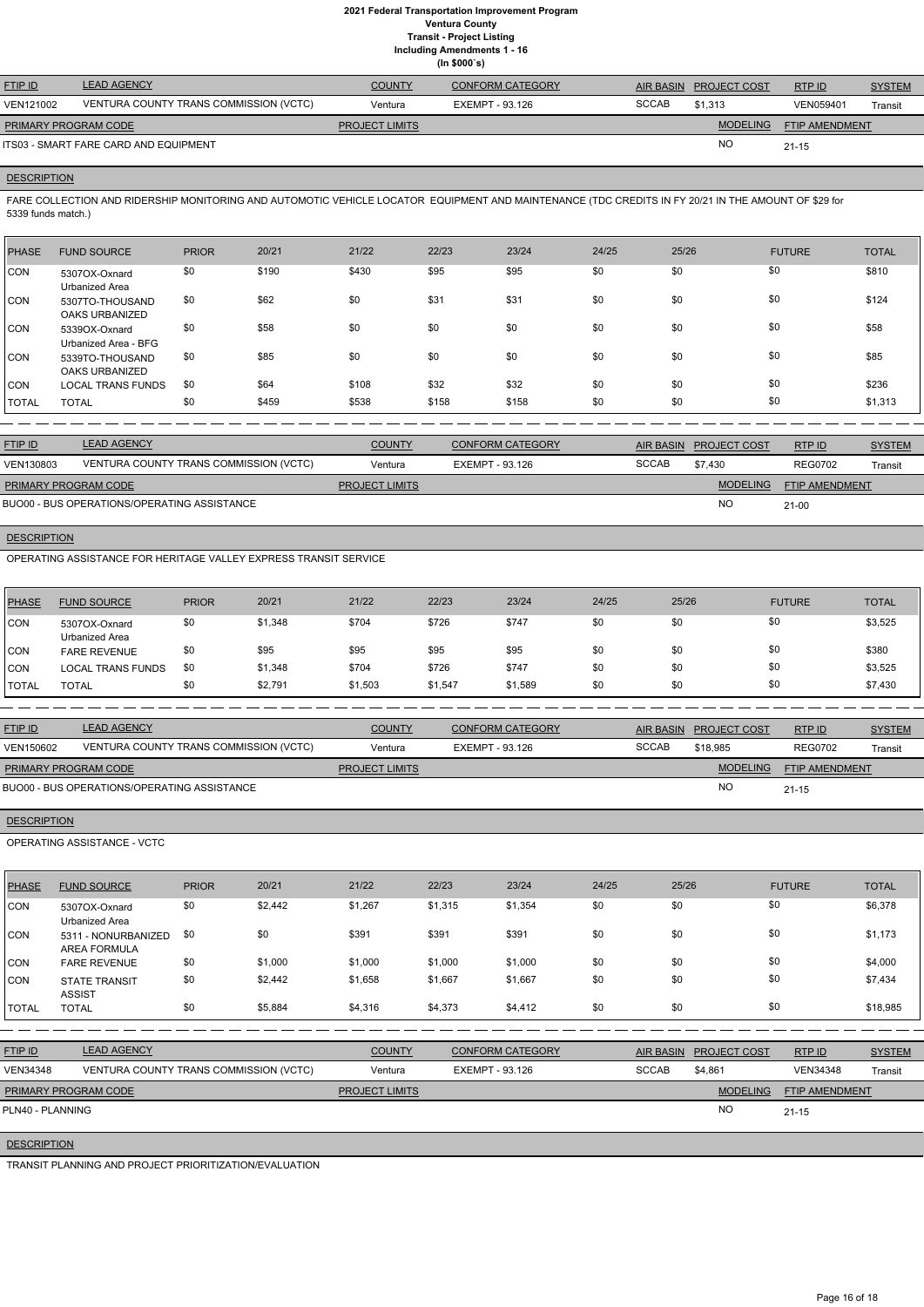**Including Amendments 1 - 16**

| . <u>.</u> |  |              |  |  |  |
|------------|--|--------------|--|--|--|
|            |  | (ln \$000's) |  |  |  |

| <b>FTIP ID</b>       | <b>LEAD AGENCY</b>                     | <b>COUNTY</b>         | <b>CONFORM CATEGORY</b> |              | AIR BASIN PROJECT COST | RTPID          | <b>SYSTEM</b> |
|----------------------|----------------------------------------|-----------------------|-------------------------|--------------|------------------------|----------------|---------------|
| VEN121002            | VENTURA COUNTY TRANS COMMISSION (VCTC) | Ventura               | EXEMPT - 93.126         | <b>SCCAB</b> | \$1.313                | VEN059401      | Transit       |
| PRIMARY PROGRAM CODE |                                        | <b>PROJECT LIMITS</b> |                         |              | <b>MODELING</b>        | FTIP AMENDMENT |               |
|                      | ITS03 - SMART FARE CARD AND EQUIPMENT  |                       |                         |              | <b>NC</b>              | $21 - 15$      |               |

# **DESCRIPTION**

FARE COLLECTION AND RIDERSHIP MONITORING AND AUTOMOTIC VEHICLE LOCATOR EQUIPMENT AND MAINTENANCE (TDC CREDITS IN FY 20/21 IN THE AMOUNT OF \$29 for 5339 funds match.)

| <b>PHASE</b> | <b>FUND SOURCE</b>                       | <b>PRIOR</b> | 20/21 | 21/22 | 22/23 | 23/24 | 24/25 | 25/26 | <b>FUTURE</b> | <b>TOTAL</b> |
|--------------|------------------------------------------|--------------|-------|-------|-------|-------|-------|-------|---------------|--------------|
| <b>CON</b>   | 5307OX-Oxnard<br>Urbanized Area          | \$0          | \$190 | \$430 | \$95  | \$95  | \$0   | \$0   | \$0           | \$810        |
| <b>CON</b>   | 5307TO-THOUSAND<br><b>OAKS URBANIZED</b> | \$0          | \$62  | \$0   | \$31  | \$31  | \$0   | \$0   | \$0           | \$124        |
| <b>CON</b>   | 5339OX-Oxnard<br>Urbanized Area - BFG    | \$0          | \$58  | \$0   | \$0   | \$0   | \$0   | \$0   | \$0           | \$58         |
| <b>CON</b>   | 5339TO-THOUSAND<br><b>OAKS URBANIZED</b> | \$0          | \$85  | \$0   | \$0   | \$0   | \$0   | \$0   | \$0           | \$85         |
| <b>CON</b>   | <b>LOCAL TRANS FUNDS</b>                 | \$0          | \$64  | \$108 | \$32  | \$32  | \$0   | \$0   | \$0           | \$236        |
| TOTAL        | <b>TOTAL</b>                             | \$0          | \$459 | \$538 | \$158 | \$158 | \$0   | \$0   | \$0           | \$1,313      |

| <b>FTIP ID</b>              | <b>LEAD AGENCY</b>                          | <b>COUNTY</b>         | <b>CONFORM CATEGORY</b> |              | AIR BASIN PROJECT COST | RTP ID                | <b>SYSTEM</b> |
|-----------------------------|---------------------------------------------|-----------------------|-------------------------|--------------|------------------------|-----------------------|---------------|
| VEN130803                   | VENTURA COUNTY TRANS COMMISSION (VCTC)      | Ventura               | EXEMPT - 93.126         | <b>SCCAB</b> | \$7.430                | <b>REG0702</b>        | Transit       |
| <b>PRIMARY PROGRAM CODE</b> |                                             | <b>PROJECT LIMITS</b> |                         |              | <b>MODELING</b>        | <b>FTIP AMENDMENT</b> |               |
|                             | BUO00 - BUS OPERATIONS/OPERATING ASSISTANCE |                       |                         |              | <b>NO</b>              | $21-00$               |               |

# **DESCRIPTION**

OPERATING ASSISTANCE FOR HERITAGE VALLEY EXPRESS TRANSIT SERVICE

| PHASE          | <b>FUND SOURCE</b>                     | <b>PRIOR</b> | 20/21   | 21/22   | 22/23   | 23/24   | 24/25 | 25/26 | <b>FUTURE</b> | <b>TOTAL</b> |
|----------------|----------------------------------------|--------------|---------|---------|---------|---------|-------|-------|---------------|--------------|
| CON            | 5307OX-Oxnard<br><b>Urbanized Area</b> | \$0          | \$1,348 | \$704   | \$726   | \$747   | \$0   | \$0   | \$0           | \$3,525      |
| CON            | <b>FARE REVENUE</b>                    | \$0          | \$95    | \$95    | \$95    | \$95    | \$0   | \$0   | \$0           | \$380        |
| ICON           | <b>LOCAL TRANS FUNDS</b>               | \$0          | \$1,348 | \$704   | \$726   | \$747   | \$0   | \$0   | \$0           | \$3,525      |
| <b>I</b> TOTAL | <b>TOTAL</b>                           | \$0          | \$2,791 | \$1,503 | \$1,547 | \$1,589 | \$0   | \$0   | \$0           | \$7,430      |

| <b>FTIP ID</b>       | <b>LEAD AGENCY</b>                          | <b>COUNTY</b>         | CONFORM CATEGORY | <b>AIR BASIN</b> | <b>PROJECT COST</b> | RTP ID                | <b>SYSTEM</b> |
|----------------------|---------------------------------------------|-----------------------|------------------|------------------|---------------------|-----------------------|---------------|
| VEN150602            | VENTURA COUNTY TRANS COMMISSION (VCTC)      | Ventura               | EXEMPT - 93.126  | <b>SCCAB</b>     | \$18,985            | <b>REG0702</b>        | Transit       |
| PRIMARY PROGRAM CODE |                                             | <b>PROJECT LIMITS</b> |                  |                  | <b>MODELING</b>     | <b>FTIP AMENDMENT</b> |               |
|                      | BUO00 - BUS OPERATIONS/OPERATING ASSISTANCE |                       |                  |                  | <b>NO</b>           | $21 - 15$             |               |

# **DESCRIPTION**

OPERATING ASSISTANCE - VCTC

| <b>PHASE</b>     | <b>FUND SOURCE</b>                         | <b>PRIOR</b> | 20/21   | 21/22                 | 22/23                  | 23/24                   | 24/25            | 25/26 |                     | <b>FUTURE</b>   | <b>TOTAL</b>  |
|------------------|--------------------------------------------|--------------|---------|-----------------------|------------------------|-------------------------|------------------|-------|---------------------|-----------------|---------------|
| CON              | 5307OX-Oxnard<br>Urbanized Area            | \$0          | \$2,442 | \$1,267               | \$1,315                | \$1,354                 | \$0              | \$0   | \$0                 |                 | \$6,378       |
| <b>CON</b>       | 5311 - NONURBANIZED<br><b>AREA FORMULA</b> | \$0          | \$0     | \$391                 | \$391                  | \$391                   | \$0              | \$0   | \$0                 |                 | \$1,173       |
| CON              | <b>FARE REVENUE</b>                        | \$0          | \$1,000 | \$1,000               | \$1,000                | \$1,000                 | \$0              | \$0   | \$0                 |                 | \$4,000       |
| <b>CON</b>       | <b>STATE TRANSIT</b><br><b>ASSIST</b>      | \$0          | \$2,442 | \$1,658               | \$1,667                | \$1,667                 | \$0              | \$0   | \$0                 |                 | \$7,434       |
| <b>TOTAL</b>     | <b>TOTAL</b>                               | \$0          | \$5,884 | \$4,316               | \$4,373                | \$4,412                 | \$0              | \$0   | \$0                 |                 | \$18,985      |
|                  |                                            |              |         |                       |                        |                         |                  |       |                     |                 |               |
| <b>FTIP ID</b>   | <b>LEAD AGENCY</b>                         |              |         | <b>COUNTY</b>         |                        | <b>CONFORM CATEGORY</b> | <b>AIR BASIN</b> |       | <b>PROJECT COST</b> | RTP ID          | <b>SYSTEM</b> |
| <b>VEN34348</b>  | VENTURA COUNTY TRANS COMMISSION (VCTC)     |              |         | Ventura               | <b>EXEMPT - 93.126</b> |                         | <b>SCCAB</b>     |       | \$4,861             | <b>VEN34348</b> | Transit       |
|                  | PRIMARY PROGRAM CODE                       |              |         | <b>PROJECT LIMITS</b> |                        |                         |                  |       | <b>MODELING</b>     | FTIP AMENDMENT  |               |
| PLN40 - PLANNING |                                            |              |         |                       |                        |                         |                  |       | <b>NO</b>           | $21 - 15$       |               |
|                  | <b>DESCRIPTION</b>                         |              |         |                       |                        |                         |                  |       |                     |                 |               |

TRANSIT PLANNING AND PROJECT PRIORITIZATION/EVALUATION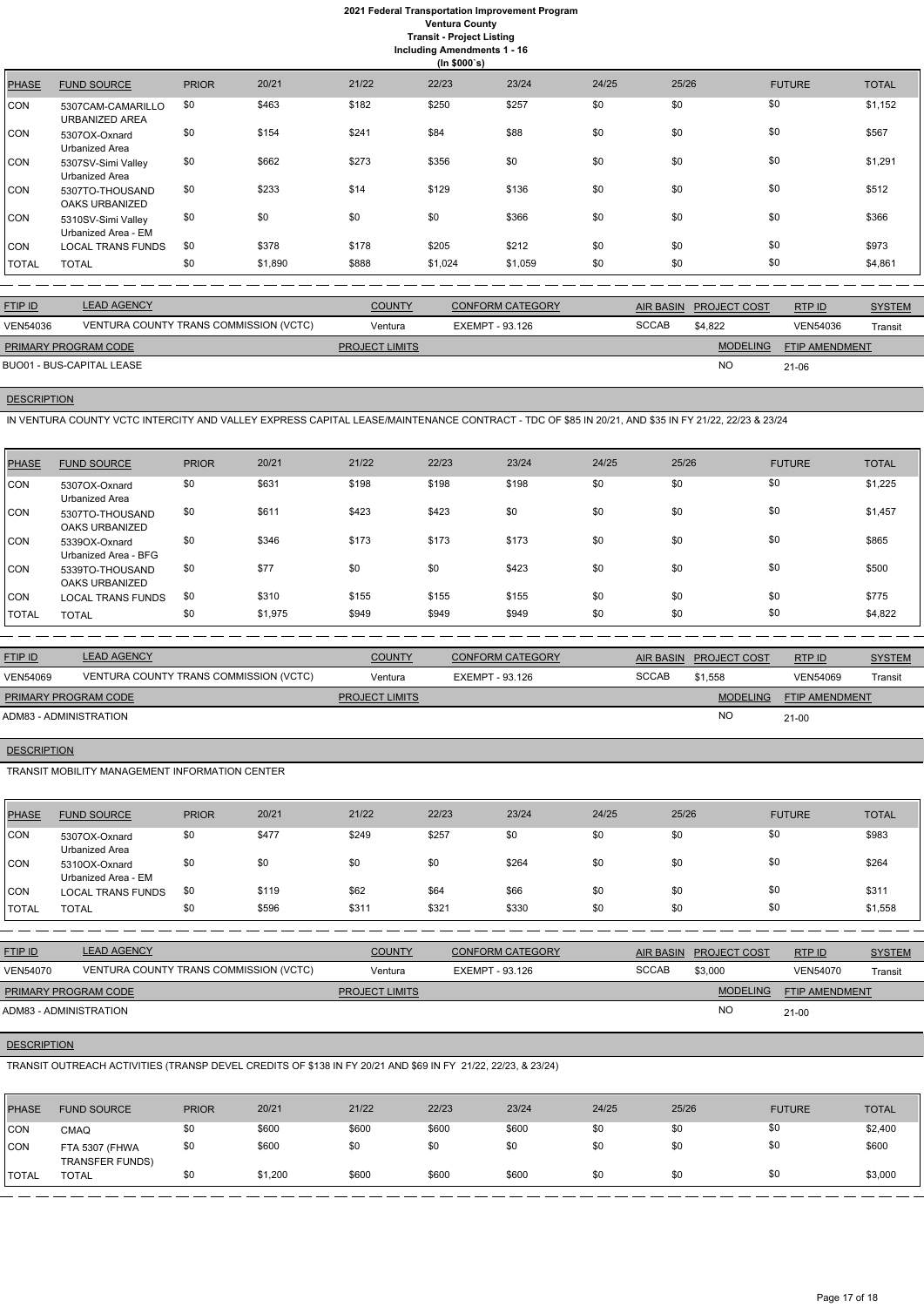# **2021 Federal Transportation Improvement Program Ventura County**

**Transit - Project Listing Including Amendments 1 - 16**

|  | ling Amenaments |
|--|-----------------|
|  | (ln \$000's)    |

|              |                                            |              |         |       | $\cdots$ + $\cdots$ + |         |       |       |               |              |
|--------------|--------------------------------------------|--------------|---------|-------|-----------------------|---------|-------|-------|---------------|--------------|
| <b>PHASE</b> | <b>FUND SOURCE</b>                         | <b>PRIOR</b> | 20/21   | 21/22 | 22/23                 | 23/24   | 24/25 | 25/26 | <b>FUTURE</b> | <b>TOTAL</b> |
| <b>CON</b>   | 5307CAM-CAMARILLO<br><b>URBANIZED AREA</b> | \$0          | \$463   | \$182 | \$250                 | \$257   | \$0   | \$0   | \$0           | \$1,152      |
| <b>CON</b>   | 5307OX-Oxnard<br>Urbanized Area            | \$0          | \$154   | \$241 | \$84                  | \$88    | \$0   | \$0   | \$0           | \$567        |
| CON          | 5307SV-Simi Valley<br>Urbanized Area       | \$0          | \$662   | \$273 | \$356                 | \$0     | \$0   | \$0   | \$0           | \$1,291      |
| <b>CON</b>   | 5307TO-THOUSAND<br>OAKS URBANIZED          | \$0          | \$233   | \$14  | \$129                 | \$136   | \$0   | \$0   | \$0           | \$512        |
| <b>CON</b>   | 5310SV-Simi Valley<br>Urbanized Area - EM  | \$0          | \$0     | \$0   | \$0                   | \$366   | \$0   | \$0   | \$0           | \$366        |
| <b>CON</b>   | <b>LOCAL TRANS FUNDS</b>                   | \$0          | \$378   | \$178 | \$205                 | \$212   | \$0   | \$0   | \$0           | \$973        |
| <b>TOTAL</b> | <b>TOTAL</b>                               | \$0          | \$1,890 | \$888 | \$1,024               | \$1,059 | \$0   | \$0   | \$0           | \$4,861      |

| <b>FTIP ID</b>            | <b>LEAD AGENCY</b>                     | <b>COUNTY</b>         | <b>CONFORM CATEGORY</b> | AIR BASIN    | <b>PROJECT COST</b> | RTPID                 | <b>SYSTEM</b> |
|---------------------------|----------------------------------------|-----------------------|-------------------------|--------------|---------------------|-----------------------|---------------|
| <b>VEN54036</b>           | VENTURA COUNTY TRANS COMMISSION (VCTC) | Ventura               | EXEMPT - 93.126         | <b>SCCAB</b> | \$4.822             | <b>VEN54036</b>       | Transit       |
| PRIMARY PROGRAM CODE      |                                        | <b>PROJECT LIMITS</b> |                         |              | <b>MODELING</b>     | <b>FTIP AMENDMENT</b> |               |
| BUO01 - BUS-CAPITAL LEASE |                                        |                       |                         |              | <b>NO</b>           | 21-06                 |               |

# **DESCRIPTION**

IN VENTURA COUNTY VCTC INTERCITY AND VALLEY EXPRESS CAPITAL LEASE/MAINTENANCE CONTRACT - TDC OF \$85 IN 20/21, AND \$35 IN FY 21/22, 22/23 & 23/24

| <b>PHASE</b> | <b>FUND SOURCE</b>                       | <b>PRIOR</b> | 20/21   | 21/22 | 22/23 | 23/24 | 24/25 | 25/26 | <b>FUTURE</b> | <b>TOTAL</b> |
|--------------|------------------------------------------|--------------|---------|-------|-------|-------|-------|-------|---------------|--------------|
| CON          | 5307OX-Oxnard<br>Urbanized Area          | \$0          | \$631   | \$198 | \$198 | \$198 | \$0   | \$0   | \$0           | \$1,225      |
| CON          | 5307TO-THOUSAND<br><b>OAKS URBANIZED</b> | \$0          | \$611   | \$423 | \$423 | \$0   | \$0   | \$0   | \$0           | \$1,457      |
| CON          | 5339OX-Oxnard<br>Urbanized Area - BFG    | \$0          | \$346   | \$173 | \$173 | \$173 | \$0   | \$0   | \$0           | \$865        |
| <b>CON</b>   | 5339TO-THOUSAND<br><b>OAKS URBANIZED</b> | \$0          | \$77    | \$0   | \$0   | \$423 | \$0   | \$0   | \$0           | \$500        |
| CON          | LOCAL TRANS FUNDS                        | \$0          | \$310   | \$155 | \$155 | \$155 | \$0   | \$0   | \$0           | \$775        |
| <b>TOTAL</b> | <b>TOTAL</b>                             | \$0          | \$1,975 | \$949 | \$949 | \$949 | \$0   | \$0   | \$0           | \$4,822      |

| <b>FTIP ID</b>         | <b>LEAD AGENCY</b>                     | <b>COUNTY</b>         | <b>CONFORM CATEGORY</b> |              | AIR BASIN PROJECT COST | RTPID                 | <b>SYSTEM</b> |
|------------------------|----------------------------------------|-----------------------|-------------------------|--------------|------------------------|-----------------------|---------------|
| <b>VEN54069</b>        | VENTURA COUNTY TRANS COMMISSION (VCTC) | Ventura               | EXEMPT - 93.126         | <b>SCCAB</b> | \$1.558                | <b>VEN54069</b>       | Transit       |
| PRIMARY PROGRAM CODE   |                                        | <b>PROJECT LIMITS</b> |                         |              | <b>MODELING</b>        | <b>FTIP AMENDMENT</b> |               |
| ADM83 - ADMINISTRATION |                                        |                       |                         |              | <b>NO</b>              | 21-00                 |               |

# **DESCRIPTION**

TRANSIT MOBILITY MANAGEMENT INFORMATION CENTER

| <b>PHASE</b> | <b>FUND SOURCE</b>                   | <b>PRIOR</b> | 20/21 | 21/22 | 22/23 | 23/24 | 24/25 | 25/26 | <b>FUTURE</b> | <b>TOTAL</b> |
|--------------|--------------------------------------|--------------|-------|-------|-------|-------|-------|-------|---------------|--------------|
| CON          | 5307OX-Oxnard<br>Urbanized Area      | \$0          | \$477 | \$249 | \$257 | \$0   | \$0   | \$0   | \$0           | \$983        |
| CON          | 5310OX-Oxnard<br>Urbanized Area - EM | \$0          | \$0   | \$0   | \$0   | \$264 | \$0   | \$0   | \$0           | \$264        |
| <b>CON</b>   | <b>LOCAL TRANS FUNDS</b>             | \$0          | \$119 | \$62  | \$64  | \$66  | \$0   | \$0   | \$0           | \$311        |
| <b>TOTAL</b> | <b>TOTAL</b>                         | \$0          | \$596 | \$31' | \$321 | \$330 | \$0   | \$0   | \$0           | \$1,558      |

| <b>FTIP ID</b> | LEAD AGENCY                            | <b>COUNTY</b> | <b>CONFORM CATEGORY</b> | <b>AIR BASIN</b> | <b>PROJECT COST</b> | <b>RTPID</b>    | <b>SYSTEM</b> |
|----------------|----------------------------------------|---------------|-------------------------|------------------|---------------------|-----------------|---------------|
| VEN54070       | VENTURA COUNTY TRANS COMMISSION (VCTC) | Ventura       | EXEMPT - 93.126         | SCCAB            | \$3,000             | <b>VEN54070</b> | Transi        |

NO

# **DESCRIPTION**

21-00

TRANSIT OUTREACH ACTIVITIES (TRANSP DEVEL CREDITS OF \$138 IN FY 20/21 AND \$69 IN FY 21/22, 22/23, & 23/24)

| <b>PHASE</b> | <b>FUND SOURCE</b>                       | <b>PRIOR</b> | 20/21   | 21/22 | 22/23 | 23/24 | 24/25 | 25/26 | <b>FUTURE</b> | <b>TOTAL</b> |
|--------------|------------------------------------------|--------------|---------|-------|-------|-------|-------|-------|---------------|--------------|
| CON          | CMAQ                                     | \$0          | \$600   | \$600 | \$600 | \$600 | \$0   | \$0   | \$0           | \$2,400      |
| <b>CON</b>   | FTA 5307 (FHWA<br><b>TRANSFER FUNDS)</b> | \$0          | \$600   | \$0   | \$0   | \$0   | \$0   | \$0   | \$0           | \$600        |
| I TOTAL      | <b>TOTAL</b>                             | \$0          | \$1,200 | \$600 | \$600 | \$600 | \$0   | \$0   | \$0           | \$3,000      |